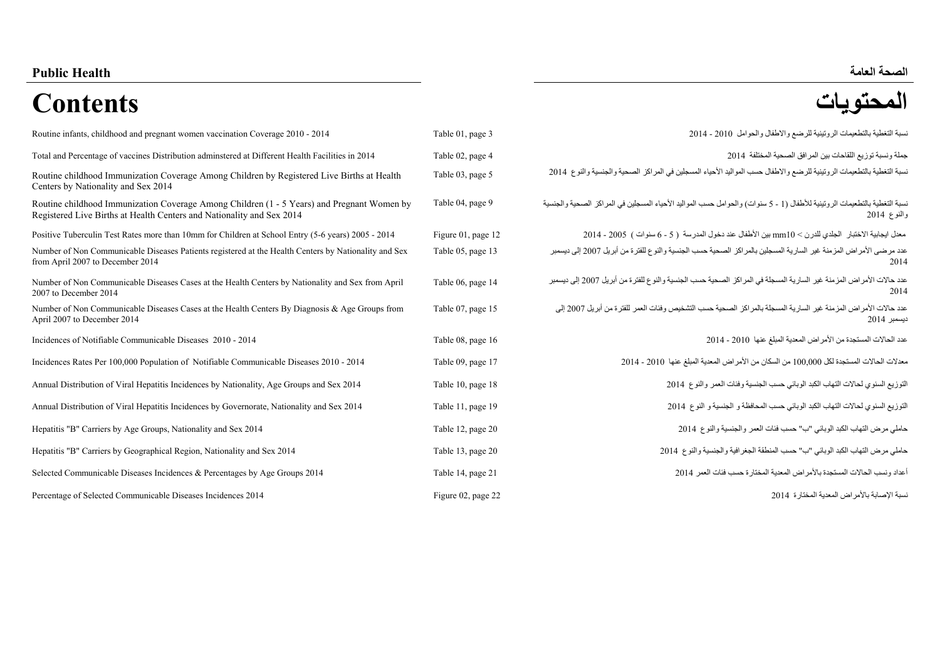#### **العامة Health PublicPublic Health**

# **المحتويات Contents**

| Routine infants, childhood and pregnant women vaccination Coverage 2010 - 2014                                                                                      | Table 01, page 3   | نسبة التغطية بالتطعيمات الروتينية للرضع والاطفال والحوامل 2010 - 2014                                                                    |
|---------------------------------------------------------------------------------------------------------------------------------------------------------------------|--------------------|------------------------------------------------------------------------------------------------------------------------------------------|
| Total and Percentage of vaccines Distribution adminstered at Different Health Facilities in 2014                                                                    | Table 02, page 4   | جملة ونسبة توزيع اللقاحات بين المرافق الصحية المختلفة  2014                                                                              |
| Routine childhood Immunization Coverage Among Children by Registered Live Births at Health<br>Centers by Nationality and Sex 2014                                   | Table 03, page 5   | نسبة التغطية بالتطعيمات الروتينية للرضع والاطفال حسب المواليد الأحياء المسجلين في المراكز الصحية والجنسية والنوع 2014                    |
| Routine childhood Immunization Coverage Among Children (1 - 5 Years) and Pregnant Women by<br>Registered Live Births at Health Centers and Nationality and Sex 2014 | Table 04, page 9   | نسبة التغطية بالتطعيمات الروتينية للأطفال (1 - 5 سنوات) والحوامل حسب المواليد الأحياء المسجلين في المراكز الصحية والجنسية<br>والنوع 2014 |
| Positive Tuberculin Test Rates more than 10mm for Children at School Entry (5-6 years) 2005 - 2014                                                                  | Figure 01, page 12 | معدل ايجابية الاختبار الجلدي للدرن > 10xmm بين الأطفال عند دخول المدرسة ( 5 - 6 سنوات ) 2005 - 2014                                      |
| Number of Non Communicable Diseases Patients registered at the Health Centers by Nationality and Sex<br>from April 2007 to December 2014                            | Table 05, page 13  | عدد مرضى الأمراض المزمنة غير السارية المسجلين بالمراكز الصحية حسب الجنسية والنوع للفترة من أبريل 2007 إلى ديسمبر<br>2014                 |
| Number of Non Communicable Diseases Cases at the Health Centers by Nationality and Sex from April<br>2007 to December 2014                                          | Table 06, page 14  | عدد حالات الأمراض المزمنة غير السارية المسجلة في المراكز الصحية حسب الجنسية والنوع للفترة من أبريل 2007 إلى ديسمبر<br>2014               |
| Number of Non Communicable Diseases Cases at the Health Centers By Diagnosis & Age Groups from<br>April 2007 to December 2014                                       | Table 07, page 15  | عدد حالات الأمر اض المز منة غير  السار بة المسجلة بالمر اكز  الصحية حسب التشخيص وفئات العمر  للفتر ة من أبر بل 2007 إلى<br>ديسمبر 2014   |
| Incidences of Notifiable Communicable Diseases 2010 - 2014                                                                                                          | Table 08, page 16  | عدد الحالات المستجدة من الأمراض المعدية المبلغ عنها 2010 - 2014                                                                          |
| Incidences Rates Per 100,000 Population of Notifiable Communicable Diseases 2010 - 2014                                                                             | Table 09, page 17  | معدلات الحالات المستجدة لكل 100,000 من السكان من الأمر اض المعدية المبلغ عنها  2010 - 2014                                               |
| Annual Distribution of Viral Hepatitis Incidences by Nationality, Age Groups and Sex 2014                                                                           | Table 10, page 18  | التوزيع السنوي لحالات التهاب الكبد الوبائي حسب الجنسية وفئات العمر والنوع 2014                                                           |
| Annual Distribution of Viral Hepatitis Incidences by Governorate, Nationality and Sex 2014                                                                          | Table 11, page 19  | التوزيع السنوي لحالات التهاب الكبد الوبائي حسب المحافظة و الجنسية و النوع 2014                                                           |
| Hepatitis "B" Carriers by Age Groups, Nationality and Sex 2014                                                                                                      | Table 12, page 20  | حاملي مرض التهاب الكبد الوبائي "ب" حسب فئات العمر والجنسية والنوع 2014                                                                   |
| Hepatitis "B" Carriers by Geographical Region, Nationality and Sex 2014                                                                                             | Table 13, page 20  | حاملي مرض التهاب الكبد الوبائي "ب" حسب المنطقة الجغرافية والجنسية والنوع 2014                                                            |
| Selected Communicable Diseases Incidences & Percentages by Age Groups 2014                                                                                          | Table 14, page 21  | أعداد ونسب الحالات المستجدة بالأمر اض المعدية المختار ة حسب فئات العمر 2014                                                              |
| Percentage of Selected Communicable Diseases Incidences 2014                                                                                                        | Figure 02, page 22 | نسبة الإصابة بالأمر اض المعدية المختار ة 2014                                                                                            |

| نسبة التغطية بالتطعيمات الروتينية للرضع والاطفال والحوامل 2010 - 2014                                                                    | Table 01, page 3   |
|------------------------------------------------------------------------------------------------------------------------------------------|--------------------|
| جملة ونسبة توزيع اللقاحات بين المرافق الصحية المختلفة  2014                                                                              | Table 02, page 4   |
| نسبة التغطية بالتطعيمات الروتينية للرضع والاطفال حسب المواليد الأحياء المسجلين في المراكز الصحية والجنسية والنوع 2014                    | Table 03, page 5   |
| نسبة التغطية بالتطعيمات الروتينية للأطفال (1 - 5 سنوات) والحوامل حسب المواليد الأحياء المسجلين في المراكز الصحية والجنسية<br>والنوع 2014 | Table 04, page 9   |
| معدل ايجابية الاختبار الجلدي للدرن > 10mm بين الأطفال عند دخول المدرسة ( 5 - 6 سنوات ) 2005 - 2014                                       | Figure 01, page 12 |
| عدد مرضى الأمر اض المزمنة غير السارية المسجلين بالمراكز الصحية حسب الجنسية والنوع للفترة من أبريل 2007 إلى ديسمبر<br>2014                | Table 05, page 13  |
| عدد حالات الأمراض المزمنة غير السارية المسجلة في المراكز الصحية حسب الجنسية والنوع للفترة من أبريل 2007 إلى ديسمبر<br>2014               | Table 06, page 14  |
| عدد حالات الأمر اض المزمنة غير السارية المسجلة بالمر اكز الصحية حسب التشخيص وفئات العمر للفترة من أبريل 2007 إلى<br>ديسمبر 2014          | Table 07, page 15  |
| عدد الحالات المستجدة من الأمراض المعدية المبلغ عنها 2010 - 2014                                                                          | Table 08, page 16  |
| معدلات الحالات المستجدة لكل 100,000 من السكان من الأمر اض المعدية المبلغ عنها 2010 - 2014                                                | Table 09, page 17  |
| التوزيع السنوي لحالات التهاب الكبد الوبائي حسب الجنسية وفئات العمر والنوع 2014                                                           | Table 10, page 18  |
| التوزيع السنوى لحالات التهاب الكبد الوبائي حسب المحافظة و الجنسية و النوع 2014                                                           | Table 11, page 19  |
| حاملي مرض التهاب الكبد الوبائي "ب" حسب فئات العمر والجنسية والنوع 2014                                                                   | Table 12, page 20  |
| حاملي مرض التهاب الكبد الوبائي "ب" حسب المنطقة الجغر افية والجنسية والنوع 2014                                                           | Table 13, page 20  |
| أعداد ونسب الحالات المستجدة بالأمر اض المعدية المختار ة حسب فئات العمر 2014                                                              | Table 14, page 21  |

# الصحة العامة<br>**المحتويات**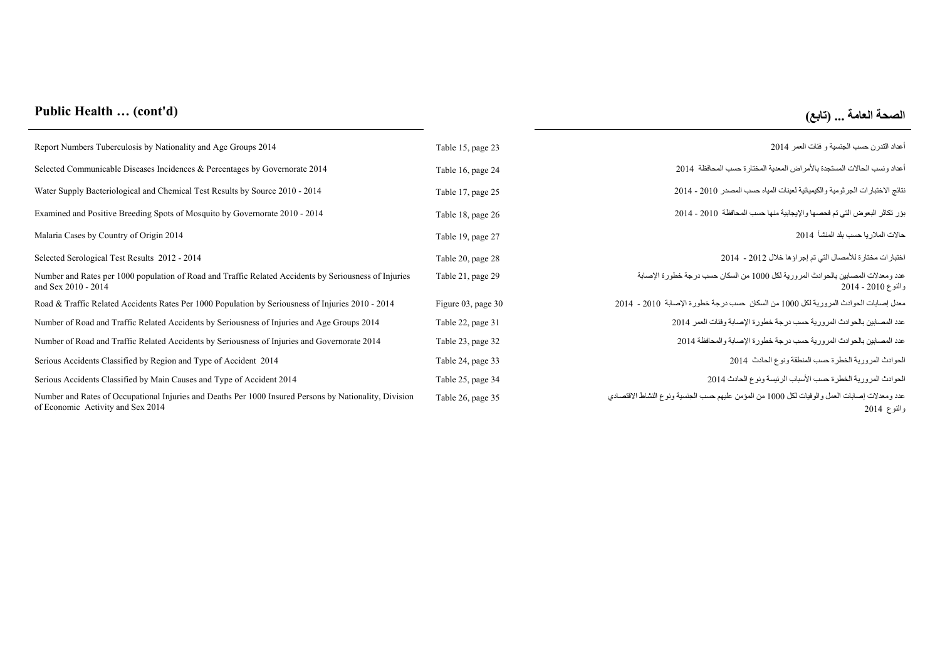## **Public Health … (cont'd) (تابع (... العامة الصحة**

| Report Numbers Tuberculosis by Nationality and Age Groups 2014                                                                              | Table 15, page 23  | أعداد التدر ن حسب الجنسية و فئات العمر 2014                                                                 |
|---------------------------------------------------------------------------------------------------------------------------------------------|--------------------|-------------------------------------------------------------------------------------------------------------|
| Selected Communicable Diseases Incidences & Percentages by Governorate 2014                                                                 | Table 16, page 24  | أعداد ونسب الحالات المستجدة بالأمر اض المعدية المختار ة حسب المحافظة  2014                                  |
| Water Supply Bacteriological and Chemical Test Results by Source 2010 - 2014                                                                | Table 17, page 25  | نتائج الاختبار ات الجر ثومية والكيميائية لعينات المياه حسب المصدر 2010 - 2014                               |
| Examined and Positive Breeding Spots of Mosquito by Governorate 2010 - 2014                                                                 | Table 18, page 26  | بؤر نكاثر البعوض التي تم فحصها والإيجابية منها حسب المحافظة  2010 - 2014                                    |
| Malaria Cases by Country of Origin 2014                                                                                                     | Table 19, page 27  | حالات الملار يا حسب بلد المنشأ   2014                                                                       |
| Selected Serological Test Results 2012 - 2014                                                                                               | Table 20, page 28  | اختبار ات مختار ة للأمصال التي تم إجر اؤ ها خلال 2012 - 2014                                                |
| Number and Rates per 1000 population of Road and Traffic Related Accidents by Seriousness of Injuries<br>and Sex 2010 - 2014                | Table 21, page 29  | عدد ومعدلات المصابين بالحوادث المرورية لكل 1000 من السكان حسب درجة خطورة الإصابة<br>والنوع 2010 - 2014      |
| Road & Traffic Related Accidents Rates Per 1000 Population by Seriousness of Injuries 2010 - 2014                                           | Figure 03, page 30 | معدل إصبابات الحو ادث المر ور ية لكل 1000 من السكان  حسب در جة خطور ة الإصبابة  2010 -  2014                |
| Number of Road and Traffic Related Accidents by Seriousness of Injuries and Age Groups 2014                                                 | Table 22, page 31  | عدد المصابين بالحوادث المرورية حسب درجة خطورة الإصابة وفئات العمر 2014                                      |
| Number of Road and Traffic Related Accidents by Seriousness of Injuries and Governorate 2014                                                | Table 23, page 32  | عدد المصابين بالحوادث المرورية حسب درجة خطورة الإصابة والمحافظة 2014                                        |
| Serious Accidents Classified by Region and Type of Accident 2014                                                                            | Table 24, page 33  | الحوادث المرورية الخطرة حسب المنطقة ونوع الحادث 2014                                                        |
| Serious Accidents Classified by Main Causes and Type of Accident 2014                                                                       | Table 25, page 34  | الحوادث المرورية الخطرة حسب الأسباب الرئيسة ونوع الحادث 2014                                                |
| Number and Rates of Occupational Injuries and Deaths Per 1000 Insured Persons by Nationality, Division<br>of Economic Activity and Sex 2014 | Table 26, page 35  | عدد ومعدلات إصابات العمل والوفيات لكل 1000 من المؤمن عليهم حسب الجنسية ونوع النشاط الاقتصادي<br>والنوع 2014 |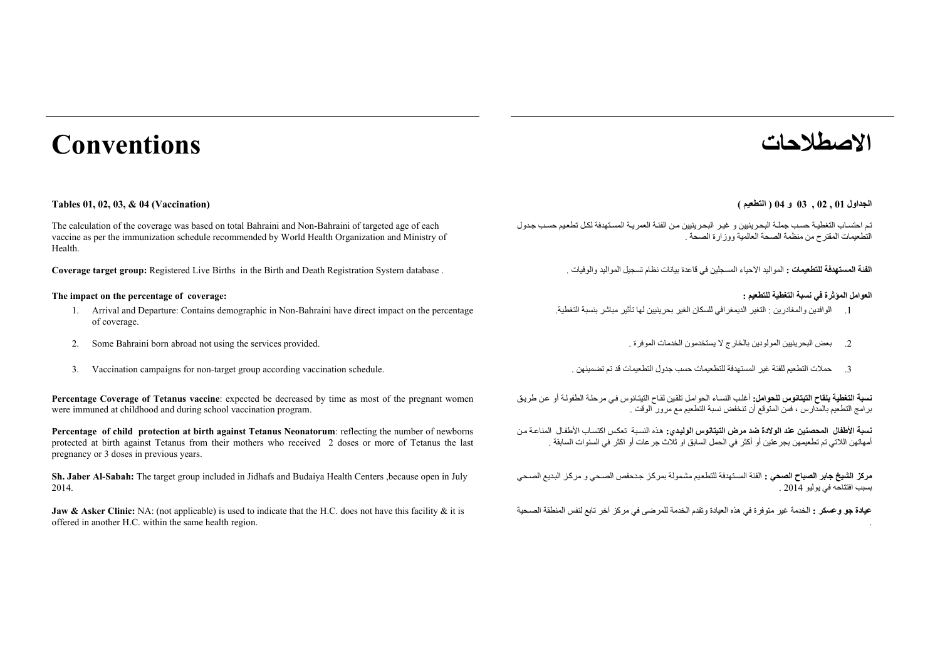# **االصطالحات Conventions**

#### **الجداول <sup>01</sup> , 02 , 03 <sup>و</sup> <sup>04</sup> ( التطعيم ) (Vaccination (04 & 03, 02, 01, Tables**

The calculation of the coverage was based on total Bahraini and Non-Bahraini of targeted age of each vaccine as per the immunization schedule recommended by World Health Organization and Ministry of Health.

الفنة المعملقي : المواليد الاحياء المسجلين في قاعدة بيانات نظام تسجيل المواليد والوفيات . • • Coverage target group: Registered Live Births in the Birth and Death Registration System database

#### **The impact on the percentage of coverage: : للتطعيم التغطية نسبة في المؤثرة العوامل**

- 1. Arrival and Departure: Contains demographic in Non-Bahraini have direct impact on the percentage of coverage.
- 2.
- 3. Vaccination campaigns for non-target group according vaccination schedule.

**Percentage Coverage of Tetanus vaccine**: expected be decreased by time as most of the pregnant women were immuned at childhood and during school vaccination program.

**Percentage of child protection at birth against Tetanus Neonatorum**: reflecting the number of newborns protected at birth against Tetanus from their mothers who received 2 doses or more of Tetanus the last pregnancy or 3 doses in previous years.

**Sh. Jaber Al-Sabah:** The target group included in Jidhafs and Budaiya Health Centers ,because open in July 2014.

**Jaw & Asker Clinic:** NA: (not applicable) is used to indicate that the H.C. does not have this facility & it is offered in another H.C. within the same health region.

تم احتساب التغطيـة حسب جملـة البحرينيين و غير البحرينيين من الفئـة العمريـة المستهدفة لكل تطعيم حسب جدول التطعيمات المقترح من منظمة الصحة العالمية ووزارة الصحة <sub>.</sub>

- .1 الوافدين والمغادرين : التغير الديمغرافي للسكان الغير بحرينيين لھا تأثير مباشر بنسبة التغطية.
- Some Bahraini born abroad not using the services provided. . الموفرة الخدمات يستخدمون ال بالخارج المولودين البحرينيين بعض .2
	- .3

**نسبة التغطية <b>بلق**اح التيتانوس للحوامل: أغلب النساء الحوامل تلقين لقاح التيتانوس في مرحلـة الطفولـة أو عن طريق برامج التطعيم بالمدارس ، فمن المتوقع أن تنخفض نسبة التطعيم مع مرور الوقت .

**نسبة الأطفال المحصنين عند الولادة ضد مرض الت<b>يتانوس الوليدي**: هذه النسبة تعكس اكتساب الأطفال المناعة من أمھاتھن الالتي تم تطعيمھن بجرعتين أو أكثر في الحمل السابق او ثالث جرعات أو اكثر في السنوات السابقة .

م**ركز الشيخ جابر الصباح الصحي :** الفئة المستهدفة للتطعيم مشمولة بمركز جدحفص الصحي و مركز البديع الصحي بسبب افتتاحه في يوليو <sup>2014</sup> .

**عيادة جو وعسكر :** الخدمة غير متوفرة في ھذه العيادة وتقدم الخدمة للمرضى في مركز آخر تابع لنفس المنطقة الصѧحية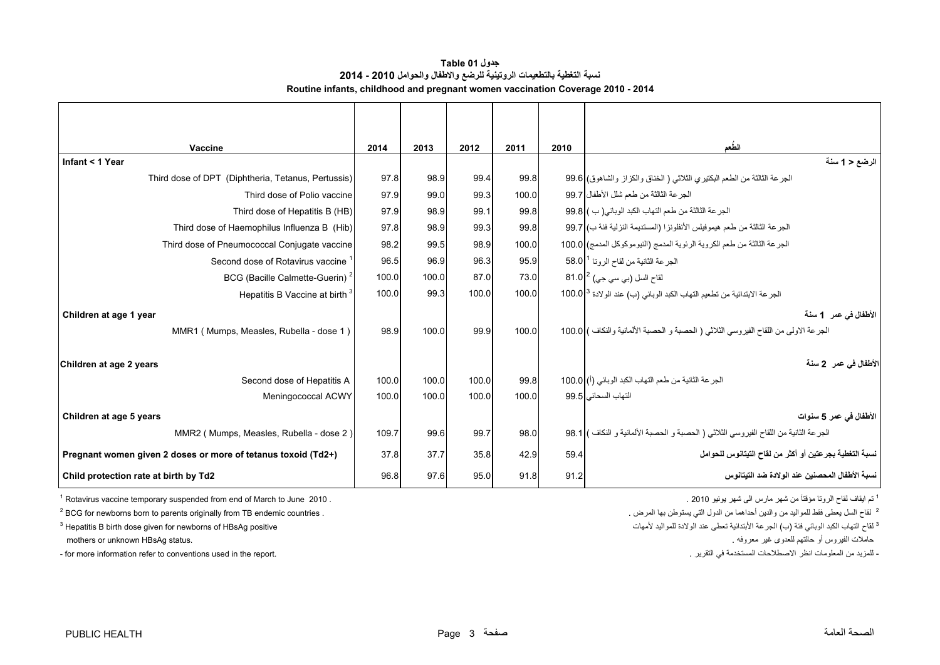<span id="page-3-0"></span>

| Vaccine                                                       | 2014  | 2013  | 2012  | 2011  | 2010 | الطعم                                                                                 |
|---------------------------------------------------------------|-------|-------|-------|-------|------|---------------------------------------------------------------------------------------|
| Infant < 1 Year                                               |       |       |       |       |      | الرضع < 1 سنة                                                                         |
| Third dose of DPT (Diphtheria, Tetanus, Pertussis)            | 97.8  | 98.9  | 99.4  | 99.8  |      | الجرعة الثالثة من الطعم البكتير ي الثلاثي ( الخناق والكزاز والشاهوق) 99.6             |
| Third dose of Polio vaccine                                   | 97.9  | 99.0  | 99.3  | 100.0 |      | الجر عة الثالثة من طعم شلل الأطفال   99.7                                             |
| Third dose of Hepatitis B (HB)                                | 97.9  | 98.9  | 99.1  | 99.8  |      | الجرعة الثالثة من طعم التهاب الكبد الوبائي( ب ) 99.8                                  |
| Third dose of Haemophilus Influenza B (Hib)                   | 97.8  | 98.9  | 99.3  | 99.8  |      | الجرعة الثالثة من طعم هيموفيلس الأنفلونزا (المستديمة النزلية فئة ب)  99.7             |
| Third dose of Pneumococcal Conjugate vaccine                  | 98.2  | 99.5  | 98.9  | 100.0 |      | الجر عة الثالثة من طعم الكروية الرئوية المدمج (النيوموكوكل المدمج) 100.0 1            |
| Second dose of Rotavirus vaccine                              | 96.5  | 96.9  | 96.3  | 95.9  |      | الجرعة الثانية من لقاح الروتا <sup>1</sup>  58.0                                      |
| BCG (Bacille Calmette-Guerin) <sup>2</sup>                    | 100.0 | 100.0 | 87.0  | 73.0  |      | لقاح السل (بي سي جي) <sup>2</sup>  81.0                                               |
| Hepatitis B Vaccine at birth <sup>3</sup>                     | 100.0 | 99.3  | 100.0 | 100.0 |      | الجرعة الابتدائية من تطعيم التهاب الكبد الوبائي (ب) عند الولادة 3 100.0               |
| Children at age 1 year                                        |       |       |       |       |      | الأطفال في عمر 1 سنة                                                                  |
| MMR1 (Mumps, Measles, Rubella - dose 1)                       | 98.9  | 100.0 | 99.9  | 100.0 |      | الجر عة الاولى من اللقاح الفيروسي الثلاثي ( الحصبة و الحصبة الألمانية والنكاف ) 100.0 |
| Children at age 2 years                                       |       |       |       |       |      | الأطفال في عمر   2 سنة                                                                |
| Second dose of Hepatitis A                                    | 100.0 | 100.0 | 100.0 | 99.8  |      | الجر عة الثانية من طعم التهاب الكبد الوبائي (أ) 100.0                                 |
| Meningococcal ACWY                                            | 100.0 | 100.0 | 100.0 | 100.0 |      | التهاب السحائي 99.5                                                                   |
| Children at age 5 years                                       |       |       |       |       |      | الأطفال في عمر 5 سنوات                                                                |
| MMR2 (Mumps, Measles, Rubella - dose 2)                       | 109.7 | 99.6  | 99.7  | 98.0  |      | الجرعة الثانية من اللقاح الفيروسي الثلاثي ( الحصبة و الحصبة الألمانية و النكاف ) 98.1 |
| Pregnant women given 2 doses or more of tetanus toxoid (Td2+) | 37.8  | 37.7  | 35.8  | 42.9  | 59.4 | نسبة التغطية بجر عتين أو أكثر من لقاح التيتانوس للحوامل                               |
| Child protection rate at birth by Td2                         | 96.8  | 97.6  | 95.0  | 91.8  | 91.2 | نسبة الأطفال المحصنين عند الولادة ضد التيتانوس                                        |

**جدول 01 Table نسبة التغطية بالتطعيمات الروتينية للرضع واالطفال والحوامل 2010 - 2014 Routine infants, childhood and pregnant women vaccination Coverage 2010 - 2014**

 $1$  Rotavirus vaccine temporary suspended from end of March to June 2010 .

 $12$  BCG for newborns born to parents originally from TB endemic countries .

 $3$  Hepatitis B birth dose given for newborns of HBsAg positive

mothers or unknown HBsAg status.

.<br>- for more information refer to conventions used in the report. التقرير من المعلومات انظر الاصطلاحات المعنكدمة في التقرير .

<sup>1</sup> تم ايقاف لقاح الروتا مؤقتاً من شهر مارس ال<sub>ى</sub> شهر يونيو 2010 .

<sup>2</sup> لقاح السل يعطي فقط للمواليد من والدين أحداهما من الدول التي يستوطن بها المرض <sub>.</sub>

3 لقاح التھاب الكبد الوبائي فئة (<sup>ب</sup>

حاملات الفيروس أو حالتهم للعدوى غير معروفه .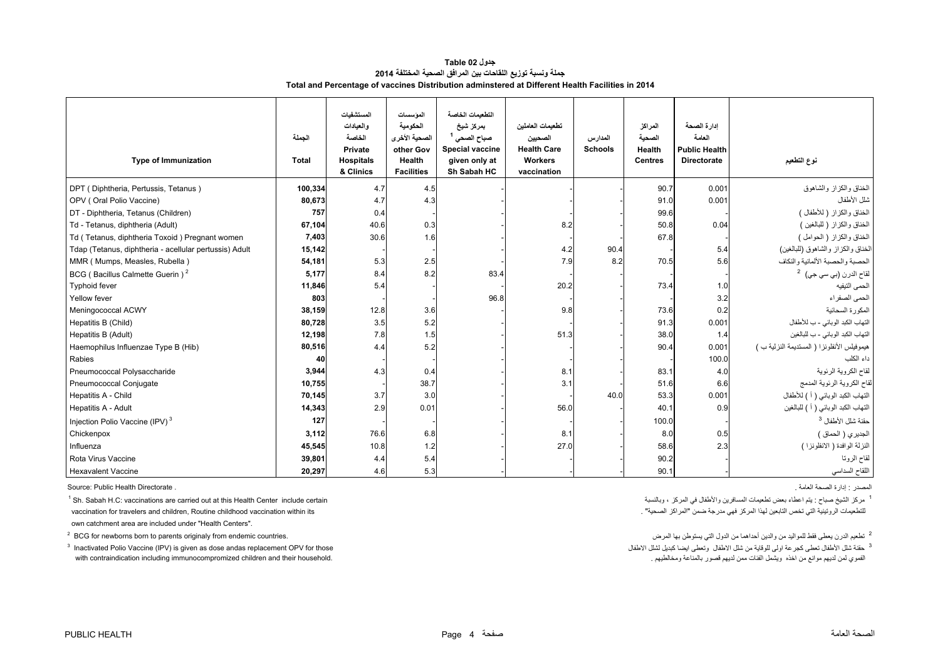#### **جدول 02 Table جملة ونسبة توزيع اللقاحات بين المرافق الصحية المختلفة <sup>2014</sup> Total and Percentage of vaccines Distribution adminstered at Different Health Facilities in 2014**

<span id="page-4-0"></span>

| <b>Type of Immunization</b>                            | الجملة<br><b>Total</b> | المستشفيات<br>و العبادات<br>الخاصة<br>Private<br><b>Hospitals</b><br>& Clinics | الموسسات<br>الحكومية<br>الصحية الأخرى<br>other Gov<br>Health<br><b>Facilities</b> | التطعيمات الخاصة<br>بمركز شيخ<br>صباح الصحى <sup>1</sup><br><b>Special vaccine</b><br>given only at<br>Sh Sabah HC | تطعيمات العاملين<br>الصحيين<br><b>Health Care</b><br><b>Workers</b><br>vaccination | المدارس<br><b>Schools</b> | المراكز<br>الصحبة<br>Health<br><b>Centres</b> | ادار ة الصحة<br>العامة<br><b>Public Health</b><br><b>Directorate</b> | نوع التطعيم                                 |
|--------------------------------------------------------|------------------------|--------------------------------------------------------------------------------|-----------------------------------------------------------------------------------|--------------------------------------------------------------------------------------------------------------------|------------------------------------------------------------------------------------|---------------------------|-----------------------------------------------|----------------------------------------------------------------------|---------------------------------------------|
| DPT (Diphtheria, Pertussis, Tetanus)                   | 100,334                | 4.7                                                                            | 4.5                                                                               |                                                                                                                    |                                                                                    |                           | 90.7                                          | 0.001                                                                | الخناق والكزاز والشاهوق                     |
| OPV (Oral Polio Vaccine)                               | 80,673                 | 4.7                                                                            | 4.3                                                                               |                                                                                                                    |                                                                                    |                           | 91.0                                          | 0.001                                                                | شلل الأطفال                                 |
| DT - Diphtheria, Tetanus (Children)                    | 757                    | 0.4                                                                            |                                                                                   |                                                                                                                    |                                                                                    |                           | 99.6                                          |                                                                      | الخناق والكزاز ( للأطفال )                  |
| Td - Tetanus, diphtheria (Adult)                       | 67,104                 | 40.6                                                                           | 0.3                                                                               |                                                                                                                    | 8.2                                                                                |                           | 50.8                                          | 0.04                                                                 | الخناق والكزاز (للبالغين )                  |
| Td (Tetanus, diphtheria Toxoid) Pregnant women         | 7,403                  | 30.6                                                                           | 1.6                                                                               |                                                                                                                    |                                                                                    |                           | 67.8                                          |                                                                      | الخناق والكزاز ( الحوامل )                  |
| Tdap (Tetanus, diphtheria - acellular pertussis) Adult | 15,142                 |                                                                                |                                                                                   |                                                                                                                    | 4.2                                                                                | 90.4                      |                                               | 5.4                                                                  | الخناق والكزاز والشاهوق (للبالغين)          |
| MMR (Mumps, Measles, Rubella)                          | 54,181                 | 5.3                                                                            | 2.5                                                                               |                                                                                                                    | 7.9                                                                                | 8.2                       | 70.5                                          | 5.6                                                                  | الحصبة والحصبة الألمانية والنكاف            |
| BCG (Bacillus Calmette Guerin) <sup>2</sup>            | 5,177                  | 8.4                                                                            | 8.2                                                                               | 83.4                                                                                                               |                                                                                    |                           |                                               |                                                                      | لقاح الدرن (بي سي جي) <sup>2</sup>          |
| <b>Typhoid fever</b>                                   | 11,846                 | 5.4                                                                            |                                                                                   |                                                                                                                    | 20.2                                                                               |                           | 73.4                                          | 1.0                                                                  | الحمى التيفيه                               |
| Yellow fever                                           | 803                    |                                                                                |                                                                                   | 96.8                                                                                                               |                                                                                    |                           |                                               | 3.2                                                                  | الحمى الصفر اء                              |
| Meningococcal ACWY                                     | 38,159                 | 12.8                                                                           | 3.6                                                                               |                                                                                                                    | 9.8                                                                                |                           | 73.6                                          | 0.2                                                                  | المكورة السحائية                            |
| Hepatitis B (Child)                                    | 80,728                 | 3.5                                                                            | 5.2                                                                               |                                                                                                                    |                                                                                    |                           | 91.3                                          | 0.001                                                                | التهاب الكبد الوبائي - ب للأطفال            |
| Hepatitis B (Adult)                                    | 12,198                 | 7.8                                                                            | 1.5                                                                               |                                                                                                                    | 51.3                                                                               |                           | 38.0                                          | 1.4                                                                  | التهاب الكبد الوباني - ب للبالغين           |
| Haemophilus Influenzae Type B (Hib)                    | 80,516                 | 4.4                                                                            | 5.2                                                                               |                                                                                                                    |                                                                                    |                           | 90.4                                          | 0.001                                                                | هيموفيلس الأنفلونزا ( المستديمة النزلية ب ) |
| Rabies                                                 | 40                     |                                                                                |                                                                                   |                                                                                                                    |                                                                                    |                           |                                               | 100.0                                                                | داء الكلب                                   |
| Pneumococcal Polysaccharide                            | 3,944                  | 4.3                                                                            | 0.4                                                                               |                                                                                                                    | 8.1                                                                                |                           | 83.1                                          | 4.0                                                                  | لقاح الكروية الرئوية                        |
| Pneumococcal Conjugate                                 | 10,755                 |                                                                                | 38.7                                                                              |                                                                                                                    | 3.1                                                                                |                           | 51.6                                          | 6.6                                                                  | لقاح الكروية الرنوية المدمج                 |
| Hepatitis A - Child                                    | 70,145                 | 3.7                                                                            | 3.0                                                                               |                                                                                                                    |                                                                                    | 40.0                      | 53.3                                          | 0.001                                                                | التهاب الكبد الوبائي ( أ ) للأطفال          |
| Hepatitis A - Adult                                    | 14,343                 | 2.9                                                                            | 0.01                                                                              |                                                                                                                    | 56.0                                                                               |                           | 40.1                                          | 0.9                                                                  | التهاب الكبد الوبائي ( أ ) للبالغين         |
| Injection Polio Vaccine (IPV) <sup>3</sup>             | 127                    |                                                                                |                                                                                   |                                                                                                                    |                                                                                    |                           | 100.0                                         |                                                                      | حقنة شلل الأطفال <sup>3</sup>               |
| Chickenpox                                             | 3,112                  | 76.6                                                                           | 6.8                                                                               |                                                                                                                    | 8.1                                                                                |                           | 8.0                                           | 0.5                                                                  | الجديري ( الحماق )                          |
| Influenza                                              | 45,545                 | 10.8                                                                           | 1.2                                                                               |                                                                                                                    | 27.0                                                                               |                           | 58.6                                          | 2.3                                                                  | النزلة الوافدة ( الانفلونزا )               |
| Rota Virus Vaccine                                     | 39,801                 | 4.4                                                                            | 5.4                                                                               |                                                                                                                    |                                                                                    |                           | 90.2                                          |                                                                      | لقاح الروتا                                 |
| <b>Hexavalent Vaccine</b>                              | 20,297                 | 4.6                                                                            | 5.3                                                                               |                                                                                                                    |                                                                                    |                           | 90.1                                          |                                                                      | اللقاح السداسي                              |

المصدر : إدارة الصحة العامة . . Directorate Health Public :Source

للتطعيمات الروتينية التي تخص التابعين لهذا المركز فهي مدرجة ضمن "المراكز الصحية" . its within its within its w<br>vaccination for travelers and children, Routine childhood vaccination within its own catchment area are included under "Health Centers".

<sup>2</sup> BCG for newborns born to parents originaly from endemic countries.

 $3$  Inactivated Polio Vaccine (IPV) is given as dose andas replacement OPV for those الفموي لمن لديھم موانع من لديھم قصور بالمناعة ومخالطيھم . .<br>Mith contraindication including immunocompromized children and their household.

م كن الشيخ صباح : يتم اعطاء بعض تطعيمات المسافرين والأطفال في المركز ، وبالنسبة المركز والأطفال في المركز ، وبالنسبة ، المسافرين والأطفال في المركز ، وبالنسبة ، والنسبة ، وبالنسبة ، وبالنسبة ، وبالنسبة ، وبالنسبة ، وبالنس

<sup>2</sup> تطعيم الدر ن يعطي فقط للمو اليد من والدين أحداهما من الدول التي يستوطن بها المرض

3 حقنة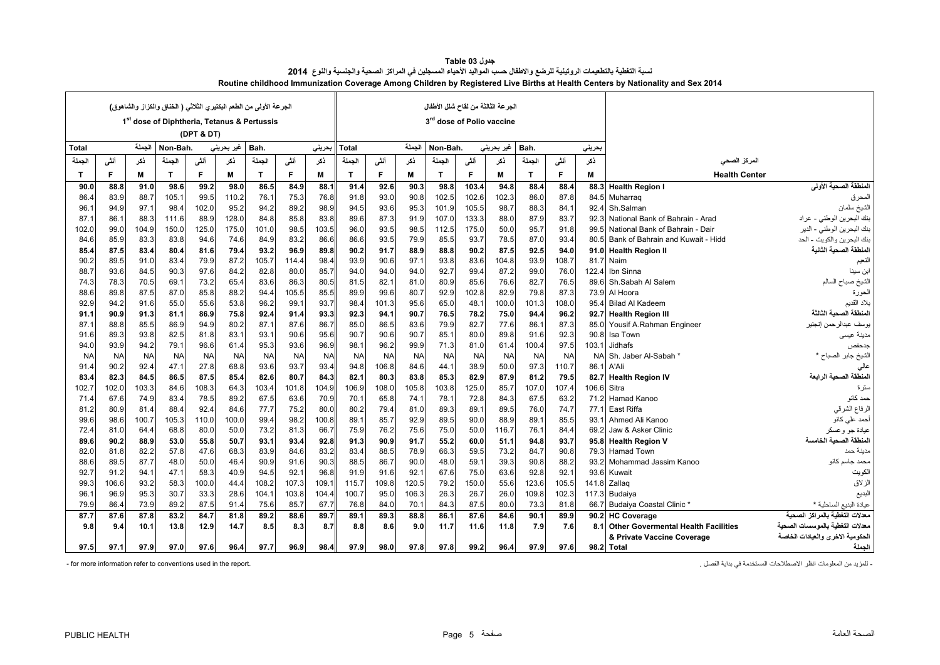<span id="page-5-0"></span>

|              | الجرعة الأولى من الطعم البكتير ي الثلاثي ( الخناق والكزاز والشاهوق)<br>1 <sup>st</sup> dose of Diphtheria, Tetanus & Pertussis |           |              |            |                    |           |           |           |           |           |           | الجرعة الثالثة من لقاح شلل الأطفال |           |            |              |           |             |                                         |                                  |
|--------------|--------------------------------------------------------------------------------------------------------------------------------|-----------|--------------|------------|--------------------|-----------|-----------|-----------|-----------|-----------|-----------|------------------------------------|-----------|------------|--------------|-----------|-------------|-----------------------------------------|----------------------------------|
|              |                                                                                                                                |           |              |            |                    |           |           |           |           |           |           | 3rd dose of Polio vaccine          |           |            |              |           |             |                                         |                                  |
|              |                                                                                                                                |           |              | (DPT & DT) |                    |           |           |           |           |           |           |                                    |           |            |              |           |             |                                         |                                  |
| <b>Total</b> |                                                                                                                                | الجملة    | Non-Bah.     |            | غیر بحرین <i>ی</i> | Bah.      |           | بحريني    | Total     |           | الجملة    | Non-Bah.                           |           | غیر بحرینی | Bah.         |           | بحريني      |                                         |                                  |
| الجملة       | أننى                                                                                                                           | ڏکر       | الجملة       | أننى       | ذكر                | الجملة    | أنشى      | ڏکر       | الجملة    | أنفى      | ذكر       | الحملة                             | أننى      | ذكر        | الجملة       | أننى      | ڏکر         | المركز الصحى                            |                                  |
| T            | F.                                                                                                                             | М         | $\mathsf{T}$ | F          | M                  | T.        | F         | M         | T         | F.        | М         | $\mathbf{T}$                       | F         | М          | $\mathbf{T}$ | F         | M           | <b>Health Center</b>                    |                                  |
| 90.0         | 88.8                                                                                                                           | 91.0      | 98.6         | 99.2       | 98.0               | 86.5      | 84.9      | 88.1      | 91.4      | 92.6      | 90.3      | 98.8                               | 103.4     | 94.8       | 88.4         | 88.4      | 88.3        | <b>Health Region I</b>                  | المنطقة الصحية الأولى            |
| 86.4         | 83.9                                                                                                                           | 88.7      | 105.1        | 99.5       | 110.2              | 76.1      | 75.3      | 76.8      | 91.8      | 93.0      | 90.8      | 102.5                              | 102.6     | 102.3      | 86.0         | 87.8      |             | 84.5 Muharraq                           | المحرق                           |
| 96.          | 94.9                                                                                                                           | 97.1      | 98.4         | 102.0      | 95.2               | 94.2      | 89.2      | 98.9      | 94.5      | 93.6      | 95.3      | 101.9                              | 105.5     | 98.7       | 88.3         | 84.1      |             | 92.4 Sh.Salman                          | الشيخ سلمان                      |
| 87.1         | 86.1                                                                                                                           | 88.3      | 111.6        | 88.9       | 128.0              | 84.8      | 85.8      | 83.8      | 89.6      | 87.3      | 91.9      | 107.0                              | 133.3     | 88.0       | 87.9         | 83.7      |             | 92.3 National Bank of Bahrain - Arad    | بنك البحرين الوطني - عراد        |
| 102.0        | 99.0                                                                                                                           | 104.9     | 150.0        | 125.0      | 175.0              | 101.0     | 98.5      | 103.5     | 96.0      | 93.5      | 98.5      | 112.5                              | 175.0     | 50.0       | 95.7         | 91.8      | 99.5        | National Bank of Bahrain - Dair         | بنك البحرين الوطني - الدير       |
| 84.6         | 85.9                                                                                                                           | 83.3      | 83.8         | 94.6       | 74.6               | 84.9      | 83.2      | 86.6      | 86.6      | 93.5      | 79.9      | 85.5                               | 93.7      | 78.5       | 87.0         | 93.4      |             | 80.5 Bank of Bahrain and Kuwait - Hidd  | بنك البحرين والكويت - الحد       |
| 85.4         | 87.5                                                                                                                           | 83.4      | 80.4         | 81.6       | 79.4               | 93.2      | 96.9      | 89.8      | 90.2      | 91.7      | 88.9      | 88.8                               | 90.2      | 87.5       | 92.5         | 94.0      |             | 91.0 Health Region II                   | المنطقة الصحية الثانية           |
| 90.2         | 89.5                                                                                                                           | 91.0      | 83.4         | 79.9       | 87.2               | 105.7     | 114.4     | 98.4      | 93.9      | 90.6      | 97.1      | 93.8                               | 83.6      | 104.8      | 93.9         | 108.7     |             | 81.7 Naim                               | النعيم                           |
| 88.7         | 93.6                                                                                                                           | 84.5      | 90.3         | 97.6       | 84.2               | 82.8      | 80.0      | 85.7      | 94.0      | 94.0      | 94.0      | 92.7                               | 99.4      | 87.2       | 99.0         | 76.0      | 122.4       | Ibn Sinna                               | ابن سينا                         |
| 74.3         | 78.3                                                                                                                           | 70.5      | 69.1         | 73.2       | 65.4               | 83.6      | 86.3      | 80.5      | 81.5      | 82.1      | 81.0      | 80.9                               | 85.6      | 76.6       | 82.7         | 76.5      |             | 89.6 Sh.Sabah Al Salem                  | الشيخ صباح السالم                |
| 88.6         | 89.8                                                                                                                           | 87.5      | 87.0         | 85.8       | 88.2               | 94.4      | 105.5     | 85.5      | 89.9      | 99.6      | 80.7      | 92.9                               | 102.8     | 82.9       | 79.8         | 87.3      |             | 73.9 Al Hoora                           | الحورة                           |
| 92.9         | 94.2                                                                                                                           | 91.6      | 55.0         | 55.6       | 53.8               | 96.2      | 99.1      | 93.7      | 98.4      | 101.3     | 95.6      | 65.0                               | 48.1      | 100.0      | 101.3        | 108.0     |             | 95.4 Bilad Al Kadeem                    | بلاد القديم                      |
| 91.1         | 90.9                                                                                                                           | 91.3      | 81.1         | 86.9       | 75.8               | 92.4      | 91.4      | 93.3      | 92.3      | 94.1      | 90.7      | 76.5                               | 78.2      | 75.0       | 94.4         | 96.2      |             | 92.7 Health Region III                  | المنطقة الصحية الثالثة           |
| 87.1         | 88.8                                                                                                                           | 85.5      | 86.9         | 94.9       | 80.2               | 87.1      | 87.6      | 86.7      | 85.0      | 86.5      | 83.6      | 79.9                               | 82.7      | 77.6       | 86.1         | 87.3      |             | 85.0 Yousif A.Rahman Engineer           | يوسف عبدالرحمن إنجنير            |
| 91.6         | 89.3                                                                                                                           | 93.8      | 82.5         | 81.8       | 83.1               | 93.1      | 90.6      | 95.6      | 90.7      | 90.6      | 90.7      | 85.1                               | 80.0      | 89.8       | 91.6         | 92.3      | 90.8        | Isa Town                                | مدينة عيسى                       |
| 94.0         | 93.9                                                                                                                           | 94.2      | 79.1         | 96.6       | 61.4               | 95.3      | 93.6      | 96.9      | 98.1      | 96.2      | 99.9      | 71.3                               | 81.0      | 61.4       | 100.4        | 97.5      | 103.1       | <b>Jidhafs</b>                          | جدحفص                            |
| <b>NA</b>    | <b>NA</b>                                                                                                                      | <b>NA</b> | <b>NA</b>    | <b>NA</b>  | <b>NA</b>          | <b>NA</b> | <b>NA</b> | <b>NA</b> | <b>NA</b> | <b>NA</b> | <b>NA</b> | <b>NA</b>                          | <b>NA</b> | <b>NA</b>  | <b>NA</b>    | <b>NA</b> | <b>NA</b>   | Sh. Jaber Al-Sabah                      | الشيخ جابر الصباح *              |
| 91.4         | 90.2                                                                                                                           | 92.4      | 47.1         | 27.8       | 68.8               | 93.6      | 93.7      | 93.4      | 94.8      | 106.8     | 84.6      | 44.1                               | 38.9      | 50.0       | 97.3         | 110.7     | 86.1        | A'Ali                                   | عالي                             |
| 83.4         | 82.3                                                                                                                           | 84.5      | 86.5         | 87.5       | 85.4               | 82.6      | 80.7      | 84.3      | 82.1      | 80.3      | 83.8      | 85.3                               | 82.9      | 87.9       | 81.2         | 79.5      | 82.7        | <b>Health Region IV</b>                 | المنطقة الصحية الرابعة           |
| 102.7        | 102.0                                                                                                                          | 103.3     | 84.6         | 108.3      | 64.3               | 103.4     | 101.8     | 104.9     | 106.9     | 108.0     | 105.8     | 103.8                              | 125.0     | 85.7       | 107.0        | 107.4     | 106.6 Sitra |                                         | ستر ۃ                            |
| 71.4         | 67.6                                                                                                                           | 74.9      | 83.4         | 78.5       | 89.2               | 67.5      | 63.6      | 70.9      | 70.1      | 65.8      | 74.1      | 78.1                               | 72.8      | 84.3       | 67.5         | 63.2      |             | 71.2 Hamad Kanoo                        | حمد كانو                         |
| 81.2         | 80.9                                                                                                                           | 81.4      | 88.4         | 92.4       | 84.6               | 77.7      | 75.2      | 80.0      | 80.2      | 79.4      | 81.0      | 89.3                               | 89.1      | 89.5       | 76.0         | 74.7      |             | 77.1 East Riffa                         | الرفاع الشرقي                    |
| 99.6         | 98.6                                                                                                                           | 100.7     | 105.3        | 110.0      | 100.0              | 99.4      | 98.2      | 100.8     | 89.1      | 85.7      | 92.9      | 89.5                               | 90.0      | 88.9       | 89.1         | 85.5      | 93.1        | Ahmed Ali Kanoo                         | أحمد علمي كانو                   |
| 72.4         | 81.0                                                                                                                           | 64.4      | 68.8         | 80.0       | 50.0               | 73.2      | 81.3      | 66.7      | 75.9      | 76.2      | 75.6      | 75.0                               | 50.0      | 116.7      | 76.1         | 84.4      | 69.2        | Jaw & Asker Clinic                      | عيادة جو وعسكر                   |
| 89.6         | 90.2                                                                                                                           | 88.9      | 53.0         | 55.8       | 50.7               | 93.1      | 93.4      | 92.8      | 91.3      | 90.9      | 91.7      | 55.2                               | 60.0      | 51.1       | 94.8         | 93.7      |             | 95.8 Health Region V                    | المنطقة الصحبة الخامسة           |
| 82.0         | 81.8                                                                                                                           | 82.2      | 57.8         | 47.6       | 68.3               | 83.9      | 84.6      | 83.2      | 83.4      | 88.5      | 78.9      | 66.3                               | 59.5      | 73.2       | 84.7         | 90.8      |             | 79.3 Hamad Town                         | مدينة حمد                        |
| 88.6         | 89.5                                                                                                                           | 87.7      | 48.0         | 50.0       | 46.4               | 90.9      | 91.6      | 90.3      | 88.5      | 86.7      | 90.0      | 48.0                               | 59.1      | 39.3       | 90.8         | 88.2      | 93.2        | Mohammad Jassim Kanoo                   | محمد جاسم كانو                   |
| 92.7         | 91.2                                                                                                                           | 94.1      | 47.1         | 58.3       | 40.9               | 94.5      | 92.1      | 96.8      | 91.9      | 91.6      | 92.1      | 67.6                               | 75.0      | 63.6       | 92.8         | 92.1      | 93.6        | Kuwait                                  | الكويت                           |
| 99.3         | 106.6                                                                                                                          | 93.2      | 58.3         | 100.0      | 44.4               | 108.2     | 107.3     | 109.1     | 115.7     | 109.8     | 120.5     | 79.2                               | 150.0     | 55.6       | 123.6        | 105.5     |             | 141.8 Zallag                            | الزلاق                           |
| 96.          | 96.9                                                                                                                           | 95.3      | 30.7         | 33.3       | 28.6               | 104.1     | 103.8     | 104.4     | 100.7     | 95.0      | 106.3     | 26.3                               | 26.7      | 26.0       | 109.8        | 102.3     |             | 117.3 Budaiya                           | البديع                           |
| 79.9         | 86.4                                                                                                                           | 73.9      | 89.2         | 87.5       | 91.4               | 75.6      | 85.7      | 67.7      | 76.8      | 84.0      | 70.1      | 84.3                               | 87.5      | 80.0       | 73.3         | 81.8      |             | 66.7 Budaiya Coastal Clinic *           | عيادة البديع الساحلية *          |
| 87.7         | 87.6                                                                                                                           | 87.8      | 83.2         | 84.7       | 81.8               | 89.2      | 88.6      | 89.7      | 89.1      | 89.3      | 88.8      | 86.1                               | 87.6      | 84.6       | 90.1         | 89.9      |             | 90.2 HC Coverage                        | معدلات التغطية بالمر اكز الصحبة  |
| 9.8          | 9.4                                                                                                                            | 10.1      | 13.8         | 12.9       | 14.7               | 8.5       | 8.3       | 8.7       | 8.8       | 8.6       | 9.0       | 11.7                               | 11.6      | 11.8       | 7.9          | 7.6       |             | 8.1 Other Govermental Health Facilities | معالات التغطية بالموسسات الصحبة  |
|              |                                                                                                                                |           |              |            |                    |           |           |           |           |           |           |                                    |           |            |              |           |             | & Private Vaccine Coverage              | الحكومية الاخرى والعيادات الخاصة |
| 97.5         | 97.1                                                                                                                           | 97.9      | 97.0         | 97.6       | 96.4               | 97.7      | 96.9      | 98.4      | 97.9      | 98.0      | 97.8      | 97.8                               | 99.2      | 96.4       | 97.9         | 97.6      |             | 98.2 Total                              | الجملة                           |

| جدول Table 03                                                                                                                  |
|--------------------------------------------------------------------------------------------------------------------------------|
| نسبة التغطية بالتطعيمات الروتينية للرضع والاطفال حسب المواليد الأحياء المسجلين في المراكز الصحية والجنسية والنوع  2014         |
| Routine childhood Immunization Coverage Among Children by Registered Live Births at Health Centers by Nationality and Sex 2014 |

.<br>- المزيد من المعلومات انظر الإصطلاحات المستخدمة في بداية الفصل . [1] - المزيد من المعلومات انظر المعلومات انظر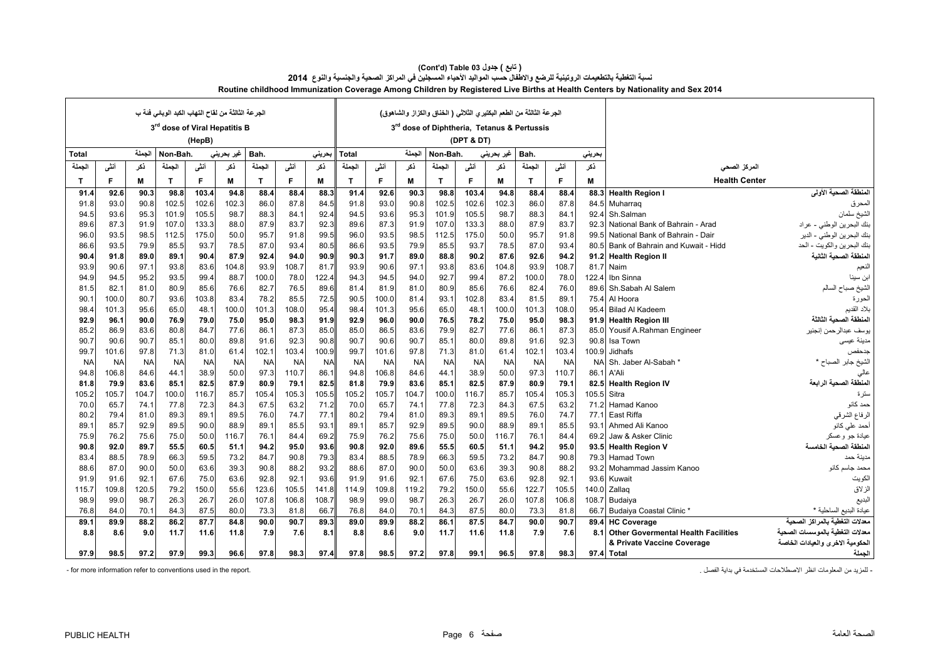|              |           |           | الجرعة الثالثة من لقاح التهاب الكبد الوباني فَنهَ ب<br>3 <sup>rd</sup> dose of Viral Hepatitis B |           |            |           |           |           |              |           |           | الجرعة الثالثة من الطعم البكتير ي الثلاثي ( الخناق والكزاز والشاهوق)<br>3rd dose of Diphtheria, Tetanus & Pertussis |            |            |           |           |           |                                     |                                  |
|--------------|-----------|-----------|--------------------------------------------------------------------------------------------------|-----------|------------|-----------|-----------|-----------|--------------|-----------|-----------|---------------------------------------------------------------------------------------------------------------------|------------|------------|-----------|-----------|-----------|-------------------------------------|----------------------------------|
|              |           |           |                                                                                                  | (HepB)    |            |           |           |           |              |           |           |                                                                                                                     | (DPT & DT) |            |           |           |           |                                     |                                  |
| <b>Total</b> |           | الجملة    | Non-Bah.                                                                                         |           | غير بحريني | Bah.      |           | بحرينى    | Total        |           | الجملة    | Non-Bah.                                                                                                            |            | غير بحريني | Bah.      |           | بحريني    |                                     |                                  |
| الجملة       | أننى      | ڏکر       | الجملة                                                                                           | أننس      | نكر        | الحملة    | أنشى      | ڏکر       | الجملة       | أننى      | ذكر       | الجملة                                                                                                              | أننسى      | ذكر        | الحملة    | أننسى     | ذكر       | المركز الصحى                        |                                  |
| $\mathbf{T}$ | F         | M         | T                                                                                                | F         | M          | T         | F         | М         | $\mathsf{T}$ | F         | М         | $\mathbf{T}$                                                                                                        | F          | M          | T         | F         | M         | <b>Health Center</b>                |                                  |
| 91.4         | 92.6      | 90.3      | 98.8                                                                                             | 103.4     | 94.8       | 88.4      | 88.4      | 88.3      | 91.4         | 92.6      | 90.3      | 98.8                                                                                                                | 103.4      | 94.8       | 88.4      | 88.4      | 88.3      | <b>Health Region I</b>              | المنطقة الصحية الأولى            |
| 91.8         | 93.0      | 90.8      | 102.5                                                                                            | 102.6     | 102.3      | 86.0      | 87.8      | 84.5      | 91.8         | 93.0      | 90.8      | 102.5                                                                                                               | 102.6      | 102.3      | 86.0      | 87.8      | 84.5      | Muharrag                            | المحرق                           |
| 94.5         | 93.6      | 95.3      | 101.9                                                                                            | 105.5     | 98.7       | 88.3      | 84.1      | 92.4      | 94.5         | 93.6      | 95.3      | 101.9                                                                                                               | 105.5      | 98.7       | 88.3      | 84.1      | 92.4      | Sh.Salman                           | الشيخ سلمان                      |
| 89.6         | 87.3      | 91.9      | 107.0                                                                                            | 133.3     | 88.0       | 87.9      | 83.7      | 92.3      | 89.6         | 87.3      | 91.9      | 107.0                                                                                                               | 133.3      | 88.0       | 87.9      | 83.7      | 92.3      | National Bank of Bahrain - Arad     | بنك البحرين الوطني - عراد        |
| 96.0         | 93.5      | 98.5      | 112.5                                                                                            | 175.0     | 50.0       | 95.7      | 91.8      | 99.5      | 96.0         | 93.5      | 98.5      | 112.5                                                                                                               | 175.0      | 50.0       | 95.7      | 91.8      | 99.       | National Bank of Bahrain - Dair     | بنك البحرين الوطني - الدير       |
| 86.6         | 93.5      | 79.9      | 85.5                                                                                             | 93.7      | 78.5       | 87.0      | 93.4      | 80.5      | 86.6         | 93.5      | 79.9      | 85.5                                                                                                                | 93.7       | 78.5       | 87.0      | 93.4      | 80.5      | Bank of Bahrain and Kuwait - Hidd   | بنك البحرين والكويت - الحد       |
| 90.4         | 91.8      | 89.0      | 89.1                                                                                             | 90.4      | 87.9       | 92.4      | 94.0      | 90.9      | 90.3         | 91.7      | 89.0      | 88.8                                                                                                                | 90.2       | 87.6       | 92.6      | 94.2      | 91.2      | <b>Health Region II</b>             | لمنطقة الصحية الثانية            |
| 93.9         | 90.6      | 97.1      | 93.8                                                                                             | 83.6      | 104.8      | 93.9      | 108.7     | 81.7      | 93.9         | 90.6      | 97.1      | 93.8                                                                                                                | 83.6       | 104.8      | 93.9      | 108.7     | 81.7      | Naim                                | النعيم                           |
| 94.9         | 94.5      | 95.2      | 93.5                                                                                             | 99.4      | 88.7       | 100.0     | 78.0      | 122.4     | 94.3         | 94.5      | 94.0      | 92.7                                                                                                                | 99.4       | 87.2       | 100.0     | 78.0      | 122.4     | Ibn Sinna                           | ابن سينا                         |
| 81.5         | 82.1      | 81.0      | 80.9                                                                                             | 85.6      | 76.6       | 82.7      | 76.5      | 89.6      | 81.4         | 81.9      | 81.0      | 80.9                                                                                                                | 85.6       | 76.6       | 82.4      | 76.0      | 89.6      | Sh.Sabah Al Salem                   | الشيخ صباح السالم                |
| 90.1         | 100.0     | 80.7      | 93.6                                                                                             | 103.8     | 83.4       | 78.2      | 85.5      | 72.5      | 90.5         | 100.0     | 81.4      | 93.1                                                                                                                | 102.8      | 83.4       | 81.5      | 89.1      | 75.4      | Al Hoora                            | الحورة                           |
| 98.4         | 101.3     | 95.6      | 65.0                                                                                             | 48.1      | 100.0      | 101.3     | 108.0     | 95.4      | 98.4         | 101.3     | 95.6      | 65.0                                                                                                                | 48.1       | 100.0      | 101.3     | 108.0     | 95.4      | <b>Bilad Al Kadeem</b>              | بلاد القديم                      |
| 92.9         | 96.1      | 90.0      | 76.9                                                                                             | 79.0      | 75.0       | 95.0      | 98.3      | 91.9      | 92.9         | 96.0      | 90.0      | 76.5                                                                                                                | 78.2       | 75.0       | 95.0      | 98.3      | 91.9      | <b>Health Region III</b>            | المنطقة الصحية الثالثة           |
| 85.2         | 86.9      | 83.6      | 80.8                                                                                             | 84.7      | 77.6       | 86.1      | 87.3      | 85.0      | 85.0         | 86.5      | 83.6      | 79.9                                                                                                                | 82.7       | 77.6       | 86.1      | 87.3      | 85.0      | Yousif A.Rahman Engineer            | يوسف عبدالر حمن إنجنير           |
| 90.7         | 90.6      | 90.7      | 85.1                                                                                             | 80.0      | 89.8       | 91.6      | 92.3      | 90.8      | 90.7         | 90.6      | 90.7      | 85.1                                                                                                                | 80.0       | 89.8       | 91.6      | 92.3      | 90.8      | Isa Town                            | مدينة عيسى                       |
| 99.7         | 101.6     | 97.8      | 71.3                                                                                             | 81.0      | 61.4       | 102.7     | 103.4     | 100.9     | 99.7         | 101.6     | 97.8      | 71.3                                                                                                                | 81.0       | 61.4       | 102.1     | 103.4     | 100.9     | <b>Jidhafs</b>                      | جدحفص                            |
| <b>NA</b>    | <b>NA</b> | <b>NA</b> | <b>NA</b>                                                                                        | <b>NA</b> | <b>NA</b>  | <b>NA</b> | <b>NA</b> | <b>NA</b> | <b>NA</b>    | <b>NA</b> | <b>NA</b> | <b>NA</b>                                                                                                           | <b>NA</b>  | <b>NA</b>  | <b>NA</b> | <b>NA</b> | <b>NA</b> | Sh. Jaber Al-Sabah                  | لشيخ جابر الصباح *               |
| 94.8         | 106.8     | 84.6      | 44.1                                                                                             | 38.9      | 50.0       | 97.3      | 110.7     | 86.1      | 94.8         | 106.8     | 84.6      | 44.1                                                                                                                | 38.9       | 50.0       | 97.3      | 110.7     | 86.       | A'Ali                               | عالى                             |
| 81.8         | 79.9      | 83.6      | 85.1                                                                                             | 82.5      | 87.9       | 80.9      | 79.1      | 82.5      | 81.8         | 79.9      | 83.6      | 85.1                                                                                                                | 82.5       | 87.9       | 80.9      | 79.1      | 82.5      | <b>Health Region IV</b>             | المنطقة الصحية الرابعة           |
| 105.2        | 105.7     | 104.7     | 100.0                                                                                            | 116.7     | 85.7       | 105.4     | 105.3     | 105.5     | 105.2        | 105.7     | 104.7     | 100.0                                                                                                               | 116.7      | 85.7       | 105.4     | 105.3     | 105.5     | Sitra                               | سترة                             |
| 70.0         | 65.7      | 74.1      | 77.8                                                                                             | 72.3      | 84.3       | 67.5      | 63.2      | 71.2      | 70.0         | 65.7      | 74.1      | 77.8                                                                                                                | 72.3       | 84.3       | 67.5      | 63.2      |           | 71.2 Hamad Kanoo                    | حمد كانو                         |
| 80.2         | 79.4      | 81.0      | 89.3                                                                                             | 89.1      | 89.5       | 76.0      | 74.7      | 77.1      | 80.2         | 79.4      | 81.0      | 89.3                                                                                                                | 89.1       | 89.5       | 76.0      | 74.7      | 77.1      | East Riffa                          | الرفاع الشرقي                    |
| 89.7         | 85.7      | 92.9      | 89.5                                                                                             | 90.0      | 88.9       | 89.1      | 85.5      | 93.1      | 89.1         | 85.7      | 92.9      | 89.5                                                                                                                | 90.0       | 88.9       | 89.1      | 85.5      | 93.       | Ahmed Ali Kanoo                     | أحمد علمى كانو                   |
| 75.9         | 76.2      | 75.6      | 75.0                                                                                             | 50.0      | 116.7      | 76.1      | 84.4      | 69.2      | 75.9         | 76.2      | 75.6      | 75.0                                                                                                                | 50.0       | 116.7      | 76.1      | 84.4      | 69.2      | Jaw & Asker Clinic                  | عيادة جو وعسكر                   |
| 90.8         | 92.0      | 89.7      | 55.5                                                                                             | 60.5      | 51.1       | 94.2      | 95.0      | 93.6      | 90.8         | 92.0      | 89.6      | 55.5                                                                                                                | 60.5       | 51.1       | 94.2      | 95.0      |           | 93.5 Health Region V                | المنطقة الصحبة الخامسة           |
| 83.4         | 88.5      | 78.9      | 66.3                                                                                             | 59.5      | 73.2       | 84.7      | 90.8      | 79.3      | 83.4         | 88.5      | 78.9      | 66.3                                                                                                                | 59.5       | 73.2       | 84.7      | 90.8      | 79.3      | <b>Hamad Town</b>                   | مدينة حمد                        |
| 88.6         | 87.0      | 90.0      | 50.0                                                                                             | 63.6      | 39.3       | 90.8      | 88.2      | 93.2      | 88.6         | 87.0      | 90.0      | 50.0                                                                                                                | 63.6       | 39.3       | 90.8      | 88.2      | 93.2      | Mohammad Jassim Kanoo               | محمد جاسم كانو                   |
| 91.9         | 91.6      | 92.1      | 67.6                                                                                             | 75.0      | 63.6       | 92.8      | 92.1      | 93.6      | 91.9         | 91.6      | 92.1      | 67.6                                                                                                                | 75.0       | 63.6       | 92.8      | 92.1      | 93.6      | Kuwait                              | الكويت                           |
| 115.7        | 109.8     | 120.5     | 79.2                                                                                             | 150.0     | 55.6       | 123.6     | 105.5     | 141.8     | 114.9        | 109.8     | 119.2     | 79.2                                                                                                                | 150.0      | 55.6       | 122.7     | 105.5     | 140.0     | Zallag                              | الزلاق                           |
| 98.9         | 99.0      | 98.7      | 26.3                                                                                             | 26.7      | 26.0       | 107.8     | 106.8     | 108.7     | 98.9         | 99.0      | 98.7      | 26.3                                                                                                                | 26.7       | 26.0       | 107.8     | 106.8     | 108.7     | Budaiya                             | البديع                           |
| 76.8         | 84.0      | 70.1      | 84.3                                                                                             | 87.5      | 80.0       | 73.3      | 81.8      | 66.7      | 76.8         | 84.0      | 70.1      | 84.3                                                                                                                | 87.5       | 80.0       | 73.3      | 81.8      | 66.7      | <b>Budaiya Coastal Clinic '</b>     | عيادة البديع الساحلية ′          |
| 89.1         | 89.9      | 88.2      | 86.2                                                                                             | 87.7      | 84.8       | 90.0      | 90.7      | 89.3      | 89.0         | 89.9      | 88.2      | 86.1                                                                                                                | 87.5       | 84.7       | 90.0      | 90.7      | 89.4      | <b>HC Coverage</b>                  | لعدلات التغطية بالمر اكز الصحبة  |
| 8.8          | 8.6       | 9.0       | 11.7                                                                                             | 11.6      | 11.8       | 7.9       | 7.6       | 8.1       | 8.8          | 8.6       | 9.0       | 11.7                                                                                                                | 11.6       | 11.8       | 7.9       | 7.6       | 8.1       | Other Govermental Health Facilities | معدلات التغطية بالموسسات الصحية  |
|              |           |           |                                                                                                  |           |            |           |           |           |              |           |           |                                                                                                                     |            |            |           |           |           | & Private Vaccine Coverage          | الحكومية الاخرى والعيادات الخاصة |
| 97.9         | 98.5      | 97.2      | 97.9                                                                                             | 99.3      | 96.6       | 97.8      | 98.3      | 97.4      | 97.8         | 98.5      | 97.2      | 97.8                                                                                                                | 99.1       | 96.5       | 97.8      | 98.3      |           | 97.4 Total                          | الجملة                           |

**Routine childhood Immunization Coverage Among Children by Registered Live Births at Health Centers by Nationality and Sex 2014 (Cont'd) Table 03 جدول ) تابع(**  نسبة التغطية بالتطعيمات الروتينية للرضع والاطفال حسب المواليد الأحياء المسجلين في المراكز الصحية والجنسية والنوع 2014

.<br>- المزيد من المعلومات انظر الإصطلاحات المستخدمة في بداية الفصل . . . . . . المعلومات انظر الصحائحات المستخدمة في بداية الفصل . . . . . . . . . . . . . . . . . .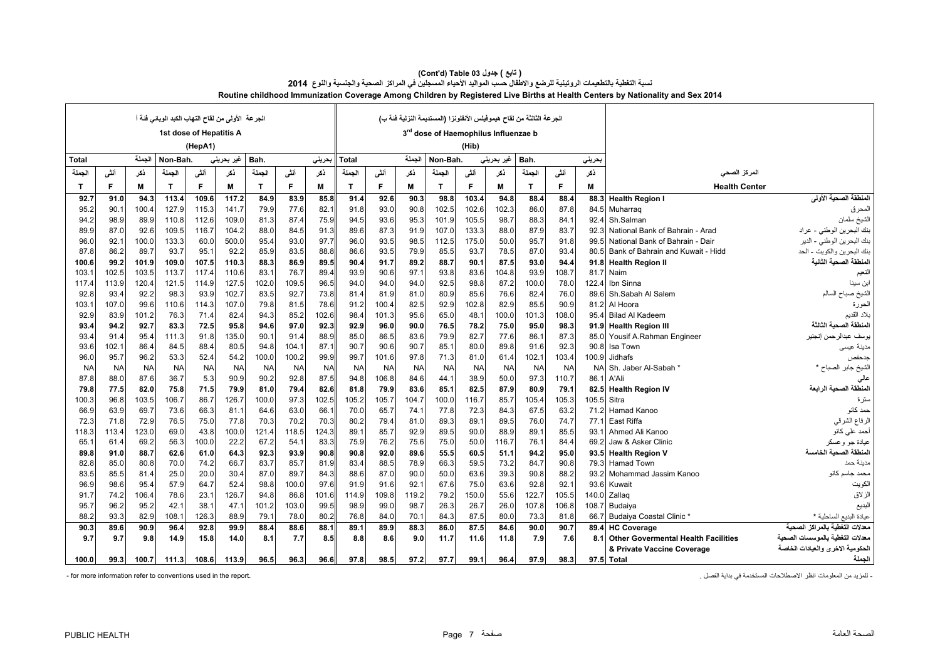| لجر عة   الأولى من لقاح التهاب الكبد الوبائي فَنْهَ أ |           |           |              |                         |            |              |           |           |           |           |           | الجرعة الثالثة من لقاح هيموفيلس الأنفلونزا (المستديمة النزلية فنة ب) |           |            |           |           |           |                                            |                                    |
|-------------------------------------------------------|-----------|-----------|--------------|-------------------------|------------|--------------|-----------|-----------|-----------|-----------|-----------|----------------------------------------------------------------------|-----------|------------|-----------|-----------|-----------|--------------------------------------------|------------------------------------|
|                                                       |           |           |              | 1st dose of Hepatitis A |            |              |           |           |           |           |           | 3rd dose of Haemophilus Influenzae b                                 |           |            |           |           |           |                                            |                                    |
|                                                       |           |           |              | (HepA1)                 |            |              |           |           |           |           |           |                                                                      | (Hib)     |            |           |           |           |                                            |                                    |
| Total                                                 |           | الحملة    | Non-Bah.     |                         | غير بحريني | Bah.         |           | حرينى     | Total     |           | الجملة    | Non-Bah.                                                             |           | غیر بحرینی | Bah.      |           | بحريني    |                                            |                                    |
| الجملة                                                | أنشى      | ڏکر       | الجملة       | أننى                    | ذكر        | الجملة       | أننى      | ڏکر       | الجملة    | أننى      | ڏکر       | الجملة                                                               | أننى      | ذكر        | الجملة    | أننى      | ڏک        | المركز الصحى                               |                                    |
| $\mathbf{T}$                                          | F         | M         | $\mathbf{T}$ | F                       | M          | $\mathbf{T}$ | F         | M         | T         | F         | М         | $\mathbf{T}$                                                         | F         | М          | T         | F         | М         | <b>Health Center</b>                       |                                    |
| 92.7                                                  | 91.0      | 94.3      | 113.4        | 109.6                   | 117.2      | 84.9         | 83.9      | 85.8      | 91.4      | 92.6      | 90.3      | 98.8                                                                 | 103.4     | 94.8       | 88.4      | 88.4      | 88.3      | <b>Health Region I</b>                     | المنطقة الصحية الأولى              |
| 95.2                                                  | 90.1      | 100.4     | 127.9        | 115.3                   | 141.7      | 79.9         | 77.6      | 82.1      | 91.8      | 93.0      | 90.8      | 102.5                                                                | 102.6     | 102.3      | 86.0      | 87.8      | 84.5      | Muharrag                                   | المحرق                             |
| 94.2                                                  | 98.9      | 89.9      | 110.8        | 112.6                   | 109.0      | 81.3         | 87.4      | 75.9      | 94.5      | 93.6      | 95.3      | 101.9                                                                | 105.5     | 98.7       | 88.3      | 84.1      | 92.4      | Sh.Salman                                  | الشيخ سلمان                        |
| 89.9                                                  | 87.0      | 92.6      | 109.5        | 116.7                   | 104.2      | 88.0         | 84.5      | 91.3      | 89.6      | 87.3      | 91.9      | 107.0                                                                | 133.3     | 88.0       | 87.9      | 83.7      | 92.       | National Bank of Bahrain - Arad            | بنك البحرين الوطني - عراد          |
| 96.0                                                  | 92.1      | 100.0     | 133.3        | 60.0                    | 500.0      | 95.4         | 93.0      | 97.7      | 96.0      | 93.5      | 98.5      | 112.5                                                                | 175.0     | 50.0       | 95.7      | 91.8      | 99.5      | National Bank of Bahrain - Dair            | بنك البحرين الوطني - الدير         |
| 87.8                                                  | 86.2      | 89.7      | 93.7         | 95.1                    | 92.2       | 85.9         | 83.5      | 88.8      | 86.6      | 93.5      | 79.9      | 85.5                                                                 | 93.7      | 78.5       | 87.0      | 93.4      | 80.5      | Bank of Bahrain and Kuwait - Hidd          | بنك البحرين والكويت - الحد         |
| 100.6                                                 | 99.2      | 101.9     | 109.0        | 107.5                   | 110.3      | 88.3         | 86.9      | 89.5      | 90.4      | 91.7      | 89.2      | 88.7                                                                 | 90.1      | 87.5       | 93.0      | 94.4      | 91.8      | <b>Health Region II</b>                    | المنطقة الصحية الثانية             |
| 103.1                                                 | 102.5     | 103.5     | 113.7        | 117.4                   | 110.6      | 83.1         | 76.7      | 89.4      | 93.9      | 90.6      | 97.1      | 93.8                                                                 | 83.6      | 104.8      | 93.9      | 108.7     | 81.7      | Naim                                       | النعيم                             |
| 117.4                                                 | 113.9     | 120.4     | 121.5        | 114.9                   | 127.5      | 102.0        | 109.5     | 96.5      | 94.0      | 94.0      | 94.0      | 92.5                                                                 | 98.8      | 87.2       | 100.0     | 78.0      | 122.4     | Ibn Sinna                                  | ابن سينا                           |
| 92.8                                                  | 93.4      | 92.2      | 98.3         | 93.9                    | 102.7      | 83.5         | 92.7      | 73.8      | 81.4      | 81.9      | 81.0      | 80.9                                                                 | 85.6      | 76.6       | 82.4      | 76.0      | 89.6      | Sh.Sabah Al Salem                          | الشيخ صباح السالم                  |
| 103.1                                                 | 107.0     | 99.6      | 110.6        | 114.3                   | 107.0      | 79.8         | 81.5      | 78.6      | 91.2      | 100.4     | 82.5      | 92.9                                                                 | 102.8     | 82.9       | 85.5      | 90.9      | 81.2      | Al Hoora                                   | الحورة                             |
| 92.9                                                  | 83.9      | 101.2     | 76.3         | 71.4                    | 82.4       | 94.3         | 85.2      | 102.6     | 98.4      | 101.3     | 95.6      | 65.0                                                                 | 48.1      | 100.0      | 101.3     | 108.0     | 95.4      | <b>Bilad Al Kadeem</b>                     | بلاد القديم                        |
| 93.4                                                  | 94.2      | 92.7      | 83.3         | 72.5                    | 95.8       | 94.6         | 97.0      | 92.3      | 92.9      | 96.0      | 90.0      | 76.5                                                                 | 78.2      | 75.0       | 95.0      | 98.3      | 91.9      | <b>Health Region III</b>                   | المنطقة الصحبة الثالثة             |
| 93.4                                                  | 91.4      | 95.4      | 111.3        | 91.8                    | 135.0      | 90.1         | 91.4      | 88.9      | 85.0      | 86.5      | 83.6      | 79.9                                                                 | 82.7      | 77.6       | 86.1      | 87.3      | 85.0      | Yousif A.Rahman Engineer                   | يوسف عبدالرحمن إنجنير              |
| 93.6                                                  | 102.1     | 86.4      | 84.5         | 88.4                    | 80.5       | 94.8         | 104.1     | 87.1      | 90.7      | 90.6      | 90.7      | 85.1                                                                 | 80.0      | 89.8       | 91.6      | 92.3      | 90.8      | Isa Town                                   | مدينة عيسى                         |
| 96.0                                                  | 95.7      | 96.2      | 53.3         | 52.4                    | 54.2       | 100.0        | 100.2     | 99.9      | 99.7      | 101.6     | 97.8      | 71.3                                                                 | 81.0      | 61.4       | 102.1     | 103.4     | 100.9     | <b>Jidhafs</b>                             | جدحفص                              |
| <b>NA</b>                                             | <b>NA</b> | <b>NA</b> | <b>NA</b>    | <b>NA</b>               | <b>NA</b>  | <b>NA</b>    | <b>NA</b> | <b>NA</b> | <b>NA</b> | <b>NA</b> | <b>NA</b> | <b>NA</b>                                                            | <b>NA</b> | <b>NA</b>  | <b>NA</b> | <b>NA</b> | <b>NA</b> | Sh. Jaber Al-Sabah                         | الشيخ جابر الصباح *                |
| 87.8                                                  | 88.0      | 87.6      | 36.7         | 5.3                     | 90.9       | 90.2         | 92.8      | 87.5      | 94.8      | 106.8     | 84.6      | 44.1                                                                 | 38.9      | 50.0       | 97.3      | 110.7     | 86.       | A'Ali                                      | عالي                               |
| 79.8                                                  | 77.5      | 82.0      | 75.8         | 71.5                    | 79.9       | 81.0         | 79.4      | 82.6      | 81.8      | 79.9      | 83.6      | 85.1                                                                 | 82.5      | 87.9       | 80.9      | 79.1      | 82.5      | <b>Health Region IV</b>                    | المنطقة الصحية الرابعة             |
| 100.3                                                 | 96.8      | 103.5     | 106.7        | 86.7                    | 126.7      | 100.0        | 97.3      | 102.5     | 105.2     | 105.7     | 104.7     | 100.0                                                                | 116.7     | 85.7       | 105.4     | 105.3     | 105.5     | Sitra                                      | سترة                               |
| 66.9                                                  | 63.9      | 69.7      | 73.6         | 66.3                    | 81.1       | 64.6         | 63.0      | 66.1      | 70.0      | 65.7      | 74.1      | 77.8                                                                 | 72.3      | 84.3       | 67.5      | 63.2      | 71.2      | Hamad Kanoo                                | حمد كانو                           |
| 72.3                                                  | 71.8      | 72.9      | 76.5         | 75.0                    | 77.8       | 70.3         | 70.2      | 70.3      | 80.2      | 79.4      | 81.0      | 89.3                                                                 | 89.1      | 89.5       | 76.0      | 74.7      | 77.7      | East Riffa                                 | الرفاع الشرقي                      |
| 118.3                                                 | 113.4     | 123.0     | 69.0         | 43.8                    | 100.0      | 121.4        | 118.5     | 124.3     | 89.1      | 85.7      | 92.9      | 89.5                                                                 | 90.0      | 88.9       | 89.1      | 85.5      | 93.       | Ahmed Ali Kanoo                            | أحمد على كانو                      |
| 65.1                                                  | 61.4      | 69.2      | 56.3         | 100.0                   | 22.2       | 67.2         | 54.1      | 83.3      | 75.9      | 76.2      | 75.6      | 75.0                                                                 | 50.0      | 116.7      | 76.1      | 84.4      | 69.2      | Jaw & Asker Clinic                         | عيادة جو وعسكر                     |
| 89.8                                                  | 91.0      | 88.7      | 62.6         | 61.0                    | 64.3       | 92.3         | 93.9      | 90.8      | 90.8      | 92.0      | 89.6      | 55.5                                                                 | 60.5      | 51.1       | 94.2      | 95.0      | 93.5      | <b>Health Region V</b>                     | المنطقة الصحبة الخامسة             |
| 82.8                                                  | 85.0      | 80.8      | 70.0         | 74.2                    | 66.7       | 83.7         | 85.7      | 81.9      | 83.4      | 88.5      | 78.9      | 66.3                                                                 | 59.5      | 73.2       | 84.7      | 90.8      | 79.3      | <b>Hamad Town</b>                          | مدينة حمد                          |
| 83.5                                                  | 85.5      | 81.4      | 25.0         | 20.0                    | 30.4       | 87.0         | 89.7      | 84.3      | 88.6      | 87.0      | 90.0      | 50.0                                                                 | 63.6      | 39.3       | 90.8      | 88.2      | 93.2      | Mohammad Jassim Kanoo                      | محمد جاسم كانو                     |
| 96.9                                                  | 98.6      | 95.4      | 57.9         | 64.7                    | 52.4       | 98.8         | 100.0     | 97.6      | 91.9      | 91.6      | 92.1      | 67.6                                                                 | 75.0      | 63.6       | 92.8      | 92.1      | 93.6      | Kuwait                                     | الكويت                             |
| 91.7                                                  | 74.2      | 106.4     | 78.6         | 23.1                    | 126.7      | 94.8         | 86.8      | 101.6     | 114.9     | 109.8     | 119.2     | 79.2                                                                 | 150.0     | 55.6       | 122.7     | 105.5     | 140.0     | Zallag                                     | الزلاق                             |
| 95.7                                                  | 96.2      | 95.2      | 42.1         | 38.                     | 47.1       | 101.2        | 103.0     | 99.5      | 98.9      | 99.0      | 98.7      | 26.3                                                                 | 26.7      | 26.0       | 107.8     | 106.8     | 108.7     | Budaiya                                    | البديع                             |
| 88.2                                                  | 93.3      | 82.9      | 108.1        | 126.3                   | 88.9       | 79.1         | 78.0      | 80.2      | 76.8      | 84.0      | 70.1      | 84.3                                                                 | 87.5      | 80.0       | 73.3      | 81.8      | 66.7      | <b>Budaiya Coastal Clinic</b>              | عيادة البديع الساحلية *            |
| 90.3                                                  | 89.6      | 90.9      | 96.4         | 92.8                    | 99.9       | 88.4         | 88.6      | 88.1      | 89.1      | 89.9      | 88.3      | 86.0                                                                 | 87.5      | 84.6       | 90.0      | 90.7      | 89.4      | <b>HC Coverage</b>                         | التغطية بالمر اكز الصحبة<br>معدلات |
| 9.7                                                   | 9.7       | 9.8       | 14.9         | 15.8                    | 14.0       | 8.1          | 7.7       | 8.5       | 8.8       | 8.6       | 9.0       | 11.7                                                                 | 11.6      | 11.8       | 7.9       | 7.6       | 8.1       | <b>Other Govermental Health Facilities</b> | معدلات التغطية بالموسسات الصحبة    |
|                                                       |           |           |              |                         |            |              |           |           |           |           |           |                                                                      |           |            |           |           |           | & Private Vaccine Coverage                 | الحكومية الاخرى والعيادات الخاصة   |
| 100.0                                                 | 99.3      | 100.7     | 111.3        | 108.6                   | 113.9      | 96.5         | 96.3      | 96.6      | 97.8      | 98.5      | 97.2      | 97.7                                                                 | 99.1      | 96.4       | 97.9      | 98.3      |           | 97.5 Total                                 | الجملة                             |

#### **Routine childhood Immunization Coverage Among Children by Registered Live Births at Health Centers by Nationality and Sex 2014 (Cont'd) Table 03 جدول ) تابع( نسبة التغطية بالتطعيمات الروتينية للرضع واالطفال حسب المواليد األحياء المسجلين في المراكز الصحية والجنسية والنوع <sup>2014</sup>**

.<br>- المزيد من المعلومات انظر الإصطلاحات المستخدمة في بداية الفصل . . . . . . المزيد من المعلومات انظر الإصطلاحات المستخدمة في بداية الفصل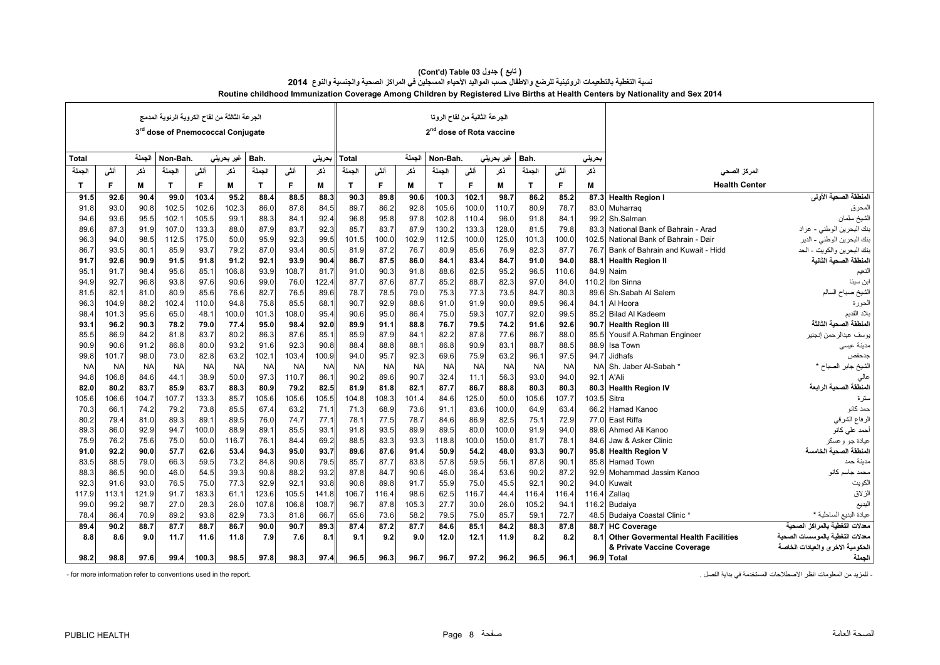|              |           |           | الجرعة الثالثة من لقاح الكروية الرئوية المدمج<br>3rd dose of Pnemococcal Conjugate |           |            |           |           |           |           |           |           | 2 <sup>nd</sup> dose of Rota vaccine | الجرعة الثانية من لقاح الروتا |            |           |           |           |                                            |                                                           |
|--------------|-----------|-----------|------------------------------------------------------------------------------------|-----------|------------|-----------|-----------|-----------|-----------|-----------|-----------|--------------------------------------|-------------------------------|------------|-----------|-----------|-----------|--------------------------------------------|-----------------------------------------------------------|
| <b>Total</b> |           | الجملة    | Non-Bah.                                                                           |           | غیر بحرینی | Bah.      |           | بحرينى    | Total     |           | الجملة    | Non-Bah.                             |                               | غير بحريني | Bah.      |           | بحريني    |                                            |                                                           |
| الجملة       | أنشى      | ڏکر       | الجملة                                                                             | أنشى      | ذكر        | الجملة    | أنفى      | ذكر       | الجملة    | أنشى      | ڏکر       | الجملة                               | أنفى                          | ذكر        | الجملة    | أنشى      | ڏکر       | المركز الصحى                               |                                                           |
| $\mathbf{T}$ | E         | М         | $\mathbf{T}$                                                                       | F         | M          | T         | F         | M         | T         | F         | M         | $\mathbf{T}$                         | F                             | M          | T         | E         | M         | <b>Health Center</b>                       |                                                           |
| 91.          | 92.6      | 90.4      | 99.0                                                                               | 103.4     | 95.2       | 88.4      | 88.5      | 88.3      | 90.3      | 89.8      | 90.6      | 100.3                                | 102.1                         | 98.7       | 86.2      | 85.2      | 87.3      | <b>Health Region I</b>                     | المنطقة الصحية الأول <i>ى</i>                             |
| 91.8         | 93.0      | 90.8      | 102.5                                                                              | 102.6     | 102.3      | 86.0      | 87.8      | 84.5      | 89.7      | 86.2      | 92.8      | 105.6                                | 100.0                         | 110.7      | 80.9      | 78.7      |           | 83.0 Muharraq                              | المحرق                                                    |
| 94.6         | 93.6      | 95.5      | 102.1                                                                              | 105.5     | 99.1       | 88.3      | 84.1      | 92.4      | 96.8      | 95.8      | 97.8      | 102.8                                | 110.4                         | 96.0       | 91.8      | 84.1      | 99.2      | Sh.Salman                                  | الشيخ سلمان                                               |
| 89.6         | 87.3      | 91.9      | 107.0                                                                              | 133.3     | 88.0       | 87.9      | 83.7      | 92.3      | 85.7      | 83.7      | 87.9      | 130.2                                | 133.3                         | 128.0      | 81.5      | 79.8      | 83.       | National Bank of Bahrain - Arad            | بنك البحر بن الوطني - عر اد                               |
| 96:          | 94.0      | 98.5      | 112.5                                                                              | 175.0     | 50.0       | 95.9      | 92.3      | 99.5      | 101.5     | 100.0     | 102.9     | 112.5                                | 100.0                         | 125.0      | 101.3     | 100.0     | 102.5     | National Bank of Bahrain - Dair            | بنك البحرين الوطني - الدير                                |
| 86.7         | 93.5      | 80.1      | 85.9                                                                               | 93.7      | 79.2       | 87.0      | 93.4      | 80.5      | 81.9      | 87.2      | 76.7      | 80.9                                 | 85.6                          | 76.9       | 82.3      | 87.7      | 76.7      | Bank of Bahrain and Kuwait - Hidd          | بنك البحرين والكويت - الحد                                |
| 91.7         | 92.6      | 90.9      | 91.5                                                                               | 91.8      | 91.2       | 92.1      | 93.9      | 90.4      | 86.7      | 87.5      | 86.0      | 84.1                                 | 83.4                          | 84.7       | 91.0      | 94.0      | 88.1      | <b>Health Region II</b>                    | المنطقة الصحبة الثانبة                                    |
| 95.          | 91.7      | 98.4      | 95.6                                                                               | 85.1      | 106.8      | 93.9      | 108.7     | 81.7      | 91.0      | 90.3      | 91.8      | 88.6                                 | 82.5                          | 95.2       | 96.5      | 110.6     | 84.9      | Naim                                       | الفعيم                                                    |
| 94.9         | 92.7      | 96.8      | 93.8                                                                               | 97.6      | 90.6       | 99.0      | 76.0      | 122.4     | 87.7      | 87.6      | 87.7      | 85.2                                 | 88.7                          | 82.3       | 97.0      | 84.0      | 110.2     | Ibn Sinna                                  | ابن سينا                                                  |
| 81.5         | 82.1      | 81.0      | 80.9                                                                               | 85.6      | 76.6       | 82.7      | 76.5      | 89.6      | 78.7      | 78.5      | 79.0      | 75.3                                 | 77.3                          | 73.5       | 84.7      | 80.3      | 89.6      | Sh.Sabah Al Salem                          | الشيخ صباح السالم                                         |
| 96.          | 104.9     | 88.2      | 102.4                                                                              | 110.0     | 94.8       | 75.8      | 85.5      | 68.       | 90.7      | 92.9      | 88.6      | 91.0                                 | 91.9                          | 90.0       | 89.5      | 96.4      | 84.       | Al Hoora                                   | الحورة                                                    |
| 98.          | 101.3     | 95.6      | 65.0                                                                               | 48.1      | 100.0      | 101.3     | 108.0     | 95.4      | 90.6      | 95.0      | 86.4      | 75.0                                 | 59.3                          | 107.7      | 92.0      | 99.5      | 85.2      | <b>Bilad Al Kadeem</b>                     | بلاد القديم                                               |
| 93.          | 96.2      | 90.3      | 78.2                                                                               | 79.0      | 77.4       | 95.0      | 98.4      | 92.0      | 89.9      | 91.1      | 88.8      | 76.7                                 | 79.5                          | 74.2       | 91.6      | 92.6      | 90.7      | <b>Health Region III</b>                   | المنطقة الصحبة الثالثة                                    |
| 85.5         | 86.9      | 84.2      | 81.8                                                                               | 83.7      | 80.2       | 86.3      | 87.6      | 85.1      | 85.9      | 87.9      | 84.1      | 82.2                                 | 87.8                          | 77.6       | 86.7      | 88.0      | 85.5      | Yousif A.Rahman Engineer                   | يوسف عبدالرحمن إنجنير                                     |
| 90.9         | 90.6      | 91.2      | 86.8                                                                               | 80.0      | 93.2       | 91.6      | 92.3      | 90.8      | 88.4      | 88.8      | 88.1      | 86.8                                 | 90.9                          | 83.1       | 88.7      | 88.5      | 88.9      | Isa Town                                   | مدينة عيسى                                                |
| 99.8         | 101.7     | 98.0      | 73.0                                                                               | 82.8      | 63.2       | 102.1     | 103.4     | 100.9     | 94.0      | 95.7      | 92.3      | 69.6                                 | 75.9                          | 63.2       | 96.1      | 97.5      | 94.7      | Jidhafs                                    | جدحفص                                                     |
| <b>NA</b>    | <b>NA</b> | <b>NA</b> | <b>NA</b>                                                                          | <b>NA</b> | <b>NA</b>  | <b>NA</b> | <b>NA</b> | <b>NA</b> | <b>NA</b> | <b>NA</b> | <b>NA</b> | <b>NA</b>                            | <b>NA</b>                     | <b>NA</b>  | <b>NA</b> | <b>NA</b> | <b>NA</b> | Sh. Jaber Al-Sabah *                       | لشيخ جابر الصباح *                                        |
| 94.          | 106.8     | 84.6      | 44.1                                                                               | 38.9      | 50.0       | 97.3      | 110.7     | 86.1      | 90.2      | 89.6      | 90.7      | 32.4                                 | 11.1                          | 56.3       | 93.0      | 94.0      | 92.       | A'Ali                                      | عالى                                                      |
| 82.0         | 80.2      | 83.7      | 85.9                                                                               | 83.7      | 88.3       | 80.9      | 79.2      | 82.5      | 81.9      | 81.8      | 82.1      | 87.7                                 | 86.7                          | 88.8       | 80.3      | 80.3      | 80.3      | <b>Health Region IV</b>                    | المنطقة الصحية الرابعة                                    |
| 105.6        | 106.6     | 104.7     | 107.7                                                                              | 133.3     | 85.7       | 105.6     | 105.6     | 105.5     | 104.8     | 108.3     | 101.4     | 84.6                                 | 125.0                         | 50.0       | 105.6     | 107.7     |           | 103.5 Sitra                                | سترة                                                      |
| 70.3         | 66.1      | 74.2      | 79.2                                                                               | 73.8      | 85.5       | 67.4      | 63.2      | 71.1      | 71.3      | 68.9      | 73.6      | 91.1                                 | 83.6                          | 100.0      | 64.9      | 63.4      | 66.2      | Hamad Kanoo                                | حمد كانو                                                  |
| 80.2         | 79.4      | 81.0      | 89.3                                                                               | 89.1      | 89.5       | 76.0      | 74.7      | 77.1      | 78.1      | 77.5      | 78.7      | 84.6                                 | 86.9                          | 82.5       | 75.1      | 72.9      | 77.0      | East Riffa                                 | الرفاع الشرقي                                             |
| 89.3         | 86.0      | 92.9      | 94.7                                                                               | 100.0     | 88.9       | 89.1      | 85.5      | 93.1      | 91.8      | 93.5      | 89.9      | 89.5                                 | 80.0                          | 100.0      | 91.9      | 94.0      | 89.6      | Ahmed Ali Kanoo                            | أحمد علمي كانو                                            |
| 75.9         | 76.2      | 75.6      | 75.0                                                                               | 50.0      | 116.7      | 76.1      | 84.4      | 69.2      | 88.5      | 83.3      | 93.3      | 118.8                                | 100.0                         | 150.0      | 81.7      | 78.1      | 84.6      | Jaw & Asker Clinic                         | عيادة جو وعسكر                                            |
| 91.0         | 92.2      | 90.0      | 57.7                                                                               | 62.6      | 53.4       | 94.3      | 95.0      | 93.7      | 89.6      | 87.6      | 91.4      | 50.9                                 | 54.2                          | 48.0       | 93.3      | 90.7      | 95.8      | <b>Health Region V</b>                     | المنطقة الصحبة الخامسة                                    |
| 83.5         | 88.5      | 79.0      | 66.3                                                                               | 59.5      | 73.2       | 84.8      | 90.8      | 79.5      | 85.7      | 87.7      | 83.8      | 57.8                                 | 59.5                          | 56.1       | 87.8      | 90.1      | 85.8      | <b>Hamad Town</b>                          | مدينة حمد                                                 |
| 88.3         | 86.5      | 90.0      | 46.0                                                                               | 54.5      | 39.3       | 90.8      | 88.2      | 93.2      | 87.8      | 84.7      | 90.6      | 46.0                                 | 36.4                          | 53.6       | 90.2      | 87.2      | 92.9      | Mohammad Jassim Kanoo                      | محمد جاسم كانو                                            |
| 92.3         | 91.6      | 93.0      | 76.5                                                                               | 75.0      | 77.3       | 92.9      | 92.1      | 93.8      | 90.8      | 89.8      | 91.7      | 55.9                                 | 75.0                          | 45.5       | 92.1      | 90.2      | 94.0      | Kuwait                                     | الكويت                                                    |
| 117.9        | 113.1     | 121.9     | 91.7                                                                               | 183.3     | 61.1       | 123.6     | 105.5     | 141.8     | 106.7     | 116.4     | 98.6      | 62.5                                 | 116.7                         | 44.4       | 116.4     | 116.4     | 116.      | Zallag                                     | الزلاق                                                    |
| 99.0         | 99.2      | 98.7      | 27.0                                                                               | 28.3      | 26.0       | 107.8     | 106.8     | 108.7     | 96.7      | 87.8      | 105.3     | 27.7                                 | 30.0                          | 26.0       | 105.2     | 94.1      | 116.2     | Budaiya                                    | البديع                                                    |
| 78.4         | 86.4      | 70.9      | 89.2                                                                               | 93.8      | 82.9       | 73.3      | 81.8      | 66.7      | 65.6      | 73.6      | 58.2      | 79.5                                 | 75.0                          | 85.7       | 59.1      | 72.7      |           | 48.5 Budaiya Coastal Clinic *              | عيادة البديع الساحلية *<br>معدلات التغطية بالمراكز الصحية |
| 89.4         | 90.2      | 88.7      | 87.7                                                                               | 88.7      | 86.7       | 90.0      | 90.7      | 89.3      | 87.4      | 87.2      | 87.7      | 84.6                                 | 85.1                          | 84.2       | 88.3      | 87.8      | 88.7      | <b>HC Coverage</b>                         |                                                           |
| 8.8          | 8.6       | 9.0       | 11.7                                                                               | 11.6      | 11.8       | 7.9       | 7.6       | 8.1       | 9.1       | 9.2       | 9.0       | 12.0                                 | 12.1                          | 11.9       | 8.2       | 8.2       | 8.5       | <b>Other Govermental Health Facilities</b> | معدلات التغطية بالموسسات الصحية                           |
|              |           |           |                                                                                    |           |            |           |           |           |           |           |           |                                      |                               |            |           |           |           | & Private Vaccine Coverage                 | الحكومية الاخرى والعيادات الخاصة                          |
| 98.2         | 98.8      | 97.6      | 99.4                                                                               | 100.3     | 98.5       | 97.8      | 98.3      | 97.4      | 96.5      | 96.3      | 96.7      | 96.7                                 | 97.2                          | 96.2       | 96.5      | 96.1      |           | 96.9 Total                                 | الجملة                                                    |

| ( تابع ) جدول 30 Cont'd) Table)                                                                                                |
|--------------------------------------------------------------------------------------------------------------------------------|
| نسبة التغطية بالتطعيمات الروتينية للرضع والاطفال حسب المواليد الأحياء المسجلين في المراكز الصحية والجنسية والنوع  2014         |
| Routine childhood Immunization Coverage Among Children by Registered Live Births at Health Centers by Nationality and Sex 2014 |

- for more information refer to conventions used in the report. . الفصل بداية في المستخدمة االصطالحات انظر المعلومات من للمزيد -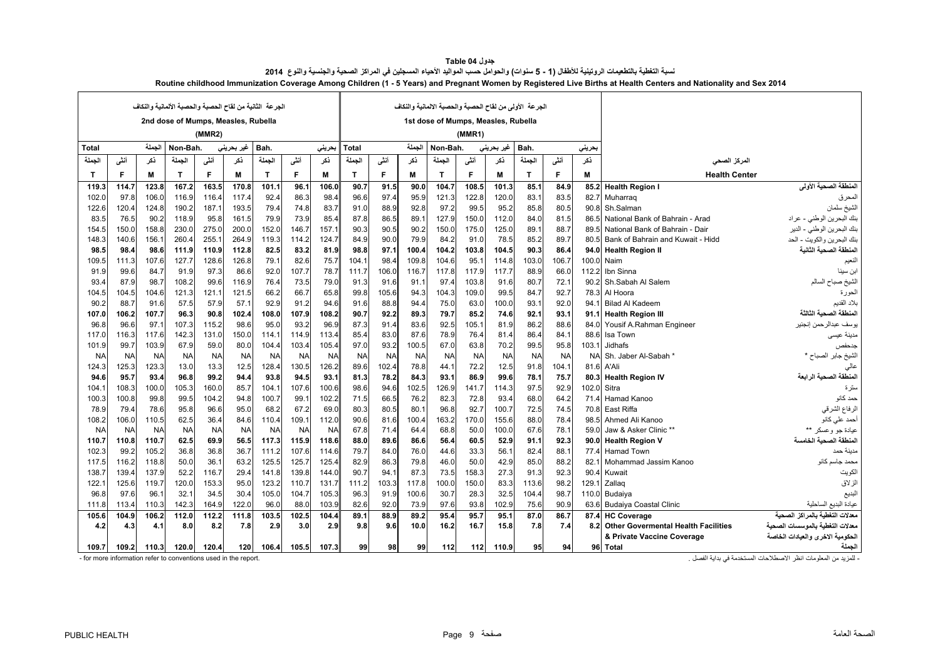<span id="page-9-0"></span>

|              |           |           | 2nd dose of Mumps, Measles, Rubella |                |            | الجرعة الثانية من لقاح الحصبة والحصبة الألمانية والنكاف |           |           |                                                             |           |           | 1st dose of Mumps, Measles, Rubella |           |           | الجرعة الأولى من لقاح الحصبة والحصبة الالمانية والنكاف |           |       |                                         |                                  |
|--------------|-----------|-----------|-------------------------------------|----------------|------------|---------------------------------------------------------|-----------|-----------|-------------------------------------------------------------|-----------|-----------|-------------------------------------|-----------|-----------|--------------------------------------------------------|-----------|-------|-----------------------------------------|----------------------------------|
|              |           |           |                                     | (MMR2)         |            |                                                         |           |           |                                                             |           |           |                                     | (MMR1)    |           |                                                        |           |       |                                         |                                  |
| Total        |           | الجملة    | Non-Bah.                            |                | غير بحريني | Bah.                                                    |           | حريني     | الجملة<br>غير بحريني<br>Non-Bah.<br>Bah.<br>بحريني<br>Total |           |           |                                     |           |           |                                                        |           |       |                                         |                                  |
| الجملة       | أنشى      | ڏکر       | الجملة                              | أنشى           | ذكر        | الجملة                                                  | أنفى      | نكر       | الجملة                                                      | أنشى      | ڏکر       | الحملة                              | أنشى      | نكر       | الحملة                                                 | أنشى      | ڏکر   | المركز الصحى                            |                                  |
| $\mathsf{T}$ | F         | М         | T                                   | F.             | м          | T.                                                      | F.        | M         | T                                                           | F         | м         | Т                                   | E         | м         | T.                                                     | F         | M     | <b>Health Center</b>                    |                                  |
| 119.3        | 114.7     | 123.8     | 167.2                               | 163.5          | 170.8      | 101.1                                                   | 96.7      | 106.0     | 90.7                                                        | 91.5      | 90.0      | 104.7                               | 108.5     | 101.3     | 85.1                                                   | 84.9      | 85.2  | <b>Health Region I</b>                  | المنطقة الصحية الأولى            |
| 102.0        | 97.8      | 106.0     | 116.9                               | 116.4          | 117.4      | 92.4                                                    | 86.3      | 98.4      | 96.6                                                        | 97.4      | 95.9      | 121.3                               | 122.8     | 120.0     | 83.1                                                   | 83.5      |       | 82.7 Muharrag                           | المحرق                           |
| 122.6        | 120.4     | 124.8     | 190.2                               | 187.1          | 193.5      | 79.4                                                    | 74.8      | 83.7      | 91.0                                                        | 88.9      | 92.8      | 97.2                                | 99.5      | 95.2      | 85.8                                                   | 80.5      |       | 90.8 Sh.Salman                          | الشيخ سلمان                      |
| 83.5         | 76.5      | 90.2      | 118.9                               | 95.8           | 161.5      | 79.9                                                    | 73.9      | 85.4      | 87.8                                                        | 86.5      | 89.1      | 127.9                               | 150.0     | 112.0     | 84.0                                                   | 81.5      | 86.5  | National Bank of Bahrain - Arad         | بنك البحرين الوطني - عراد        |
| 154.5        | 150.0     | 158.8     | 230.0                               | 275.0          | 200.0      | 152.0                                                   | 146.7     | 157.1     | 90.3                                                        | 90.5      | 90.2      | 150.0                               | 175.0     | 125.0     | 89.1                                                   | 88.7      | 89.5  | National Bank of Bahrain - Dair         | بنك البحرين الوطني - الدير       |
| 148.3        | 140.6     | 156.1     | 260.4                               | 255.7          | 264.9      | 119.3                                                   | 114.2     | 124.7     | 84.9                                                        | 90.0      | 79.9      | 84.2                                | 91.0      | 78.5      | 85.2                                                   | 89.7      |       | 80.5 Bank of Bahrain and Kuwait - Hidd  | بنك البحرين والكويت - الحد       |
| 98.5         | 98.4      | 98.6      | 111.9                               | 110.9          | 112.8      | 82.5                                                    | 83.2      | 81.9      | 98.8                                                        | 97.1      | 100.4     | 104.2                               | 103.8     | 104.5     | 90.3                                                   | 86.4      |       | 94.0 Health Region II                   | المنطقة الصحية الثانية           |
| 109.5        | 111.3     | 107.6     | 127.7                               | 128.6          | 126.8      | 79.1                                                    | 82.6      | 75.7      | 104.1                                                       | 98.4      | 109.8     | 104.6                               | 95.       | 114.8     | 103.0                                                  | 106.7     |       | 100.0 Naim                              | النعيم                           |
| 91.9         | 99.6      | 84.7      | 91.9                                | 97.3           | 86.6       | 92.0                                                    | 107.7     | 78.7      | 111.7                                                       | 106.0     | 116.7     | 117.8                               | 117.9     | 117.7     | 88.9                                                   | 66.0      | 112.2 | Ibn Sinna                               | ابن سينا                         |
| 93.4         | 87.9      | 98.7      | 108.2                               | 99.6           | 116.9      | 76.4                                                    | 73.5      | 79.0      | 91.3                                                        | 91.6      | 91.1      | 97.4                                | 103.8     | 91.6      | 80.7                                                   | 72.1      | 90.2  | Sh.Sabah Al Salem                       | الشيخ صباح السالم                |
| 104.5        | 104.5     | 104.6     | 121.3                               | 121.1          | 121.5      | 66.2                                                    | 66.7      | 65.8      | 99.8                                                        | 105.6     | 94.3      | 104.3                               | 109.0     | 99.5      | 84.7                                                   | 92.7      |       | 78.3 Al Hoora                           | الحورة                           |
| 90.2         | 88.7      | 91.6      | 57.5                                | 57.9           | 57.1       | 92.9                                                    | 91.2      | 94.6      | 91.6                                                        | 88.8      | 94.4      | 75.0                                | 63.C      | 100.0     | 93.1                                                   | 92.0      | 94.1  | <b>Bilad Al Kadeem</b>                  | بلاد القديم                      |
| 107.0        | 106.2     | 107.7     | 96.3                                | 90.8           | 102.4      | 108.0                                                   | 107.9     | 108.2     | 90.7                                                        | 92.2      | 89.3      | 79.7                                | 85.2      | 74.6      | 92.1                                                   | 93.1      |       | 91.1 Health Region III                  | المنطقة الصحبة الثالثة           |
| 96.8         | 96.6      | 97.1      | 107.3                               | 115.2          | 98.6       | 95.0                                                    | 93.2      | 96.9      | 87.3                                                        | 91.4      | 83.6      | 92.5                                | 105.1     | 81.9      | 86.2                                                   | 88.6      |       | 84.0 Yousif A.Rahman Engineer           | يوسف عبدالرحمن إنجنير            |
| 117.0        | 116.3     | 117.6     | 142.3                               | 131.0          | 150.0      | 114.1                                                   | 114.9     | 113.4     | 85.4                                                        | 83.0      | 87.6      | 78.9                                | 76.4      | 81.4      | 86.4                                                   | 84.1      | 88.6  | Isa Town                                | مدينة عيسى                       |
| 101.9        | 99.7      | 103.9     | 67.9                                | 59.0           | 80.0       | 104.4                                                   | 103.4     | 105.4     | 97.0                                                        | 93.2      | 100.5     | 67.0                                | 63.8      | 70.2      | 99.5                                                   | 95.8      | 103.1 | Jidhafs                                 | جدحفص                            |
| <b>NA</b>    | <b>NA</b> | <b>NA</b> | <b>NA</b>                           | N <sub>A</sub> | <b>NA</b>  | <b>NA</b>                                               | <b>NA</b> | <b>NA</b> | <b>NA</b>                                                   | <b>NA</b> | <b>NA</b> | <b>NA</b>                           | <b>NA</b> | <b>NA</b> | <b>NA</b>                                              | <b>NA</b> | NAI   | Sh. Jaber Al-Sabah                      | الشيخ جابر الصباح *              |
| 124.3        | 125.3     | 123.3     | 13.0                                | 13.3           | 12.5       | 128.4                                                   | 130.5     | 126.2     | 89.6                                                        | 102.4     | 78.8      | 44.1                                | 72.2      | 12.5      | 91.8                                                   | 104.1     | 81.6  | A'Ali                                   | عالى                             |
| 94.6         | 95.7      | 93.4      | 96.8                                | 99.2           | 94.4       | 93.8                                                    | 94.5      | 93.1      | 81.3                                                        | 78.2      | 84.3      | 93.1                                | 86.9      | 99.6      | 78.1                                                   | 75.7      | 80.3  | <b>Health Region IV</b>                 | المنطقة الصحية الرابعة           |
| 104.1        | 108.3     | 100.0     | 105.3                               | 160.0          | 85.7       | 104.1                                                   | 107.6     | 100.6     | 98.6                                                        | 94.6      | 102.5     | 126.9                               | 141.7     | 114.3     | 97.5                                                   | 92.9      |       | 102.0 Sitra                             | سترة                             |
| 100.3        | 100.8     | 99.8      | 99.5                                | 104.2          | 94.8       | 100.7                                                   | 99.1      | 102.2     | 71.5                                                        | 66.5      | 76.2      | 82.3                                | 72.8      | 93.4      | 68.0                                                   | 64.2      | 71.4  | Hamad Kanoo                             | حمد كانو                         |
| 78.9         | 79.4      | 78.6      | 95.8                                | 96.6           | 95.0       | 68.2                                                    | 67.2      | 69.0      | 80.3                                                        | 80.5      | 80.1      | 96.8                                | 92.7      | 100.7     | 72.5                                                   | 74.5      | 70.8  | East Riffa                              | الرفاع الشرقي                    |
| 108.2        | 106.0     | 110.5     | 62.5                                | 36.4           | 84.6       | 110.4                                                   | 109.1     | 112.0     | 90.6                                                        | 81.6      | 100.4     | 163.2                               | 170.0     | 155.6     | 88.0                                                   | 78.4      | 98.5  | Ahmed Ali Kanoo                         | أحمد على كانو                    |
| <b>NA</b>    | <b>NA</b> | <b>NA</b> | <b>NA</b>                           | <b>NA</b>      | <b>NA</b>  | <b>NA</b>                                               | <b>NA</b> | <b>NA</b> | 67.8                                                        | 71.4      | 64.4      | 68.8                                | 50.0      | 100.0     | 67.6                                                   | 78.1      | 59.0  | Jaw & Asker Clinic **                   | عيادة جو وعسكر **                |
| 110.7        | 110.8     | 110.7     | 62.5                                | 69.9           | 56.5       | 117.3                                                   | 115.9     | 118.6     | 88.0                                                        | 89.6      | 86.6      | 56.4                                | 60.5      | 52.9      | 91.1                                                   | 92.3      |       | 90.0 Health Region V                    | المنطقة الصحية الخامسة           |
| 102.3        | 99.2      | 105.2     | 36.8                                | 36.8           | 36.7       | 111.2                                                   | 107.6     | 114.6     | 79.7                                                        | 84.0      | 76.0      | 44.6                                | 33.3      | 56.1      | 82.4                                                   | 88.1      | 77.4  | <b>Hamad Town</b>                       | مدبنة حمد                        |
| 117.5        | 116.2     | 118.8     | 50.0                                | 36.7           | 63.2       | 125.5                                                   | 125.7     | 125.4     | 82.9                                                        | 86.3      | 79.8      | 46.0                                | 50.0      | 42.9      | 85.0                                                   | 88.2      | 82.1  | Mohammad Jassim Kanoo                   | محمد جاسم كانو                   |
| 138.7        | 139.4     | 137.9     | 52.2                                | 116.7          | 29.4       | 141.8                                                   | 139.8     | 144.0     | 90.7                                                        | 94.1      | 87.3      | 73.5                                | 158.3     | 27.3      | 91.3                                                   | 92.3      | 90.4  | Kuwait                                  | الكويت                           |
| 122.1        | 125.6     | 119.7     | 120.0                               | 153.3          | 95.0       | 123.2                                                   | 110.7     | 131.7     | 111.2                                                       | 103.3     | 117.8     | 100.0                               | 150.0     | 83.3      | 113.6                                                  | 98.2      | 129.1 | Zallaq                                  | الزلاق                           |
| 96.8         | 97.6      | 96.       | 32.1                                | 34.5           | 30.4       | 105.0                                                   | 104.7     | 105.3     | 96.3                                                        | 91.9      | 100.6     | 30.7                                | 28.3      | 32.5      | 104.4                                                  | 98.7      |       | 110.0 Budaiva                           | البديع                           |
| 111.8        | 113.4     | 110.3     | 142.3                               | 164.9          | 122.0      | 96.0                                                    | 88.0      | 103.9     | 82.6                                                        | 92.0      | 73.9      | 97.6                                | 93.8      | 102.9     | 75.6                                                   | 90.9      |       | 63.6 Budaiya Coastal Clinic             | عيادة البديع الساحلية            |
| 105.6        | 104.9     | 106.2     | 112.0                               | 112.2          | 111.8      | 103.5                                                   | 102.5     | 104.4     | 89.1                                                        | 88.9      | 89.2      | 95.4                                | 95.7      | 95.1      | 87.0                                                   | 86.7      | 87.4  | <b>HC Coverage</b>                      | معدلات التغطية بالمر اكز الصحبة  |
| 4.2          | 4.3       | 4.1       | 8.0                                 | 8.2            | 7.8        | 2.9                                                     | 3.0       | 2.9       | 9.8                                                         | 9.6       | 10.0      | 16.2                                | 16.7      | 15.8      | 7.8                                                    | 7.4       |       | 8.2 Other Govermental Health Facilities | معدلات التغطبة بالمو سسات الصحبة |
|              |           |           |                                     |                |            |                                                         |           |           |                                                             |           |           |                                     |           |           |                                                        |           |       | & Private Vaccine Coverage              | الحكومية الاخرى والعيادات الخاصة |
| 109.7        | 109.2     | 110.3     | 120.0                               | 120.4          | 120        | 106.4                                                   | 105.5     | 107.3     | 99                                                          | 98        | 99        | 112                                 | 112       | 110.9     | 95                                                     | 94        |       | 96 Total                                | الجملة                           |

| جدول Table 04                                                                                                                                                    |
|------------------------------------------------------------------------------------------------------------------------------------------------------------------|
| نسبة التغطية بالتطعيمات الروتينية للأطفال (1 - 5 سنوات) والحوامل حسب المواليد الأحياء المسجلين في المراكز الصحية والجنسية والنوع  2014                           |
| Routine childhood Immunization Coverage Among Children (1 - 5 Years) and Pregnant Women by Registered Live Births at Health Centers and Nationality and Sex 2014 |

- for more information refer to conventions used in the report. . الفصل بداية في المستخدمة االصطالحات انظر المعلومات من للمزيد -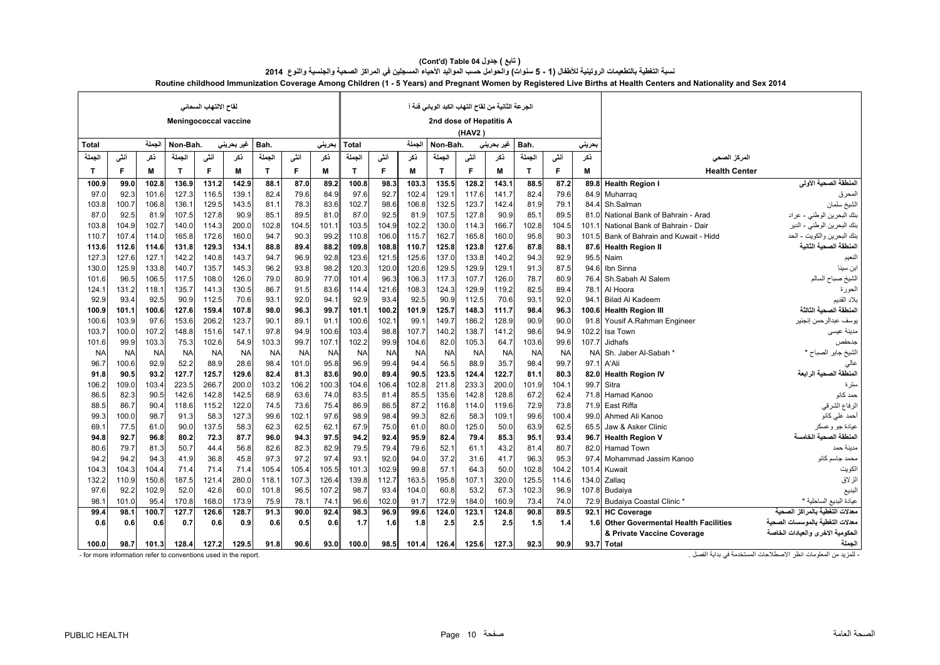|                                                                | لقاح الالتهاب السحاني<br><b>Meningococcal vaccine</b> |           |              |           |            |           | الجر عة الثانية من لقاح التهاب الكبد الوبائي فئة أ<br>2nd dose of Hepatitis A |           |                |           |           |              |           |            |              |           |           |                                            |                                                               |
|----------------------------------------------------------------|-------------------------------------------------------|-----------|--------------|-----------|------------|-----------|-------------------------------------------------------------------------------|-----------|----------------|-----------|-----------|--------------|-----------|------------|--------------|-----------|-----------|--------------------------------------------|---------------------------------------------------------------|
|                                                                |                                                       |           |              |           |            |           |                                                                               |           |                |           |           |              | (HAV2)    |            |              |           |           |                                            |                                                               |
| <b>Total</b>                                                   |                                                       | الجملة    | Non-Bah.     |           | غیر بحرینی | Bah.      |                                                                               | حرينى     | Total          |           | الجملة    | Non-Bah.     |           | غیر بحرینی | Bah.         |           | بحريني    |                                            |                                                               |
| الجملة                                                         | أنشى                                                  | ذكر       | الجملة       | أنشى      | ذكر        | الجملة    | أننى                                                                          | نكر       | الجملة         | أنفى      | ذكر       | الجملة       | أنشى      | نكر        | الجملة       | أنفى      | ذكر       | المركز الصحى                               |                                                               |
| $\mathbf{T}$                                                   | F                                                     | M         | $\mathbf{T}$ | F         | M          | T.        | F                                                                             | M         | T              | F.        | м         | $\mathbf{T}$ | F         | M          | $\mathbf{T}$ | F         | M         | <b>Health Center</b>                       |                                                               |
| 100.9                                                          | 99.0                                                  | 102.8     | 136.9        | 131.2     | 142.9      | 88.1      | 87.0                                                                          | 89.2      | 100.8          | 98.3      | 103.3     | 135.5        | 128.2     | 143.1      | 88.5         | 87.2      |           | 89.8 Health Region I                       | المنطقة الصحية الأولى                                         |
| 97.C                                                           | 92.3                                                  | 101.6     | 127.3        | 116.5     | 139.7      | 82.4      | 79.6                                                                          | 84.9      | 97.6           | 92.7      | 102.4     | 129.7        | 117.6     | 141.7      | 82.4         | 79.6      | 84.9      | Muharrag                                   | المحرق                                                        |
| 103.8                                                          | 100.7                                                 | 106.8     | 136.1        | 129.5     | 143.5      | 81.1      | 78.3                                                                          | 83.6      | 102.7          | 98.6      | 106.8     | 132.5        | 123.7     | 142.4      | 81.9         | 79.1      | 84.4      | Sh.Salman                                  | الشيخ سلمان                                                   |
| 87.0                                                           | 92.5                                                  | 81.9      | 107.5        | 127.8     | 90.9       | 85.1      | 89.5                                                                          | 81.0      | 87.0           | 92.5      | 81.9      | 107.5        | 127.8     | 90.9       | 85.1         | 89.5      | 81.0      | National Bank of Bahrain - Arad            | بنك البحرين الوطني - عراد                                     |
| 103.8                                                          | 104.9                                                 | 102.7     | 140.0        | 114.3     | 200.0      | 102.8     | 104.5                                                                         | 101.1     | 103.5          | 104.9     | 102.2     | 130.0        | 114.3     | 166.7      | 102.8        | 104.5     | 101.1     | National Bank of Bahrain - Dair            | بنك البحرين الوطني - الدير                                    |
| 110.7                                                          | 107.4                                                 | 114.0     | 165.8        | 172.6     | 160.0      | 94.7      | 90.3                                                                          | 99.2      | 110.8          | 106.0     | 115.7     | 162.7        | 165.8     | 160.0      | 95.8         | 90.3      | 101.5     | Bank of Bahrain and Kuwait - Hidd          | بنك البحرين والكويت - الحد                                    |
| 113.6                                                          | 112.6                                                 | 114.6     | 131.8        | 129.3     | 134.1      | 88.8      | 89.4                                                                          | 88.2      | 109.8          | 108.8     | 110.7     | 125.8        | 123.8     | 127.6      | 87.8         | 88.1      |           | 87.6 Health Region II                      | المنطقة الصحية الثانية                                        |
| 127.3                                                          | 127.6                                                 | 127.1     | 142.2        | 140.8     | 143.7      | 94.7      | 96.9                                                                          | 92.8      | 123.6          | 121.5     | 125.6     | 137.0        | 133.8     | 140.2      | 94.3         | 92.9      | 95.5      | Naim                                       | النعيم                                                        |
| 130.C                                                          | 125.9                                                 | 133.8     | 140.7        | 135.7     | 145.3      | 96.2      | 93.8                                                                          | 98.2      | 120.3          | 120.0     | 120.6     | 129.5        | 129.9     | 129.1      | 91.3         | 87.5      | 94.6      | Ibn Sinna                                  | ابن سينا                                                      |
| 101.6                                                          | 96.5                                                  | 106.5     | 117.5        | 108.0     | 126.0      | 79.0      | 80.9                                                                          | 77.0      | 101.4          | 96.3      | 106.3     | 117.3        | 107.7     | 126.0      | 78.7         | 80.9      | 76.4      | Sh.Sabah Al Salem                          | الشيخ صباح السالم                                             |
| 124.1                                                          | 131.2                                                 | 118.1     | 135.7        | 141.3     | 130.5      | 86.7      | 91.5                                                                          | 83.6      | 114.4          | 121.6     | 108.3     | 124.3        | 129.9     | 119.2      | 82.5         | 89.4      | 78.1      | Al Hoora                                   | الحورة                                                        |
| 92.9                                                           | 93.4                                                  | 92.5      | 90.9         | 112.5     | 70.6       | 93.1      | 92.0                                                                          | 94.1      | 92.9           | 93.4      | 92.5      | 90.9         | 112.5     | 70.6       | 93.1         | 92.0      | 94 1      | <b>Bilad Al Kadeem</b>                     | بلاد القديم                                                   |
| 100.9                                                          | 101.1                                                 | 100.6     | 127.6        | 159.4     | 107.8      | 98.0      | 96.3                                                                          | 99.7      | 101.1          | 100.2     | 101.9     | 125.7        | 148.3     | 111.7      | 98.4         | 96.3      | 100.6     | <b>Health Region III</b>                   | المنطقة الصحبة الثالثة                                        |
| 100.6                                                          | 103.9                                                 | 97.6      | 153.6        | 206.2     | 123.7      | 90.1      | 89.1                                                                          | 91.1      | 100.6          | 102.1     | 99.1      | 149.7        | 186.2     | 128.9      | 90.9         | 90.0      | 91.8      | Yousif A.Rahman Engineer                   | يوسف عبدالر حمن إنجنير                                        |
| 103.7                                                          | 100.0                                                 | 107.2     | 148.8        | 151.6     | 147.1      | 97.8      | 94.9                                                                          | 100.6     | 103.4          | 98.8      | 107.7     | 140.2        | 138.7     | 141.2      | 98.6         | 94.9      | 102.2     | Isa Town                                   | مدينة عيسى                                                    |
| 101.6                                                          | 99.9                                                  | 103.3     | 75.3         | 102.6     | 54.9       | 103.3     | 99.7                                                                          | 107.1     | 102.2          | 99.9      | 104.6     | 82.0         | 105.3     | 64.7       | 103.6        | 99.6      | 107.7     | <b>Jidhafs</b>                             | جدحفص                                                         |
| <b>NA</b>                                                      | <b>NA</b>                                             | <b>NA</b> | <b>NA</b>    | <b>NA</b> | <b>NA</b>  | <b>NA</b> | <b>NA</b>                                                                     | <b>NA</b> | N <sub>A</sub> | <b>NA</b> | <b>NA</b> | <b>NA</b>    | <b>NA</b> | <b>NA</b>  | <b>NA</b>    | <b>NA</b> | <b>NA</b> | Sh. Jaber Al-Sabah                         | الشيخ جابر الصباح *                                           |
| 96.7                                                           | 100.6                                                 | 92.9      | 52.2         | 88.9      | 28.6       | 98.4      | 101.0                                                                         | 95.8      | 96.9           | 99.4      | 94.4      | 56.5         | 88.9      | 35.7       | 98.4         | 99.7      | 97.1      | A'Ali                                      | عالى                                                          |
| 91.8                                                           | 90.5                                                  | 93.2      | 127.7        | 125.7     | 129.6      | 82.4      | 81.3                                                                          | 83.6      | 90.0           | 89.4      | 90.5      | 123.5        | 124.4     | 122.7      | 81.1         | 80.3      | 82.0      | <b>Health Region IV</b>                    | المنطقة الصحية الرابعة                                        |
| 106.2                                                          | 109.0                                                 | 103.4     | 223.5        | 266.7     | 200.0      | 103.2     | 106.2                                                                         | 100.3     | 104.6          | 106.4     | 102.8     | 211.8        | 233.3     | 200.0      | 101.9        | 104.1     | 99.7      | Sitra                                      | سترة                                                          |
| 86.5                                                           | 82.3                                                  | 90.5      | 142.6        | 142.8     | 142.5      | 68.9      | 63.6                                                                          | 74.0      | 83.5           | 81.4      | 85.5      | 135.6        | 142.8     | 128.8      | 67.2         | 62.4      | 71.8      | Hamad Kanoo                                | حمد كانو                                                      |
| 88.5                                                           | 86.7                                                  | 90.4      | 118.6        | 115.2     | 122.0      | 74.5      | 73.6                                                                          | 75.4      | 86.9           | 86.5      | 87.2      | 116.8        | 114.0     | 119.6      | 72.9         | 73.8      | 71.9      | East Riffa                                 | الرفاع الشرقي                                                 |
| 99.3                                                           | 100.0                                                 | 98.7      | 91.3         | 58.3      | 127.3      | 99.6      | 102.1                                                                         | 97.6      | 98.9           | 98.4      | 99.3      | 82.6         | 58.3      | 109.1      | 99.6         | 100.4     | 99.0      | Ahmed Ali Kanoo                            | أحمد على كانو                                                 |
| 69.1                                                           | 77.5                                                  | 61.0      | 90.0         | 137.5     | 58.3       | 62.3      | 62.5                                                                          | 62.1      | 67.9           | 75.0      | 61.0      | 80.0         | 125.0     | 50.0       | 63.9         | 62.5      | 65.5      | Jaw & Asker Clinic                         | عيادة جو وعسكر                                                |
| 94.8                                                           | 92.7                                                  | 96.8      | 80.2         | 72.3      | 87.7       | 96.0      | 94.3                                                                          | 97.5      | 94.2           | 92.4      | 95.9      | 82.4         | 79.4      | 85.3       | 95.1         | 93.4      | 96.7      | <b>Health Region V</b>                     | المنطقة الصحبة الخامسة                                        |
| 80.6                                                           | 79.7                                                  | 81.3      | 50.7         | 44.4      | 56.8       | 82.6      | 82.3                                                                          | 82.9      | 79.5           | 79.4      | 79.6      | 52.1         | 61.1      | 43.2       | 81.4         | 80.7      | 82.0      | <b>Hamad Town</b>                          | مدينة حمد                                                     |
| 94.2                                                           | 94.2                                                  | 94.3      | 41.9         | 36.8      | 45.8       | 97.3      | 97.2                                                                          | 97.4      | 93.1           | 92.0      | 94.0      | 37.2         | 31.6      | 41.7       | 96.3         | 95.3      | 974       | Mohammad Jassim Kanoo                      | محمد جاسم كانو                                                |
| 104.3                                                          | 104.3                                                 | 104.4     | 71.4         | 71.4      | 71.4       | 105.4     | 105.4                                                                         | 105.5     | 101.3          | 102.9     | 99.8      | 57.1         | 64.3      | 50.0       | 102.8        | 104.2     | 101.4     | Kuwait                                     | الكويت                                                        |
| 132.2                                                          | 110.9                                                 | 150.8     | 187.5        | 121.4     | 280.0      | 118.1     | 107.3                                                                         | 126.4     | 139.8          | 112.7     | 163.5     | 195.8        | 107.1     | 320.0      | 125.5        | 114.6     | 134.0     | Zallag                                     | الزلاق                                                        |
| 97.6                                                           | 92.2                                                  | 102.9     | 52.0         | 42.6      | 60.0       | 101.8     | 96.5                                                                          | 107.2     | 98.7           | 93.4      | 104.0     | 60.8         | 53.2      | 67.3       | 102.3        | 96.9      |           | 107.8 Budaiya                              | البديع                                                        |
| 98.7                                                           | 101.0                                                 | 95.4      | 170.8        | 168.0     | 173.9      | 75.9      | 78.                                                                           | 74.1      | 96.6           | 102.0     | 91.7      | 172.9        | 184.0     | 160.9      | 73.4         | 74.0      | 72.9      | Budaiya Coastal Clinic *                   | عيادة البديع الساحلية *                                       |
| 99.4                                                           | 98.1                                                  | 100.7     | 127.7        | 126.6     | 128.7      | 91.3      | 90.0                                                                          | 92.4      | 98.3           | 96.9      | 99.6      | 124.0        | 123.1     | 124.8      | 90.8         | 89.5      | 92.1      | <b>HC Coverage</b>                         | معدلات التغطية بالمر اكز الصحية                               |
| 0.6                                                            | 0.6                                                   | 0.6       | 0.7          | 0.6       | 0.9        | 0.6       | 0.5                                                                           | 0.6       | 1.7            | 1.6       | 1.8       | 2.5          | 2.5       | 2.5        | 1.5          | 1.4       | 1.6       | <b>Other Govermental Health Facilities</b> | معدلات التغطبة بالمو سسات الصحبة                              |
|                                                                |                                                       |           |              |           |            |           |                                                                               |           |                |           |           |              |           |            |              |           |           | & Private Vaccine Coverage                 | الحكومية الاخرى والعيادات الخاصة                              |
| 100.0                                                          | 98.7                                                  | 101.3     | 128.4        | 127.2     | 129.5      | 91.8      | 90.6                                                                          | 93.0      | 100.0          | 98.5      | 101.4     | 126.4        | 125.6     | 127.3      | 92.3         | 90.9      |           | 93.7 Total                                 | الجملة                                                        |
| - for more information refer to conventions used in the report |                                                       |           |              |           |            |           |                                                                               |           |                |           |           |              |           |            |              |           |           |                                            | اللمزيد من المعلومات انظر الإصطلاحات المستخدمة في بداية الفصل |

| ( تابع ) جدول Table 04 (Cont'd)                                                                                                                                  |  |  |  |  |  |  |  |  |  |  |  |  |
|------------------------------------------------------------------------------------------------------------------------------------------------------------------|--|--|--|--|--|--|--|--|--|--|--|--|
| نسبة التغطية بالتطعيمات الروتينية للأطفال (1 - 5 سنوات) والحوامل حسب المواليد الأحياء المسجلين في المراكز الصحية والجنسية والنوع  2014                           |  |  |  |  |  |  |  |  |  |  |  |  |
| Routine childhood Immunization Coverage Among Children (1 - 5 Years) and Pregnant Women by Registered Live Births at Health Centers and Nationality and Sex 2014 |  |  |  |  |  |  |  |  |  |  |  |  |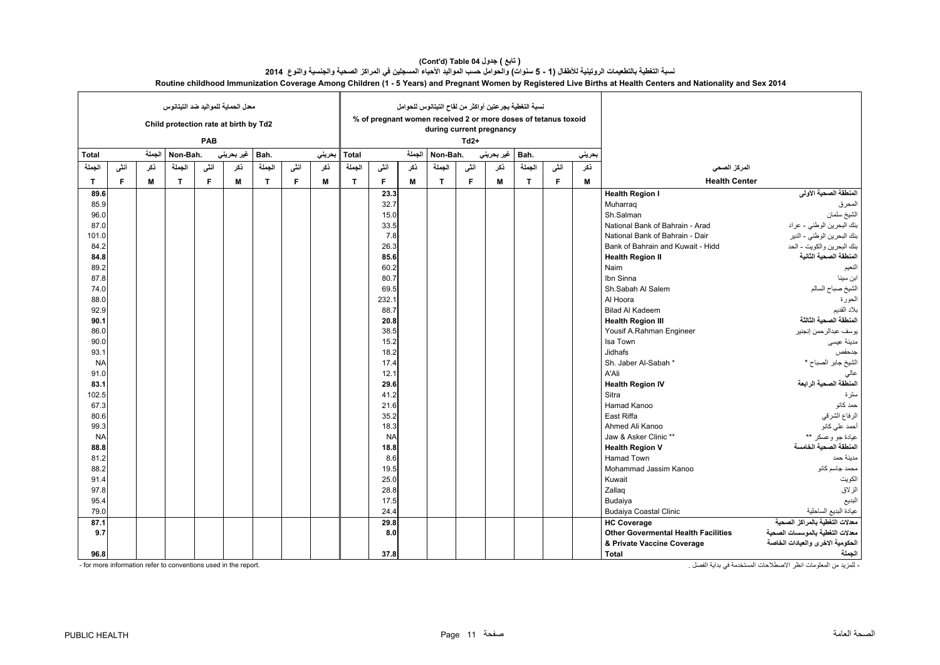|              | معدل الحماية للمواليد ضد التيتانوس<br>Child protection rate at birth by Td2<br>PAB |        |              |      |            |        |      |        | نسبة التغطية بجرعتين أواكثر من لقاح التيتانوس للحوامل<br>% of pregnant women received 2 or more doses of tetanus toxoid<br>during current pregnancy |           |        |              |        |            |        |      |        |                                            |                                  |
|--------------|------------------------------------------------------------------------------------|--------|--------------|------|------------|--------|------|--------|-----------------------------------------------------------------------------------------------------------------------------------------------------|-----------|--------|--------------|--------|------------|--------|------|--------|--------------------------------------------|----------------------------------|
|              |                                                                                    |        |              |      |            |        |      |        |                                                                                                                                                     |           |        |              | $Td2+$ |            |        |      |        |                                            |                                  |
| <b>Total</b> |                                                                                    | الجملة | Non-Bah.     |      | غير بحريني | Bah.   |      | بحريني | <b>Total</b>                                                                                                                                        |           | الجملة | Non-Bah.     |        | غير بحريني | Bah.   |      | بحريني |                                            |                                  |
| الجملة       | أننى                                                                               | ذكر    | الجملة       | أننى | نكر        | الجملة | أننى | نكر    | الجملة                                                                                                                                              | أننى      | نكر    | الجملة       | أننى   | نكر        | الحملة | أننى | نكر    | المركز الصحي                               |                                  |
| $\mathbf{T}$ | F.                                                                                 | M      | $\mathbf{T}$ | F.   | М          | T      | F    | M      | T.                                                                                                                                                  | E         | М      | $\mathbf{T}$ | F      | M          | T      | F    | M      | <b>Health Center</b>                       |                                  |
| 89.6         |                                                                                    |        |              |      |            |        |      |        |                                                                                                                                                     | 23.3      |        |              |        |            |        |      |        | <b>Health Region I</b>                     | المنطقة الصحية الأولى            |
| 85.9         |                                                                                    |        |              |      |            |        |      |        |                                                                                                                                                     | 32.7      |        |              |        |            |        |      |        | Muharrag                                   | المحرق                           |
| 96.0         |                                                                                    |        |              |      |            |        |      |        |                                                                                                                                                     | 15.0      |        |              |        |            |        |      |        | Sh.Salman                                  | الشيخ سلمان                      |
| 87.0         |                                                                                    |        |              |      |            |        |      |        |                                                                                                                                                     | 33.5      |        |              |        |            |        |      |        | National Bank of Bahrain - Arad            | بنك البحرين الوطني - عراد        |
| 101.0        |                                                                                    |        |              |      |            |        |      |        |                                                                                                                                                     | 7.8       |        |              |        |            |        |      |        | National Bank of Bahrain - Dair            | بنك البحرين الوطني - الدير       |
| 84.2         |                                                                                    |        |              |      |            |        |      |        |                                                                                                                                                     | 26.3      |        |              |        |            |        |      |        | Bank of Bahrain and Kuwait - Hidd          | بنك البحرين والكويت - الحد       |
| 84.8         |                                                                                    |        |              |      |            |        |      |        |                                                                                                                                                     | 85.6      |        |              |        |            |        |      |        | <b>Health Region II</b>                    | المنطقة الصحية الثانية           |
| 89.2         |                                                                                    |        |              |      |            |        |      |        |                                                                                                                                                     | 60.2      |        |              |        |            |        |      |        | Naim                                       | النعيم                           |
| 87.8         |                                                                                    |        |              |      |            |        |      |        |                                                                                                                                                     | 80.7      |        |              |        |            |        |      |        | Ibn Sinna                                  | ابن سينا                         |
| 74.0         |                                                                                    |        |              |      |            |        |      |        |                                                                                                                                                     | 69.5      |        |              |        |            |        |      |        | Sh.Sabah Al Salem                          | الشيخ صباح السالم                |
| 88.0         |                                                                                    |        |              |      |            |        |      |        |                                                                                                                                                     | 232.1     |        |              |        |            |        |      |        | Al Hoora                                   | الحورة                           |
| 92.9         |                                                                                    |        |              |      |            |        |      |        |                                                                                                                                                     | 88.7      |        |              |        |            |        |      |        | <b>Bilad Al Kadeem</b>                     | بلاد القديم                      |
| 90.1         |                                                                                    |        |              |      |            |        |      |        |                                                                                                                                                     | 20.8      |        |              |        |            |        |      |        | <b>Health Region III</b>                   | المنطقة الصحبة الثالثة           |
| 86.0         |                                                                                    |        |              |      |            |        |      |        |                                                                                                                                                     | 38.5      |        |              |        |            |        |      |        | Yousif A.Rahman Engineer                   | يوسف عبدالرحمن إنجنير            |
| 90.0         |                                                                                    |        |              |      |            |        |      |        |                                                                                                                                                     | 15.2      |        |              |        |            |        |      |        | Isa Town                                   | مدينة عيسى                       |
| 93.1         |                                                                                    |        |              |      |            |        |      |        |                                                                                                                                                     | 18.2      |        |              |        |            |        |      |        | <b>Jidhafs</b>                             | جدحفص                            |
| <b>NA</b>    |                                                                                    |        |              |      |            |        |      |        |                                                                                                                                                     | 17.4      |        |              |        |            |        |      |        | Sh. Jaber Al-Sabah *                       | الشيخ جابر الصباح *              |
| 91.0         |                                                                                    |        |              |      |            |        |      |        |                                                                                                                                                     | 12.1      |        |              |        |            |        |      |        | A'Ali                                      | عالى                             |
| 83.1         |                                                                                    |        |              |      |            |        |      |        |                                                                                                                                                     | 29.6      |        |              |        |            |        |      |        | <b>Health Region IV</b>                    | المنطقة الصحبة الر ابعة          |
| 102.5        |                                                                                    |        |              |      |            |        |      |        |                                                                                                                                                     | 41.2      |        |              |        |            |        |      |        | Sitra                                      | سترة                             |
| 67.3         |                                                                                    |        |              |      |            |        |      |        |                                                                                                                                                     | 21.6      |        |              |        |            |        |      |        | Hamad Kanoo                                | حمد كانو                         |
| 80.6         |                                                                                    |        |              |      |            |        |      |        |                                                                                                                                                     | 35.2      |        |              |        |            |        |      |        | East Riffa                                 | الرفاع الشرقي                    |
| 99.3         |                                                                                    |        |              |      |            |        |      |        |                                                                                                                                                     | 18.3      |        |              |        |            |        |      |        | Ahmed Ali Kanoo                            | أحمد علي كانو                    |
| <b>NA</b>    |                                                                                    |        |              |      |            |        |      |        |                                                                                                                                                     | <b>NA</b> |        |              |        |            |        |      |        | Jaw & Asker Clinic **                      | عيادة جو وعسكر **                |
| 88.8         |                                                                                    |        |              |      |            |        |      |        |                                                                                                                                                     | 18.8      |        |              |        |            |        |      |        | <b>Health Region V</b>                     | المنطقة الصحبة الخامسة           |
| 81.2         |                                                                                    |        |              |      |            |        |      |        |                                                                                                                                                     | 8.6       |        |              |        |            |        |      |        | <b>Hamad Town</b>                          | مدينة حمد                        |
| 88.2         |                                                                                    |        |              |      |            |        |      |        |                                                                                                                                                     | 19.5      |        |              |        |            |        |      |        | Mohammad Jassim Kanoo                      | محمد جاسم كانو                   |
| 91.4         |                                                                                    |        |              |      |            |        |      |        |                                                                                                                                                     | 25.0      |        |              |        |            |        |      |        | Kuwait                                     | الكويت                           |
| 97.8         |                                                                                    |        |              |      |            |        |      |        |                                                                                                                                                     | 28.8      |        |              |        |            |        |      |        | Zallag                                     | الزلاق                           |
| 95.4         |                                                                                    |        |              |      |            |        |      |        |                                                                                                                                                     | 17.5      |        |              |        |            |        |      |        | Budaiya                                    | البديع                           |
| 79.0         |                                                                                    |        |              |      |            |        |      |        |                                                                                                                                                     | 24.4      |        |              |        |            |        |      |        | <b>Budaiya Coastal Clinic</b>              | عيادة البديع الساحلية            |
| 87.1         |                                                                                    |        |              |      |            |        |      |        |                                                                                                                                                     | 29.8      |        |              |        |            |        |      |        | <b>HC Coverage</b>                         | معدلات التغطية بالمراكز الصحية   |
| 9.7          |                                                                                    |        |              |      |            |        |      |        |                                                                                                                                                     | 8.0       |        |              |        |            |        |      |        | <b>Other Govermental Health Facilities</b> | معدلات التغطية بالموسسات الصحية  |
|              |                                                                                    |        |              |      |            |        |      |        |                                                                                                                                                     |           |        |              |        |            |        |      |        | & Private Vaccine Coverage                 | الحكومية الاخرى والعيادات الخاصة |
| 96.8         |                                                                                    |        |              |      |            |        |      |        |                                                                                                                                                     | 37.8      |        |              |        |            |        |      |        | Total                                      | الحملة                           |

| ( تابع ) جدول Cont'd) Table 04 )                                                                                                                                 |
|------------------------------------------------------------------------------------------------------------------------------------------------------------------|
| نسبة التغطية بالتطعيمات الروتينية للأطفال (1 - 5 سنوات) والحوامل حسب المواليد الأحياء المسجلين في المراكز الصحية والجنسية والنوع  2014                           |
| Routine childhood Immunization Coverage Among Children (1 - 5 Years) and Pregnant Women by Registered Live Births at Health Centers and Nationality and Sex 2014 |

- for more information refer to conventions used in the report. . الفصل بداية في المستخدمة االصطالحات انظر المعلومات من للمزيد -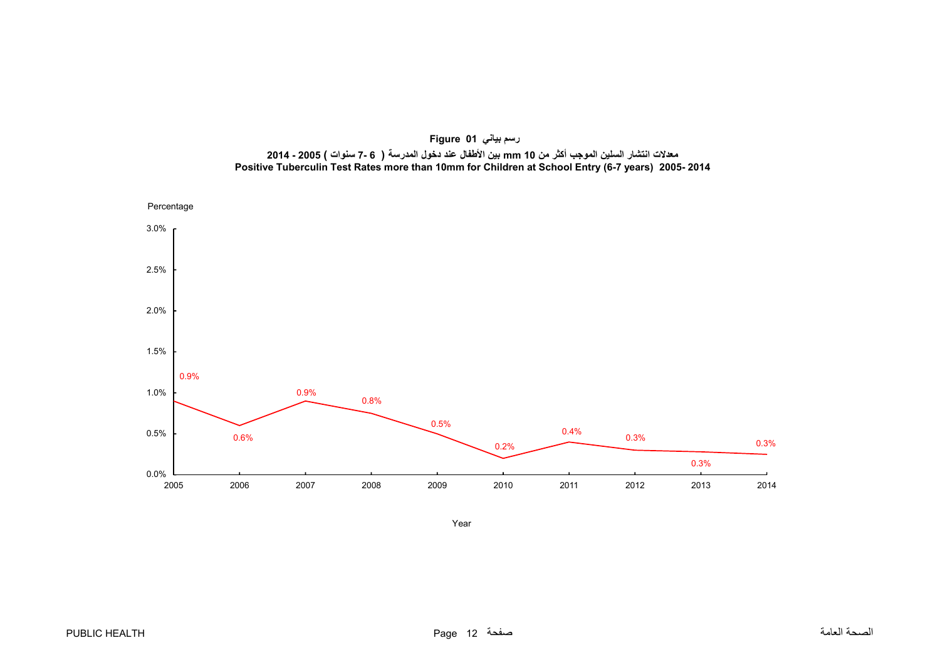<span id="page-12-0"></span>

**رسم بياني 01 Figure** معـلات انتشار السلين الموجب أكثر من 10 mm بين الأطفال عند دخول المدرسة ( 6 -7 سنوات ) 2005 - 2014 **Positive Tuberculin Test Rates more than 10mm for Children at School Entry (6-7 years) 2005- 2014**

Year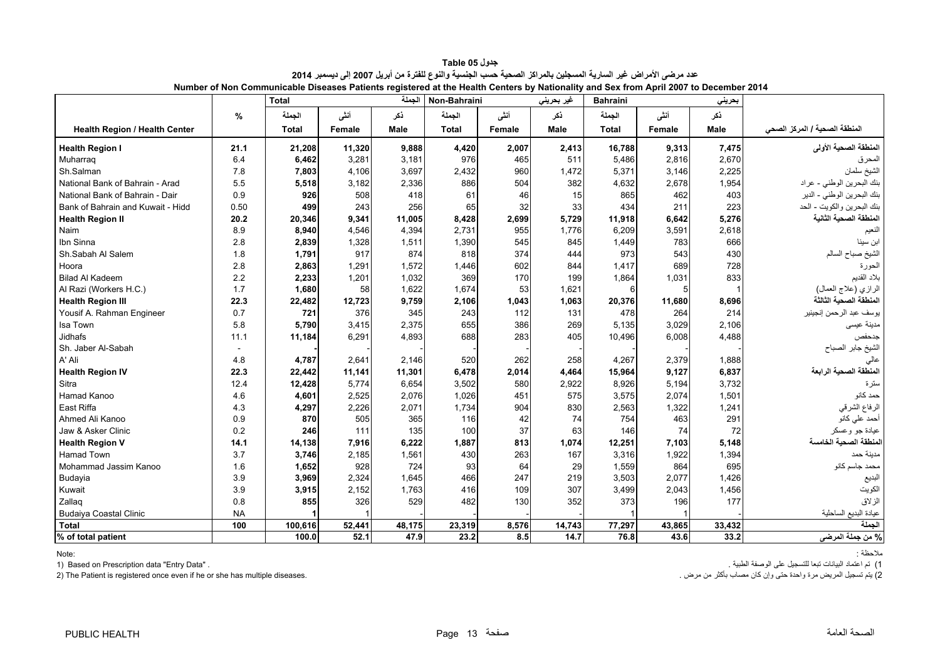<span id="page-13-0"></span>

|                                      |           | <b>Total</b> |        | الجملة      | Non-Bahraini |        | غير بحريني  | 1.441<br><b>Bahraini</b> |        | بحريني      |                               |
|--------------------------------------|-----------|--------------|--------|-------------|--------------|--------|-------------|--------------------------|--------|-------------|-------------------------------|
|                                      | $\%$      | الجملة       | أنشى   | ذكر         | الجملة       | أننى   | نكر         | الجملة                   | أنشى   | ذكر         |                               |
| <b>Health Region / Health Center</b> |           | <b>Total</b> | Female | <b>Male</b> | <b>Total</b> | Female | <b>Male</b> | <b>Total</b>             | Female | <b>Male</b> | المنطقة الصحية / المركز الصحى |
| <b>Health Region I</b>               | 21.1      | 21,208       | 11,320 | 9.888       | 4.420        | 2.007  | 2,413       | 16.788                   | 9,313  | 7,475       | المنطقة الصحية الأولى         |
| Muharrag                             | 6.4       | 6,462        | 3,281  | 3,181       | 976          | 465    | 511         | 5,486                    | 2,816  | 2,670       | المحرق                        |
| Sh.Salman                            | 7.8       | 7,803        | 4,106  | 3,697       | 2,432        | 960    | 1,472       | 5,371                    | 3,146  | 2,225       | الشيخ سلمان                   |
| National Bank of Bahrain - Arad      | 5.5       | 5,518        | 3,182  | 2,336       | 886          | 504    | 382         | 4,632                    | 2,678  | 1,954       | بنك البحرين الوطني - عراد     |
| National Bank of Bahrain - Dair      | 0.9       | 926          | 508    | 418         | 61           | 46     | 15          | 865                      | 462    | 403         | بنك البحرين الوطني - الدير    |
| Bank of Bahrain and Kuwait - Hidd    | 0.50      | 499          | 243    | 256         | 65           | 32     | 33          | 434                      | 211    | 223         | بنك البحرين والكويت - الحد    |
| <b>Health Region II</b>              | 20.2      | 20,346       | 9,341  | 11,005      | 8,428        | 2,699  | 5,729       | 11,918                   | 6,642  | 5,276       | المنطقة الصحية الثانية        |
| Naim                                 | 8.9       | 8,940        | 4.546  | 4,394       | 2,731        | 955    | 1,776       | 6,209                    | 3,591  | 2,618       | النعيم                        |
| Ibn Sinna                            | 2.8       | 2,839        | 1,328  | 1,511       | 1,390        | 545    | 845         | 1,449                    | 783    | 666         | ابن سينا                      |
| Sh.Sabah Al Salem                    | 1.8       | 1,791        | 917    | 874         | 818          | 374    | 444         | 973                      | 543    | 430         | الشيخ صباح السالم             |
| Hoora                                | 2.8       | 2,863        | 1,291  | 1,572       | 1,446        | 602    | 844         | 1,417                    | 689    | 728         | الحورة                        |
| <b>Bilad Al Kadeem</b>               | 2.2       | 2,233        | 1,201  | 1,032       | 369          | 170    | 199         | 1,864                    | 1,031  | 833         | بلاد القديم                   |
| Al Razi (Workers H.C.)               | 1.7       | 1,680        | 58     | 1,622       | 1,674        | 53     | 1,621       | 6                        |        |             | الرازي (علاج العمال)          |
| <b>Health Region III</b>             | 22.3      | 22,482       | 12,723 | 9,759       | 2,106        | 1,043  | 1,063       | 20,376                   | 11,680 | 8,696       | المنطقة الصحية الثالثة        |
| Yousif A. Rahman Engineer            | 0.7       | 721          | 376    | 345         | 243          | 112    | 131         | 478                      | 264    | 214         | يو سف عبد الر حمن إنجينير     |
| Isa Town                             | 5.8       | 5,790        | 3,415  | 2,375       | 655          | 386    | 269         | 5,135                    | 3,029  | 2.106       | مدينة عيسى                    |
| Jidhafs                              | 11.1      | 11,184       | 6.291  | 4,893       | 688          | 283    | 405         | 10,496                   | 6,008  | 4,488       | جدحفص                         |
| Sh. Jaber Al-Sabah                   |           |              |        |             |              |        |             |                          |        |             | الشيخ جابر الصباح             |
| A' Ali                               | 4.8       | 4,787        | 2,641  | 2,146       | 520          | 262    | 258         | 4,267                    | 2,379  | 1,888       | عالى                          |
| <b>Health Region IV</b>              | 22.3      | 22,442       | 11,141 | 11,301      | 6,478        | 2,014  | 4,464       | 15,964                   | 9,127  | 6,837       | المنطقة الصحية الرابعة        |
| Sitra                                | 12.4      | 12,428       | 5,774  | 6,654       | 3,502        | 580    | 2,922       | 8,926                    | 5,194  | 3,732       | سترة                          |
| Hamad Kanoo                          | 4.6       | 4,601        | 2,525  | 2,076       | 1,026        | 451    | 575         | 3,575                    | 2,074  | 1,501       | حمد کانو                      |
| East Riffa                           | 4.3       | 4,297        | 2,226  | 2,071       | 1,734        | 904    | 830         | 2,563                    | 1,322  | 1,241       | الرفاع الشرقي                 |
| Ahmed Ali Kanoo                      | 0.9       | 870          | 505    | 365         | 116          | 42     | 74          | 754                      | 463    | 291         | أحمد على كانو                 |
| Jaw & Asker Clinic                   | 0.2       | 246          | 111    | 135         | 100          | 37     | 63          | 146                      | 74     | 72          | عيادة جو وعسكر                |
| <b>Health Region V</b>               | 14.1      | 14,138       | 7,916  | 6,222       | 1,887        | 813    | 1,074       | 12,251                   | 7,103  | 5,148       | المنطقة الصحبة الخامسة        |
| <b>Hamad Town</b>                    | 3.7       | 3,746        | 2,185  | 1,561       | 430          | 263    | 167         | 3,316                    | 1,922  | 1,394       | مدينة حمد                     |
| Mohammad Jassim Kanoo                | 1.6       | 1,652        | 928    | 724         | 93           | 64     | 29          | 1,559                    | 864    | 695         | محمد جاسم كانو                |
| Budayia                              | 3.9       | 3,969        | 2,324  | 1,645       | 466          | 247    | 219         | 3,503                    | 2,077  | 1,426       | البديع                        |
| Kuwait                               | 3.9       | 3,915        | 2,152  | 1,763       | 416          | 109    | 307         | 3,499                    | 2,043  | 1,456       | الكويت                        |
| Zallaq                               | 0.8       | 855          | 326    | 529         | 482          | 130    | 352         | 373                      | 196    | 177         | الزلاق                        |
| <b>Budaiya Coastal Clinic</b>        | <b>NA</b> |              |        |             |              |        |             |                          |        |             | عيادة البديع الساحلية         |
| <b>Total</b>                         | 100       | 100,616      | 52,441 | 48,175      | 23,319       | 8,576  | 14,743      | 77,297                   | 43,865 | 33,432      | الجملة                        |
| % of total patient                   |           | 100.0        | 52.1   | 47.9        | 23.2         | 8.5    | 14.7        | 76.8                     | 43.6   | 33.2        | % من جعلة المرضى              |

**جدول 05 Table** عدد مرضى الأمراض غير السارية المسجلين بالمراكز الصحية حسب الجنسية والنوع للفترة من أبريل 2007 إلى ديسمبر 2014 **Number of Non Communicable Diseases Patients registered at the Health Centers by Nationality and Sex from April 2007 to December 2014**

مالحظة : :Note

1) تم اعتماد البيانات تبعا للتسجيل على الوصفة الطبية . . "Data Entry "data Prescription on Based) 1

2) The Patient is registered once even if he or she has multiple diseases.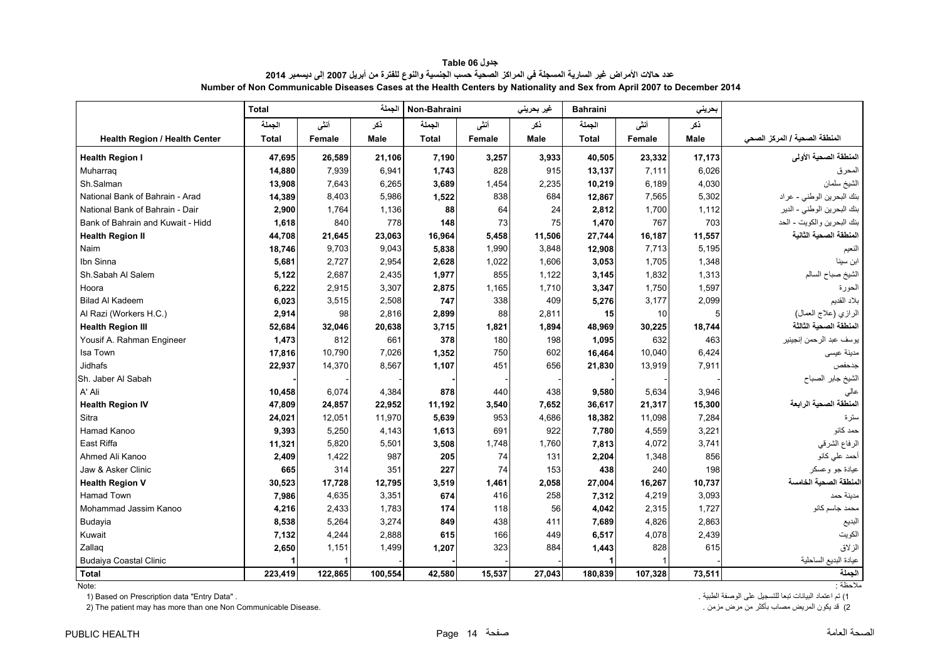<span id="page-14-0"></span>

|                                      | <b>Total</b> |         | الجملة      | Non-Bahraini |        | غیر بحرین <i>ی</i> | <b>Bahraini</b> |         | بحريني |                               |
|--------------------------------------|--------------|---------|-------------|--------------|--------|--------------------|-----------------|---------|--------|-------------------------------|
|                                      | الجملة       | أنشى    | نكر         | الجملة       | أنشى   | ذكر                | الجملة          | أنشى    | ذكر    |                               |
| <b>Health Region / Health Center</b> | <b>Total</b> | Female  | <b>Male</b> | <b>Total</b> | Female | Male               | <b>Total</b>    | Female  | Male   | المنطقة الصحية / المركز الصحى |
| <b>Health Region I</b>               | 47,695       | 26,589  | 21,106      | 7.190        | 3,257  | 3,933              | 40.505          | 23,332  | 17.173 | المنطقة الصحية الأولى         |
| Muharraq                             | 14,880       | 7,939   | 6.941       | 1,743        | 828    | 915                | 13,137          | 7,111   | 6,026  | المحرق                        |
| Sh.Salman                            | 13,908       | 7,643   | 6,265       | 3,689        | 1,454  | 2,235              | 10,219          | 6.189   | 4,030  | الشيخ سلمان                   |
| National Bank of Bahrain - Arad      | 14,389       | 8,403   | 5,986       | 1,522        | 838    | 684                | 12,867          | 7,565   | 5,302  | بنك البحرين الوطني - عراد     |
| National Bank of Bahrain - Dair      | 2.900        | 1,764   | 1,136       | 88           | 64     | 24                 | 2,812           | 1,700   | 1,112  | بنك البحرين الوطني - الدير    |
| Bank of Bahrain and Kuwait - Hidd    | 1,618        | 840     | 778         | 148          | 73     | 75                 | 1,470           | 767     | 703    | بنك البحرين والكويت - الحد    |
| <b>Health Region II</b>              | 44,708       | 21,645  | 23,063      | 16,964       | 5,458  | 11,506             | 27,744          | 16,187  | 11,557 | المنطقة الصحية الثانية        |
| Naim                                 | 18,746       | 9,703   | 9,043       | 5,838        | 1,990  | 3.848              | 12,908          | 7,713   | 5,195  | النعيم                        |
| Ibn Sinna                            | 5,681        | 2,727   | 2,954       | 2,628        | 1,022  | 1,606              | 3,053           | 1,705   | 1,348  | ابن سينا                      |
| Sh.Sabah Al Salem                    | 5,122        | 2,687   | 2,435       | 1,977        | 855    | 1,122              | 3,145           | 1,832   | 1,313  | الشيخ صباح السالم             |
| Hoora                                | 6,222        | 2,915   | 3,307       | 2,875        | 1,165  | 1,710              | 3,347           | 1,750   | 1,597  | الحورة                        |
| <b>Bilad Al Kadeem</b>               | 6,023        | 3,515   | 2,508       | 747          | 338    | 409                | 5,276           | 3,177   | 2,099  | بلاد القديم                   |
| Al Razi (Workers H.C.)               | 2,914        | 98      | 2,816       | 2,899        | 88     | 2,811              | 15              | 10      |        | الرازي (علاج العمال)          |
| <b>Health Region III</b>             | 52,684       | 32,046  | 20,638      | 3,715        | 1,821  | 1.894              | 48.969          | 30,225  | 18,744 | المنطقة الصحية الثالثة        |
| Yousif A. Rahman Engineer            | 1,473        | 812     | 661         | 378          | 180    | 198                | 1,095           | 632     | 463    | يوسف عبد الرحمن إنجينير       |
| Isa Town                             | 17,816       | 10.790  | 7,026       | 1,352        | 750    | 602                | 16,464          | 10.040  | 6,424  | مدينة عيسى                    |
| Jidhafs                              | 22,937       | 14,370  | 8,567       | 1,107        | 451    | 656                | 21,830          | 13,919  | 7,911  | جدحفص                         |
| Sh. Jaber Al Sabah                   |              |         |             |              |        |                    |                 |         |        | الشيخ جابر الصباح             |
| A' Ali                               | 10,458       | 6,074   | 4,384       | 878          | 440    | 438                | 9,580           | 5,634   | 3,946  | عالى                          |
| <b>Health Region IV</b>              | 47,809       | 24,857  | 22,952      | 11,192       | 3,540  | 7,652              | 36,617          | 21,317  | 15,300 | المنطقة الصحية الرابعة        |
| Sitra                                | 24,021       | 12,051  | 11,970      | 5,639        | 953    | 4,686              | 18,382          | 11,098  | 7,284  | سترة                          |
| Hamad Kanoo                          | 9,393        | 5,250   | 4,143       | 1,613        | 691    | 922                | 7,780           | 4,559   | 3,221  | حمد کانو                      |
| East Riffa                           | 11,321       | 5,820   | 5,501       | 3,508        | 1,748  | 1,760              | 7,813           | 4,072   | 3,741  | الرفاع الشرقي                 |
| Ahmed Ali Kanoo                      | 2,409        | 1,422   | 987         | 205          | 74     | 131                | 2,204           | 1,348   | 856    | أحمد علي كانو                 |
| Jaw & Asker Clinic                   | 665          | 314     | 351         | 227          | 74     | 153                | 438             | 240     | 198    | عيادة جو وعسكر                |
| <b>Health Region V</b>               | 30,523       | 17,728  | 12,795      | 3,519        | 1,461  | 2,058              | 27,004          | 16,267  | 10,737 | لمنطقة الصحبة الخامسة         |
| <b>Hamad Town</b>                    | 7,986        | 4,635   | 3,351       | 674          | 416    | 258                | 7,312           | 4,219   | 3,093  | مدبنة حمد                     |
| Mohammad Jassim Kanoo                | 4,216        | 2,433   | 1,783       | 174          | 118    | 56                 | 4,042           | 2,315   | 1,727  | محمد جاسم كانو                |
| Budayia                              | 8,538        | 5,264   | 3.274       | 849          | 438    | 411                | 7,689           | 4,826   | 2,863  | البديع                        |
| Kuwait                               | 7,132        | 4,244   | 2,888       | 615          | 166    | 449                | 6,517           | 4,078   | 2,439  | الكويت                        |
| Zallag                               | 2,650        | 1,151   | 1.499       | 1,207        | 323    | 884                | 1,443           | 828     | 615    | الز لاق                       |
| <b>Budaiya Coastal Clinic</b>        |              |         |             |              |        |                    |                 |         |        | عيادة البديع الساحلية         |
| <b>Total</b>                         | 223.419      | 122,865 | 100.554     | 42.580       | 15.537 | 27.043             | 180.839         | 107.328 | 73.511 | الحملة                        |

**جدول 06 Table** عدد حالات الأمراض غير السارية المسجلة في المراكز الصحية حسب الجنسية والنوع للفترة من أبريل 2007 إلى ديسمبر 2014 **Number of Non Communicable Diseases Cases at the Health Centers by Nationality and Sex from April 2007 to December 2014**

:Note

1) تم اعتماد البيانات تبعا للتسجيل على الوصفة الطبية . . "Data Entry "data Prescription on Based) 1 2) The patient may has more than one Non Communicable Disease.

مالحظة :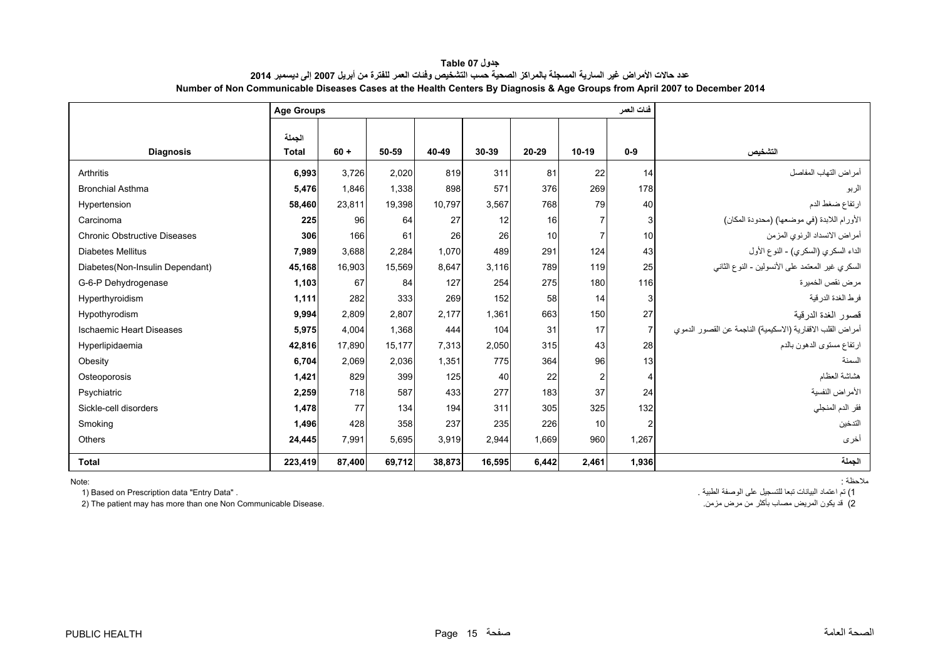<span id="page-15-0"></span>

|                                     | <b>Age Groups</b> |        |        |        |        | فنات العمر |                |                |                                                            |
|-------------------------------------|-------------------|--------|--------|--------|--------|------------|----------------|----------------|------------------------------------------------------------|
|                                     | الحملة            |        |        |        |        |            |                |                |                                                            |
| <b>Diagnosis</b>                    | <b>Total</b>      | $60 +$ | 50-59  | 40-49  | 30-39  | 20-29      | $10-19$        | $0-9$          | التشخيص                                                    |
| Arthritis                           | 6,993             | 3.726  | 2.020  | 819    | 311    | 81         | 22             | 14             | أمراض التهاب المفاصل                                       |
| <b>Bronchial Asthma</b>             | 5,476             | 1,846  | 1,338  | 898    | 571    | 376        | 269            | 178            | الربو                                                      |
| Hypertension                        | 58,460            | 23,811 | 19,398 | 10,797 | 3,567  | 768        | 79             | 40             | ارتفاع ضغط الدم                                            |
| Carcinoma                           | 225               | 96     | 64     | 27     | 12     | 16         | 7              | 3              | الأورام اللابدة (في موضعها) (محدودة المكان)                |
| <b>Chronic Obstructive Diseases</b> | 306               | 166    | 61     | 26     | 26     | 10         | $\overline{7}$ | 10             | أمراض الانسداد الرئوي المزمن                               |
| <b>Diabetes Mellitus</b>            | 7.989             | 3,688  | 2.284  | 1.070  | 489    | 291        | 124            | 43             | الداء السكري (السكري) - النوع الأول                        |
| Diabetes(Non-Insulin Dependant)     | 45,168            | 16,903 | 15,569 | 8,647  | 3.116  | 789        | 119            | 25             | السكري غير المعتمد على الأنسولين - النوع الثاني            |
| G-6-P Dehydrogenase                 | 1,103             | 67     | 84     | 127    | 254    | 275        | 180            | 116            | مر ض نقص الخمير ۃ                                          |
| Hyperthyroidism                     | 1,111             | 282    | 333    | 269    | 152    | 58         | 14             | 3              | فرط الغدة الدر قبة                                         |
| Hypothyrodism                       | 9,994             | 2,809  | 2.807  | 2.177  | 1.361  | 663        | 150            | 27             | قصور الغدة الدرقية                                         |
| <b>Ischaemic Heart Diseases</b>     | 5,975             | 4,004  | 1,368  | 444    | 104    | 31         | 17             | $\overline{7}$ | أمراض القلب الاقفارية (الاسكيمية) الناجمة عن القصور الدموي |
| Hyperlipidaemia                     | 42,816            | 17,890 | 15.177 | 7,313  | 2,050  | 315        | 43             | 28             | ارتفاع مستوى الدهون بالدم                                  |
| Obesity                             | 6,704             | 2,069  | 2,036  | 1,351  | 775    | 364        | 96             | 13             | السمنة                                                     |
| Osteoporosis                        | 1.421             | 829    | 399    | 125    | 40     | 22         | $\overline{2}$ | 4              | هشاشة العظام                                               |
| Psychiatric                         | 2,259             | 718    | 587    | 433    | 277    | 183        | 37             | 24             | الأمراض النفسية                                            |
| Sickle-cell disorders               | 1,478             | 77     | 134    | 194    | 311    | 305        | 325            | 132            | فقر الدم المنجلي                                           |
| Smoking                             | 1,496             | 428    | 358    | 237    | 235    | 226        | 10             | 2              | التدخين                                                    |
| Others                              | 24,445            | 7,991  | 5,695  | 3,919  | 2,944  | 1,669      | 960            | 1,267          | أخرى                                                       |
| <b>Total</b>                        | 223,419           | 87,400 | 69,712 | 38,873 | 16,595 | 6,442      | 2,461          | 1,936          | الحملة                                                     |

**جدول 07 Table** عدد حالات الأمراض غير السارية المسجلة بالمراكز الصحية حسب التشخيص وفنات العمر للفترة من أبريل 2007 إلى ديسمبر 2014 **Number of Non Communicable Diseases Cases at the Health Centers By Diagnosis & Age Groups from April 2007 to December 2014**

Note:

1) تم اعتماد البيانات تبعا للتسجيل على الوصفة الطبية .<br>2) تم اعتماد البيانات تبعا للتسجيل على الوصفة الطبيع العريض مصاب بأكثر من مرض مزمن .<br>2) قد يكون المريض مصاب بأكثر من مرض مزمن . 2) The patient may has more than one Non Communicable Disease.

مالحظة :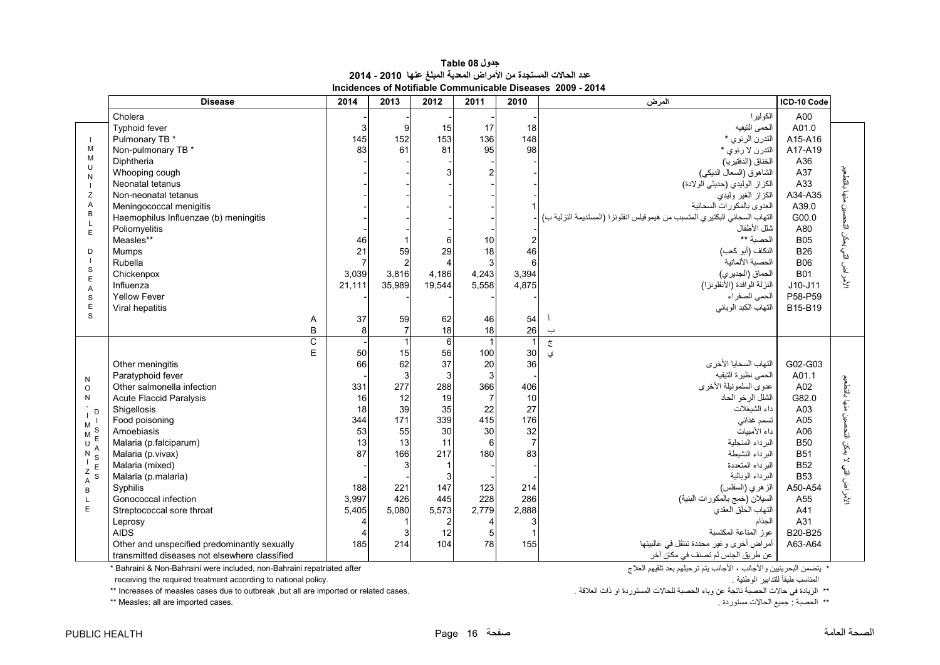| جدول Table 08                                                    |
|------------------------------------------------------------------|
| عدد الحالات المستجدة من الأمراض المعدية المبلغ عنها  2010 - 2014 |
| Incidences of Notifiable Communicable Diseases  2009 - 2014      |

<span id="page-16-0"></span>

|                                | <b>Disease</b>                                | 2014           | 2013           | 2012           | 2011           | $\overline{2010}$ | المرض                                                                      | ICD-10 Code |                      |
|--------------------------------|-----------------------------------------------|----------------|----------------|----------------|----------------|-------------------|----------------------------------------------------------------------------|-------------|----------------------|
|                                | Cholera                                       |                |                |                |                |                   | الكوليرا                                                                   | A00         |                      |
|                                | Typhoid fever                                 | 3              | 9              | 15             | 17             | 18                | الحمى التيفيه                                                              | A01.0       |                      |
|                                | Pulmonary TB *                                | 145            | 152            | 153            | 136            | 148               | التدرن الرئوي *                                                            | A15-A16     |                      |
| M                              | Non-pulmonary TB *                            | 83             | 61             | 81             | 95             | 98                | التدرن لا رئوي *                                                           | A17-A19     |                      |
| M                              | Diphtheria                                    |                |                |                |                |                   | الخناق (الدفتيريا)                                                         | A36         |                      |
| U<br>N                         | Whooping cough                                |                |                |                |                |                   | الشاهوق (السعال الديكي)                                                    | A37         |                      |
|                                | Neonatal tetanus                              |                |                |                |                |                   | الكزاز الوليدي (حديثي الولادة)                                             | A33         |                      |
| Z                              | Non-neonatal tetanus                          |                |                |                |                |                   | الكزاز الغير وليدي                                                         | A34-A35     | ننها بالتطعيم        |
| A                              | Meningococcal menigitis                       |                |                |                |                |                   | العدوى بالمكورات السحائبة                                                  | A39.0       |                      |
| $\overline{B}$<br>$\mathsf{L}$ | Haemophilus Influenzae (b) meningitis         |                |                |                |                |                   | التهاب السحائي البكتيري المتسبب من هيموفيلس انفلونزا (المستديمة النزلية ب) | G00.0       |                      |
| E                              | Poliomyelitis                                 |                |                |                |                |                   | شلل الأطفال                                                                | A80         |                      |
|                                | Measles**                                     | 46             |                |                | 10             |                   | الحصية **                                                                  | <b>B05</b>  |                      |
| D                              | Mumps                                         | 21             | 59             | 29             | 18             | 46                | النكاف (أبو كعب)                                                           | <b>B26</b>  |                      |
|                                | Rubella                                       | $\overline{7}$ | $\overline{2}$ |                | 3              | 6                 | الحصبة الألمانية                                                           | <b>B06</b>  |                      |
| $\mathbf S$<br>$\mathsf E$     | Chickenpox                                    | 3,039          | 3,816          | 4,186          | 4,243          | 3,394             | الحماق (الجديري)                                                           | <b>B01</b>  | لأمراض التي يمكن الت |
| $\overline{A}$                 | Influenza                                     | 21.111         | 35,989         | 19,544         | 5.558          | 4,875             | النزلة الوافدة (الأنظونزا)                                                 | J10-J11     |                      |
| $\mathbf S$                    | <b>Yellow Fever</b>                           |                |                |                |                |                   | الحمى الصفر اء                                                             | P58-P59     |                      |
| $\mathsf E$                    | Viral hepatitis                               |                |                |                |                |                   | التهاب الكبد الوبائي                                                       | B15-B19     |                      |
| S                              |                                               | 37<br>Α        | 59             | 62             | 46             | 54                |                                                                            |             |                      |
|                                |                                               | B<br>8         | $\overline{7}$ | 18             | 18             | 26                | $\overline{\phantom{0}}$                                                   |             |                      |
|                                |                                               | C              |                |                |                |                   | $\overline{\mathbb{C}}$                                                    |             |                      |
|                                |                                               | E<br>50        | 15             | 56             | 100            | 30                | ى                                                                          |             |                      |
|                                | Other meningitis                              | 66             | 62             | 37             | 20             | 36                | التهاب السحايا الأخرى                                                      | G02-G03     |                      |
| N                              | Paratyphoid fever                             |                | 3              | 3              | 3              |                   | الحمى نظيرة التيفيه                                                        | A01.1       |                      |
| $\circ$                        | Other salmonella infection                    | 331            | 277            | 288            | 366            | 406               | عدوى السلمونيلة الأخرى                                                     | A02         |                      |
| N                              | Acute Flaccid Paralysis                       | 16             | 12             | 19             | $\overline{7}$ | 10                | الشلل الرخو الحاد                                                          | G82.0       | منها بالتطعيم        |
| D                              | Shigellosis                                   | 18             | 39             | 35             | 22             | 27                | داء الشيغلات                                                               | A03         |                      |
| M                              | Food poisoning                                | 344            | 171            | 339            | 415            | 176               | تسمم غذائى                                                                 | A05         | ċ.                   |
| S<br>M<br>E                    | Amoebiasis                                    | 53             | 55             | 30             | 30             | 32                | داء الأميبات                                                               | A06         | لا بمكن التحم        |
| U                              | Malaria (p.falciparum)                        | 13             | 13             | 11             | 6              | $\overline{7}$    | البرداء المنجلية                                                           | <b>B50</b>  |                      |
| N<br>S                         | Malaria (p.vivax)                             | 87             | 166            | 217            | 180            | 83                | البرداء النشيطة                                                            | <b>B51</b>  |                      |
| $Z$ E                          | Malaria (mixed)                               |                |                |                |                |                   | البرداء المتعددة                                                           | <b>B52</b>  |                      |
| S<br>$\overline{A}$            | Malaria (p.malaria)                           |                |                | 3              |                |                   | البرداء الوبالية                                                           | <b>B53</b>  |                      |
| B                              | Syphilis                                      | 188            | 221            | 147            | 123            | 214               | الز هري (السفلس)                                                           | A50-A54     | لأمر اض التي         |
| $\mathsf{L}$                   | Gonococcal infection                          | 3.997          | 426            | 445            | 228            | 286               | السيلان (خمج بالمكورات البنية)                                             | A55         |                      |
| E                              | Streptococcal sore throat                     | 5,405          | 5,080          | 5,573          | 2,779          | 2,888             | التهاب الحلق العقدي                                                        | A41         |                      |
|                                | Leprosy                                       | 4              |                | $\overline{2}$ |                |                   | الجذام                                                                     | A31         |                      |
|                                | <b>AIDS</b>                                   |                |                | 12             |                |                   | عوز المناعة المكتسبة                                                       | B20-B25     |                      |
|                                | Other and unspecified predominantly sexually  | 185            | 214            | 104            | 78             | 155               | أمراض أخرى وغير محددة تنتقل في غالبيتها                                    | A63-A64     |                      |
|                                | transmitted diseases not elsewhere classified |                |                |                |                |                   | عن طريق الجنس لم تصنف في مكانّ آخر                                         |             |                      |

 $*$  Bahraini & Non-Bahraini were included, non-Bahraini repatriated after

receiving the required treatment according to national policy.

\*

\*\* Increases of measles cases due to outbreak ,but all are imported or related cases. حد مستوردة الحالات المستوردة او ذات العلاقة.<br>\*\* Increases of measles cases due to outbreak ,but all are imported or related cases.<br>\*\* Measles: all are imported cases. . . . . . . الحصبة : احصبة : جميع الحالات مستوردة . .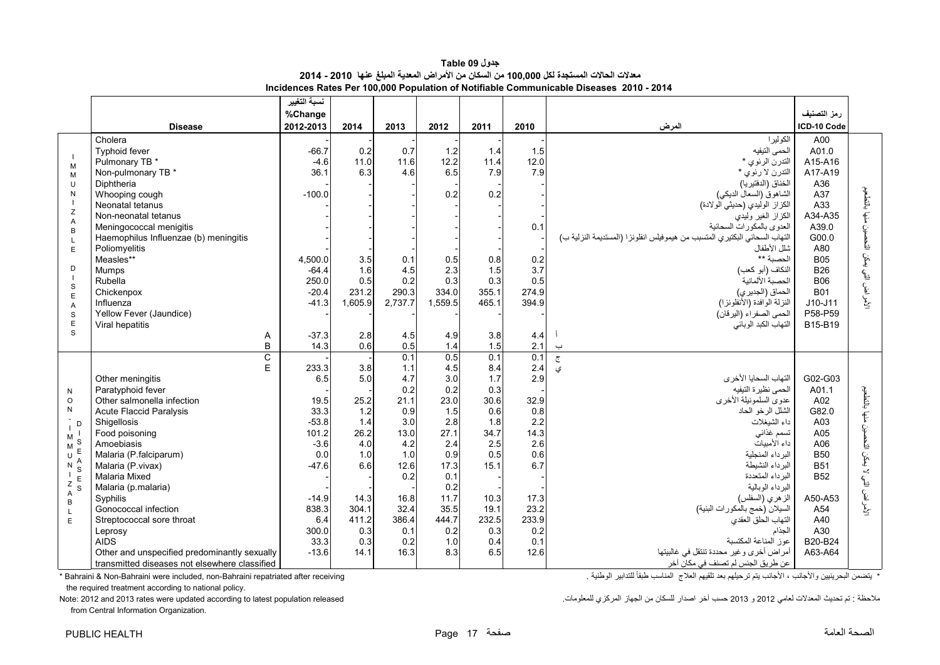**جدول 09 Table معدالت الحاالت المستجدة لكل 100,000 من السكان من األمراض المعدية المبلغ عنھا 2010 - 2014 Incidences Rates Per 100,000 Population of Notifiable Communicable Diseases 2010 - 2014** 

<span id="page-17-0"></span>

|                                                |                                                                                               | نسبة التغيير                |                     |                     |                     |                     |                     |                                                                                                          |                                        |                                        |
|------------------------------------------------|-----------------------------------------------------------------------------------------------|-----------------------------|---------------------|---------------------|---------------------|---------------------|---------------------|----------------------------------------------------------------------------------------------------------|----------------------------------------|----------------------------------------|
|                                                |                                                                                               | %Change                     |                     |                     |                     |                     |                     |                                                                                                          | رمز التصنيف                            |                                        |
|                                                | <b>Disease</b>                                                                                | 2012-2013                   | 2014                | 2013                | 2012                | 2011                | 2010                | المرض                                                                                                    | ICD-10 Code                            |                                        |
| M                                              | Cholera<br><b>Typhoid fever</b><br>Pulmonary TB *                                             | $-66.7$<br>$-4.6$           | 0.2<br>11.0         | 0.7<br>11.6         | 1.2<br>12.2         | 1.4<br>11.4         | 1.5<br>12.0         | الكوليرا<br>الحمى التيفيه<br>التدرن الرئوي *                                                             | A00<br>A01.0<br>A15-A16                |                                        |
| M<br>U<br>N                                    | Non-pulmonary TB *<br>Diphtheria<br>Whooping cough                                            | 36.1<br>$-100.0$            | 6.3                 | 4.6                 | 6.5<br>0.2          | 7.9<br>0.2          | 7.9                 | التدرن لا رئوي *<br>الخناق (الدفتيريا)<br>الشاهوق (السعال الديكي)                                        | A17-A19<br>A36<br>A37                  |                                        |
| Z<br>Α                                         | Neonatal tetanus<br>Non-neonatal tetanus<br>Meningococcal menigitis                           |                             |                     |                     |                     |                     | 0.1                 | الكزاز الوليدي (حديثي الولادة)<br>الكزاز الغير وليدي<br>العدوى بالمكورات السحائية                        | A33<br>A34-A35<br>A39.0                |                                        |
| B<br>L<br>E                                    | Haemophilus Influenzae (b) meningitis<br>Poliomyelitis<br>Measles**                           | 4,500.0                     | 3.5                 | 0.1                 | 0.5                 | 0.8                 | 0.2                 | التهاب السحائي البكتيري المتسبب من هيمو فيلس انفلونز ا (المستديمة النزلية ب)<br>شلل الأطفال<br>الحصبة ** | G00.0<br>A80<br><b>B05</b>             |                                        |
| D<br>$\overline{1}$<br>$\mathbf S$             | Mumps<br>Rubella<br>Chickenpox                                                                | $-64.4$<br>250.0<br>$-20.4$ | 1.6<br>0.5<br>231.2 | 4.5<br>0.2<br>290.3 | 2.3<br>0.3<br>334.0 | 1.5<br>0.3<br>355.1 | 3.7<br>0.5<br>274.9 | النكاف (أبو كعب)<br>الحصبة الألمانية<br>الحماق (الجديري)                                                 | <b>B26</b><br><b>B06</b><br><b>B01</b> | لأمراض التي يمكن التحصين منها بالتطعيم |
| E<br>Α<br>S<br>$\mathsf E$                     | Influenza<br>Yellow Fever (Jaundice)                                                          | $-41.3$                     | 1,605.9             | 2,737.7             | 1,559.5             | 465.1               | 394.9               | النزلة الوافدة (الأنظونزا)<br>الحمى الصفراء (اليرقان)                                                    | $J10-J11$<br>P58-P59<br>B15-B19        |                                        |
| S                                              | Viral hepatitis<br>Α<br>B                                                                     | $-37.3$<br>14.3             | 2.8<br>0.6          | 4.5<br>0.5          | 4.9<br>1.4          | 3.8<br>1.5          | 4.4<br>2.1          | التهاب الكبد الوبائي<br>$\overline{\phantom{0}}$                                                         |                                        |                                        |
|                                                | $\mathsf{C}$<br>E                                                                             | 233.3                       | 3.8                 | 0.1<br>1.1          | 0.5<br>4.5          | 0.1<br>8.4          | 0.1<br>2.4          | $\overline{\tilde{c}}$<br>ي                                                                              |                                        |                                        |
| N                                              | Other meningitis<br>Paratyphoid fever                                                         | 6.5                         | 5.0                 | 4.7<br>0.2          | 3.0<br>0.2          | 1.7<br>0.3          | 2.9                 | التهاب السحايا الأخرى<br>الحمى نظيرة التيفيه                                                             | G02-G03<br>A01.1                       |                                        |
| $\circ$<br>${\sf N}$                           | Other salmonella infection<br><b>Acute Flaccid Paralysis</b>                                  | 19.5<br>33.3                | 25.2<br>1.2         | 21.1<br>0.9         | 23.0<br>1.5         | 30.6<br>0.6         | 32.9<br>0.8         | عدوى السلمونيلة الأخرى<br>الشلل الرخو الحاد                                                              | A02<br>G82.0                           | منها بالتطعيم                          |
| D<br>M                                         | Shigellosis<br>Food poisoning                                                                 | $-53.8$<br>101.2            | 1.4<br>26.2         | 3.0<br>13.0         | 2.8<br>27.1         | 1.8<br>34.7         | 2.2<br>14.3         | داء الشيغلات<br>تسمم غذائى                                                                               | A03<br>A05                             |                                        |
| M<br>$\mathsf{E}$<br>$\sf U$<br>Α<br>N         | Amoebiasis<br>Malaria (P.falciparum)<br>Malaria (P. vivax)                                    | $-3.6$<br>0.0<br>$-47.6$    | 4.0<br>1.0<br>6.6   | 4.2<br>1.0<br>12.6  | 2.4<br>0.9<br>17.3  | 2.5<br>0.5<br>15.1  | 2.6<br>0.6<br>6.7   | داء الأمبيات<br>البرداء المنجلية<br>البر داء النشيطة                                                     | A06<br><b>B50</b><br><b>B51</b>        | لا بمكن التحص                          |
| S<br>$\mathsf E$<br>$\mathsf Z$<br>S           | Malaria Mixed<br>Malaria (p.malaria)                                                          |                             |                     | 0.2                 | 0.1<br>0.2          |                     |                     | البرداء المتعددة<br>البرداء الوبالية                                                                     | <b>B52</b>                             |                                        |
| $\boldsymbol{\mathsf{A}}$<br>B<br>$\mathsf{L}$ | Syphilis<br>Gonococcal infection                                                              | $-14.9$<br>838.3            | 14.3<br>304.1       | 16.8<br>32.4        | 11.7<br>35.5        | 10.3<br>19.1        | 17.3<br>23.2        | الزهري (السفلس)<br>السيلان (خمج بالمكورات البنية)                                                        | A50-A53<br>A54                         | لأمراض التي                            |
| E                                              | Streptococcal sore throat<br>Leprosy<br><b>AIDS</b>                                           | 6.4<br>300.0<br>33.3        | 411.2<br>0.3<br>0.3 | 386.4<br>0.1<br>0.2 | 444.7<br>0.2<br>1.0 | 232.5<br>0.3<br>0.4 | 233.9<br>0.2<br>0.1 | التهاب الحلق العقدي<br>الجذام<br>عوز المناعة المكتسبة                                                    | A40<br>A30<br>B20-B24                  |                                        |
|                                                | Other and unspecified predominantly sexually<br>transmitted diseases not elsewhere classified | $-13.6$                     | 14.1                | 16.3                | 8.3                 | 6.5                 | 12.6                | أمراض أخرى وغير محددة تنتقل في غالبيتها<br>عن طريق الجنس لم تصنف في مكان آخر                             | A63-A64                                |                                        |

the required treatment according to national policy.

from Central Information Organization.

\* يتضمن البحرينيين والأجانب ، الأجانب يتم ترحيلهم بعد تلقيهم العلاج المناسب طبقاً للتدابير الوطنية . للمناسب طبقاً للتدابير الوطنية . receiving " مستقطع العالم المناسب طبقاً للتدابير الوطنية . . . . . . . . . . . . . . .

مالحظة : تم تحديث المعدالت لعامي <sup>2012</sup> <sup>و</sup> <sup>2013</sup> حسب آخر اصدار للسكان من الجھاز المركزي للمعلومات. released population latest to according updated were rates 2013 and 2012 :Note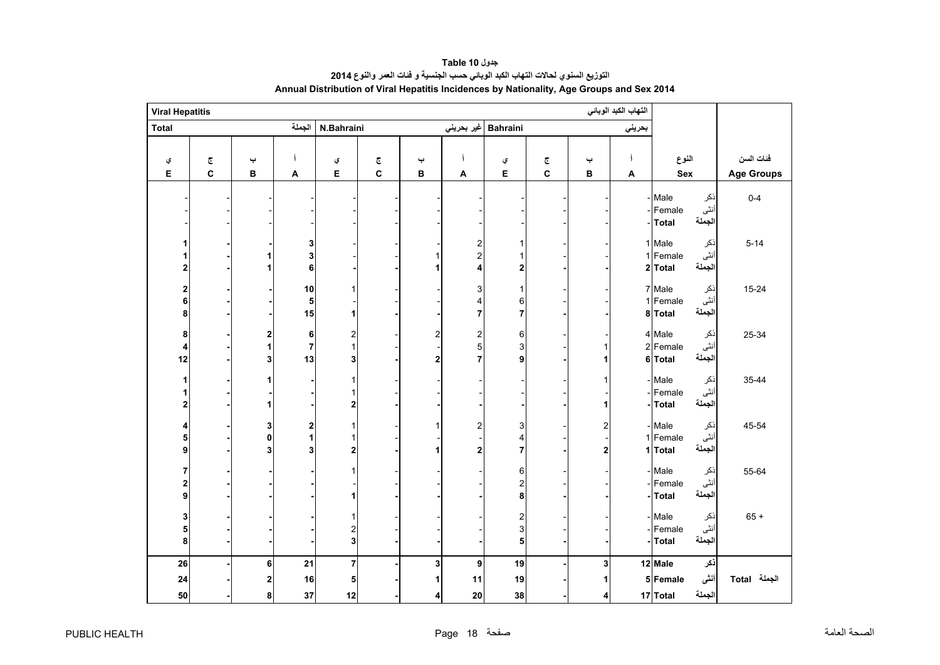<span id="page-18-0"></span>

| <b>Viral Hepatitis</b>  |                         |                |                     |                         |                         |                         |                                                    |                              |   |                         | التهاب الكبد الوبائي |                    |                |                   |
|-------------------------|-------------------------|----------------|---------------------|-------------------------|-------------------------|-------------------------|----------------------------------------------------|------------------------------|---|-------------------------|----------------------|--------------------|----------------|-------------------|
| <b>Total</b>            |                         |                | الجملة              | N.Bahraini              |                         |                         | غير بحريني                                         | Bahraini                     |   |                         | بحريني               |                    |                |                   |
|                         |                         |                |                     |                         |                         |                         |                                                    |                              |   |                         |                      |                    |                |                   |
| ي                       | $\overline{\mathbb{C}}$ | پ              | Í                   | ي                       | $\overline{\mathbb{C}}$ | پ                       |                                                    | ي                            | چ | پ                       | í                    | النوع              |                | فئات السن         |
| Е                       | $\mathbf c$             | B              | A                   | E                       | C                       | в                       | Α                                                  | E                            | C | B                       | Α                    | Sex                |                | <b>Age Groups</b> |
|                         |                         |                |                     |                         |                         |                         |                                                    |                              |   |                         |                      |                    |                |                   |
|                         |                         |                |                     |                         |                         |                         |                                                    |                              |   |                         |                      | - Male<br>Female   | ذكر<br>أنثى    | $0 - 4$           |
|                         |                         |                |                     |                         |                         |                         |                                                    |                              |   |                         |                      | <b>Total</b>       | الجملة         |                   |
|                         |                         |                |                     |                         |                         |                         |                                                    |                              |   |                         |                      |                    |                |                   |
| 1<br>1                  |                         |                | 3<br>3              |                         |                         | 1                       | $\overline{\mathbf{c}}$<br>$\overline{\mathbf{c}}$ | 1<br>1                       |   |                         |                      | 1 Male<br>1 Female | ذكر<br>أنثى    | $5 - 14$          |
| $\overline{\mathbf{c}}$ |                         |                | $\bf 6$             |                         |                         | 1                       | 4                                                  | $\mathbf 2$                  |   |                         |                      | 2 Total            | الجملة         |                   |
|                         |                         |                |                     |                         |                         |                         |                                                    |                              |   |                         |                      |                    |                |                   |
| $\overline{\mathbf{c}}$ |                         |                | $10$                | 1                       |                         |                         | 3                                                  | 1                            |   |                         |                      | 7 Male             | ذكر            | $15 - 24$         |
| 6                       |                         |                | 5                   |                         |                         |                         | 4                                                  | 6                            |   |                         |                      | 1 Female           | أنثى<br>الجملة |                   |
| 8                       |                         |                | 15                  | 1                       |                         |                         | $\overline{7}$                                     | $\overline{7}$               |   |                         |                      | 8Total             |                |                   |
| 8                       |                         | 2              | 6                   | $\overline{\mathbf{c}}$ |                         | $\overline{c}$          | $\overline{\mathbf{c}}$                            | $\,6\,$                      |   |                         |                      | 4 Male             | ذكر            | 25-34             |
| 4                       |                         | 1              | $\overline{7}$      | $\mathbf{1}$            |                         |                         | 5                                                  | $\mathsf 3$                  |   | 1                       |                      | 2 Female           | أننى           |                   |
| 12                      |                         | 3              | 13                  | 3                       |                         | $\overline{\mathbf{2}}$ | 7                                                  | 9                            |   | 1                       |                      | 6 Total            | الجملة         |                   |
| 1                       |                         | 1              |                     | $\mathbf{1}$            |                         |                         |                                                    |                              |   | 1                       |                      | - Male             | ذكر            | 35-44             |
| 1                       |                         |                |                     | $\mathbf{1}$            |                         |                         |                                                    |                              |   |                         |                      | - Female           | أننى           |                   |
| $\overline{\mathbf{2}}$ |                         | 1              |                     | 2                       |                         |                         |                                                    |                              |   | 1                       |                      | -Total             | الجملة         |                   |
| 4                       |                         | 3              | 2                   | $\mathbf{1}$            |                         | 1                       | $\overline{\mathbf{c}}$                            | 3                            |   | $\overline{\mathbf{c}}$ |                      | - Male             | ذكر            | 45-54             |
| 5                       |                         | $\mathbf 0$    | $\ddot{\mathbf{1}}$ | $\mathbf{1}$            |                         |                         |                                                    | $\overline{\mathbf{4}}$      |   |                         |                      | 1 Female           | أننى           |                   |
| 9                       |                         | 3              | 3                   | $\overline{\mathbf{2}}$ |                         | 1                       | 2                                                  | $\overline{7}$               |   | $\overline{2}$          |                      | 1 Total            | الجملة         |                   |
| 7                       |                         |                |                     | 1                       |                         |                         |                                                    | 6                            |   |                         |                      | - Male             | ذكر            | 55-64             |
| 2                       |                         |                |                     |                         |                         |                         |                                                    | $\overline{\mathbf{c}}$      |   |                         |                      | Female             | أننى           |                   |
| 9                       |                         |                |                     | 1                       |                         |                         |                                                    | 8                            |   |                         |                      | -Total             | الجملة         |                   |
|                         |                         |                |                     |                         |                         |                         |                                                    |                              |   |                         |                      |                    |                |                   |
| 3<br>5                  |                         |                |                     | 1                       |                         |                         |                                                    | $\overline{\mathbf{c}}$<br>3 |   |                         |                      | - Male<br>Female   | ذكر<br>أنثى    | $65 +$            |
| 8                       |                         |                |                     | $\frac{2}{3}$           |                         |                         |                                                    | 5                            |   |                         |                      | <b>Total</b>       | الجملة         |                   |
|                         |                         |                |                     |                         |                         |                         |                                                    |                              |   |                         |                      |                    |                |                   |
| 26                      |                         | 6              | 21                  | 7                       |                         | 3                       | 9                                                  | 19                           |   | 3                       |                      | 12 Male            | ذكر            |                   |
| 24                      |                         | $\overline{2}$ | 16                  | 5                       |                         |                         | 11                                                 | 19                           |   | 1                       |                      | 5 Female           | أنثى           | الجملة Total      |
| 50                      |                         | 8              | 37                  | 12                      |                         | 4                       | 20                                                 | 38                           |   | 4                       |                      | 17 Total           | الجملة         |                   |

**جدول 10 Table التوزيع السنوي لحاالت التھاب الكبد الوبائي حسب الجنسية <sup>و</sup> فئات العمر والنوع <sup>2014</sup> Annual Distribution of Viral Hepatitis Incidences by Nationality, Age Groups and Sex 2014**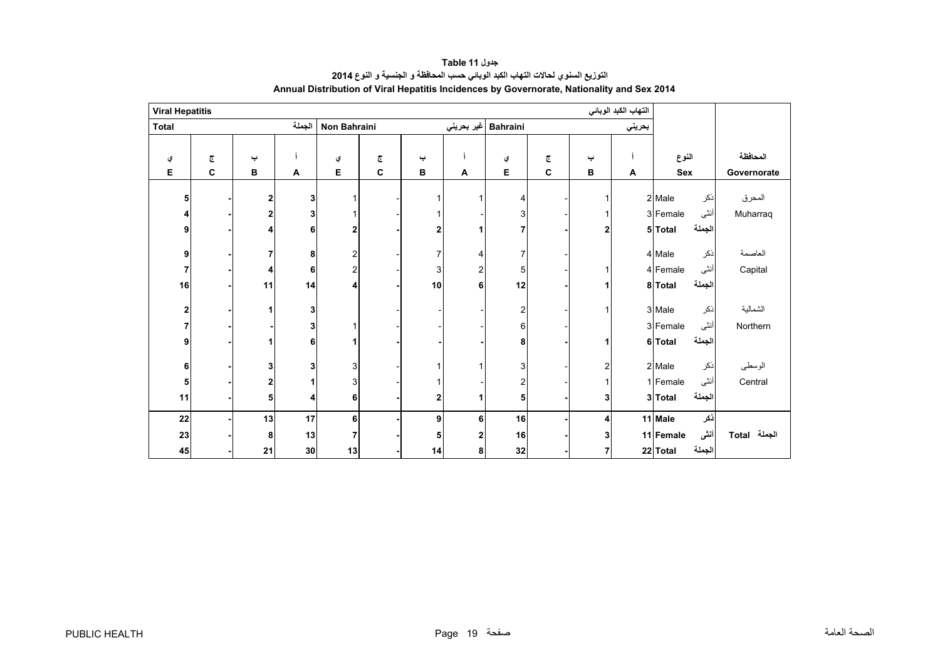<span id="page-19-0"></span>

| <b>Viral Hepatitis</b> |   |    |        |                |                         |    |   |                              |   |                         | التهاب الكبد الوبائي |            |        |              |
|------------------------|---|----|--------|----------------|-------------------------|----|---|------------------------------|---|-------------------------|----------------------|------------|--------|--------------|
| <b>Total</b>           |   |    | الجملة | Non Bahraini   |                         |    |   | Bahraini  غیر بحرین <i>ي</i> |   |                         | بحريني               |            |        |              |
|                        |   |    |        |                |                         |    |   |                              |   |                         |                      |            |        |              |
| ي                      | ج | پ  |        | ي              | $\overline{\mathbb{C}}$ | پ  |   | ي                            | ج | پ                       |                      | النوع      |        | المحافظة     |
| E                      | C | В  | A      | E              | C                       | в  | A | Е                            | C | в                       | A                    | <b>Sex</b> |        | Governorate  |
| 5                      |   | 2  | 3      |                |                         |    |   | $\overline{4}$               |   | 1                       |                      | 2 Male     | ذكر    | المحرق       |
| 4                      |   | 2  | 3      |                |                         |    |   | 3                            |   |                         |                      | 3 Female   | أنثى   | Muharraq     |
| 9                      |   | 4  | 6      | $\mathbf{2}$   |                         | 2  | 4 | 7                            |   | 2 <sub>l</sub>          |                      | 5 Total    | الجملة |              |
|                        |   |    |        |                |                         |    |   |                              |   |                         |                      |            |        |              |
| 9                      |   | 7  | 8      | 2              |                         | 7  | 4 | $\overline{7}$               |   |                         |                      | 4 Male     | نكر    | العاصمة      |
| 7                      |   | 4  | 6      | 2              |                         | 3  | 2 | 5                            |   | 1                       |                      | 4 Female   | أنثى   | Capital      |
| 16                     |   | 11 | 14     | 4              |                         | 10 | 6 | 12                           |   | 1                       |                      | 8 Total    | الجملة |              |
|                        |   |    |        |                |                         |    |   |                              |   |                         |                      |            |        |              |
| $\overline{2}$         |   | 1  | 3      |                |                         |    |   | $\overline{2}$               |   | $\mathbf{1}$            |                      | 3 Male     | ذكر    | الشمالية     |
| 7                      |   |    | 3      |                |                         |    |   | 6                            |   |                         |                      | 3 Female   | أنثى   | Northern     |
| 9                      |   |    | 6      |                |                         |    |   | 8                            |   | 1                       |                      | 6 Total    | الجملة |              |
| 6                      |   | 3  | 3      | 3              |                         |    |   | 3                            |   | $\overline{\mathbf{c}}$ |                      | 2 Male     | ذكر    | الوسطى       |
| 5                      |   | 2  |        | 3              |                         |    |   | 2                            |   | 1                       |                      | 1 Female   | أنثى   | Central      |
| 11                     |   | 5  |        | 6              |                         | 2  | 1 | 5                            |   | 3                       |                      | 3 Total    | الجملة |              |
|                        |   |    |        |                |                         |    |   |                              |   |                         |                      |            |        |              |
| 22                     |   | 13 | 17     | 6              |                         | 9  | 6 | 16                           |   | $\overline{\mathbf{4}}$ |                      | 11 Male    | ذكر    |              |
| 23                     |   | 8  | 13     | $\overline{7}$ |                         | 5  | 2 | 16                           |   | 3 <sub>l</sub>          |                      | 11 Female  | أننى   | الجملة Total |
| 45                     |   | 21 | 30     | 13             |                         | 14 | 8 | 32                           |   | $\overline{7}$          |                      | 22 Total   | الجملة |              |

## **جدول 11 Table التوزيع السنوي لحاالت التھاب الكبد الوبائي حسب المحافظة <sup>و</sup> الجنسية <sup>و</sup> النوع <sup>2014</sup> Annual Distribution of Viral Hepatitis Incidences by Governorate, Nationality and Sex 2014**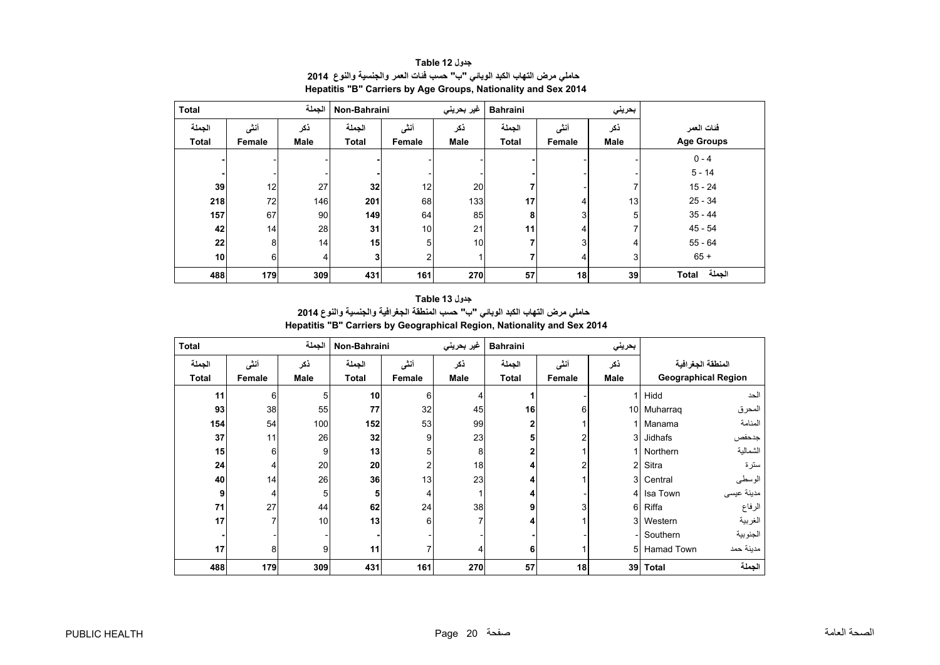<span id="page-20-0"></span>

| <b>Total</b>    | الجملة |      |                | Non-Bahraini    |      | غير بحريني<br><b>Bahraini</b> |                |                 |                        |
|-----------------|--------|------|----------------|-----------------|------|-------------------------------|----------------|-----------------|------------------------|
| الجملة          | أنشى   | ذكر  | الجملة         | أنشى            | ذكر  | الجملة                        | أنشى           | ذكر             | فئات العمر             |
| <b>Total</b>    | Female | Male | <b>Total</b>   | Female          | Male | <b>Total</b>                  | Female         | Male            | <b>Age Groups</b>      |
|                 |        |      |                |                 |      |                               |                |                 | $0 - 4$                |
|                 |        |      |                |                 |      |                               |                |                 | $5 - 14$               |
| 39              | 12     | 27   | 32             | 12              | 20   |                               |                |                 | $15 - 24$              |
| 218             | 72     | 146  | 201            | 68              | 133  | 17                            | 4              | 13 <sub>l</sub> | $25 - 34$              |
| 157             | 67     | 90   | 149            | 64              | 85   | 8                             | 3 <sub>1</sub> | 5               | $35 - 44$              |
| 42              | 14     | 28   | 31             | 10 <sup>1</sup> | 21   | 11                            | 4              |                 | $45 - 54$              |
| 22              | 8      | 14   | 15             | 5               | 10   |                               | 3              | 4               | $55 - 64$              |
| 10 <sub>1</sub> | 6      | 4    | 3 <sub>l</sub> | $\overline{2}$  |      |                               | 4              | 3               | $65 +$                 |
| 488             | 179    | 309  | 431            | 161             | 270  | 57                            | 18             | 39              | الجملة<br><b>Total</b> |

**جدول 12 Table حاملي مرض التھاب الكبد الوبائي "ب" حسب فئات العمر والجنسية والنوع<sup>2014</sup> Hepatitis "B" Carriers by Age Groups, Nationality and Sex 2014**

**جدول 13 Table**

**حاملي مرض التھاب الكبد الوبائي "ب" حسب المنطقة الجغرافية والجنسية والنوع <sup>2014</sup> Hepatitis "B" Carriers by Geographical Region, Nationality and Sex 2014**

| <b>Total</b> |             | الجملة | Non-Bahraini   |        | غير بحريني | <b>Bahraini</b> |        | بحريني         |                            |            |
|--------------|-------------|--------|----------------|--------|------------|-----------------|--------|----------------|----------------------------|------------|
| الجملة       | ذكر<br>أنشى |        | الجملة<br>أننى |        | ذكر        | الجملة          | أنشى   | ذكر            | المنطقة الجغرافية          |            |
| <b>Total</b> | Female      | Male   | <b>Total</b>   | Female | Male       | Total           | Female | Male           | <b>Geographical Region</b> |            |
| 11           | 6           | 5      | 10             | 6      |            |                 |        |                | Hidd                       | الحد       |
| 93           | 38          | 55     | 77             | 32     | 45         | 16              | 6      |                | 10 Muharrag                | المحرق     |
| 154          | 54          | 100    | 152            | 53     | 99         | 2               |        |                | Manama                     | المنامة    |
| 37           | 11          | 26     | 32             | 9      | 23         | 5               |        | 3              | Jidhafs                    | جدحفص      |
| 15           | 6           | 9      | 13             | 5      | 8          |                 |        |                | Northern                   | الشمالية   |
| 24           | 4           | 20     | 20             | 2      | 18         |                 | 2      | $\overline{2}$ | Sitra                      | سترة       |
| 40           | 14          | 26     | 36             | 13     | 23         |                 |        | 3 <sup>l</sup> | Central                    | الوسطى     |
| 9            | 4           | 5      | 5              | 4      |            |                 |        | 41             | Isa Town                   | مدينة عيسى |
| 71           | 27          | 44     | 62             | 24     | 38         | 9               | 3      | $6 \mid$       | Riffa                      | الرفاع     |
| 17           | 7           | 10     | 13             | 6      |            |                 |        | 3 <sup>l</sup> | Western                    | الغربية    |
|              |             |        |                |        |            |                 |        |                | Southern                   | الجنوبية   |
| 17           | 8           | 9      | 11             |        | 4          | 6               |        | 51             | Hamad Town                 | مدينة حمد  |
| 488          | 179         | 309    | 431            | 161    | 270        | 57              | 18     | 39             | <b>Total</b>               | الجملة     |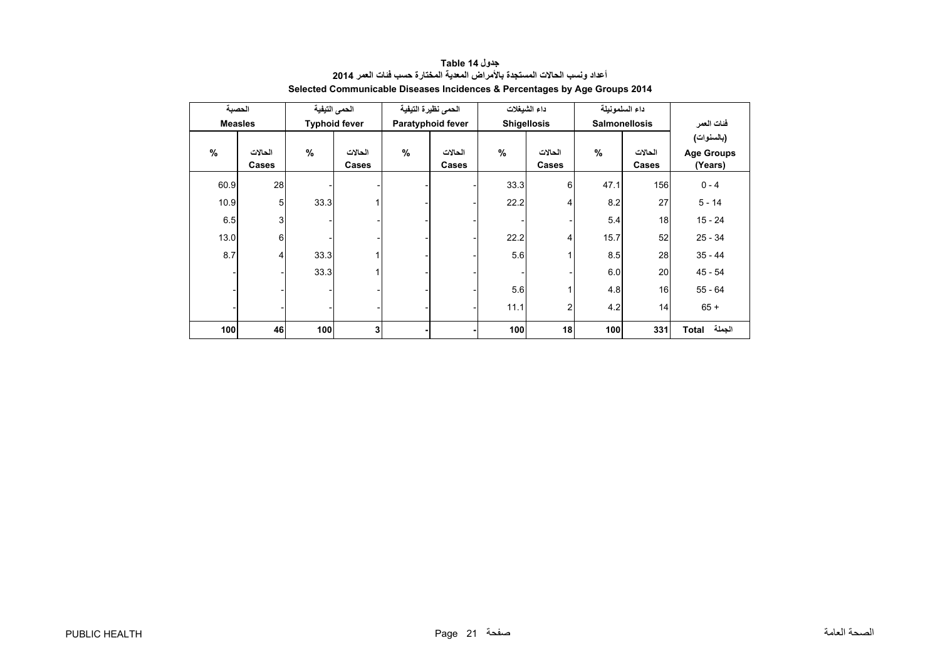<span id="page-21-0"></span>

| الحصبة         |              |               | الحمى التيفية        | الحمى نظيرة التيفية |                   | داء الشيغلات       |           | داء السلمونيلة |                      |                   |
|----------------|--------------|---------------|----------------------|---------------------|-------------------|--------------------|-----------|----------------|----------------------|-------------------|
| <b>Measles</b> |              |               | <b>Typhoid fever</b> |                     | Paratyphoid fever | <b>Shigellosis</b> |           |                | <b>Salmonellosis</b> | فئات العمر        |
|                |              |               |                      |                     |                   |                    |           |                |                      | (بالسنوات)        |
| $\%$           | الحالات      | $\frac{9}{6}$ | الحالات              | $\%$                | الحالات           | %                  | الحالات   | $\%$           | الحالات              | <b>Age Groups</b> |
|                | <b>Cases</b> |               | Cases                |                     | Cases             |                    | Cases     |                | Cases                | (Years)           |
| 60.9           | 28           |               |                      |                     |                   | 33.3               | 6         | 47.1           | 156                  | $0 - 4$           |
| 10.9           | 5            | 33.3          |                      |                     |                   | 22.2               | 4         | 8.2            | 27                   | $5 - 14$          |
| 6.5            | 3            |               |                      |                     |                   |                    |           | 5.4            | 18                   | $15 - 24$         |
| 13.0           | 6            |               |                      |                     |                   | 22.2               | 4         | 15.7           | 52                   | $25 - 34$         |
| 8.7            | 4            | 33.3          |                      |                     |                   | 5.6                |           | 8.5            | 28                   | $35 - 44$         |
|                |              | 33.3          |                      |                     |                   |                    |           | 6.0            | 20                   | $45 - 54$         |
|                |              |               |                      |                     |                   |                    |           | 4.8            | 16                   | $55 - 64$         |
|                |              |               |                      |                     |                   |                    | 11.1<br>2 |                | 14                   | $65 +$            |
| 100            | 46           | 100<br>3      |                      |                     |                   | 100<br>18          |           | 100            | 331                  | الجملة<br>Total   |

**جدول 14 Table أعداد ونسب الحاالت المستجدة باألمراض المعدية المختارة حسب فئات العمر <sup>2014</sup> Selected Communicable Diseases Incidences & Percentages by Age Groups 2014**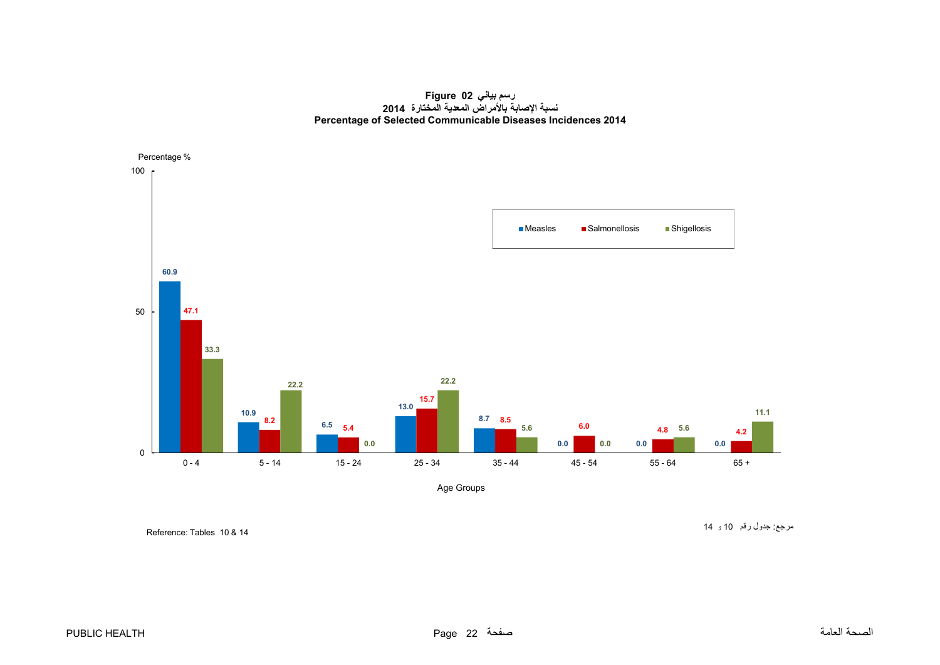**رسم بياني 02 Figure نسبة اإلصابة باألمراض المعدية المختارة <sup>2014</sup> Percentage of Selected Communicable Diseases Incidences 2014**

<span id="page-22-0"></span>

Age Groups

Reference: Tables 10 & 14

مرجع: جدول رقم <sup>10</sup> <sup>و</sup> <sup>14</sup>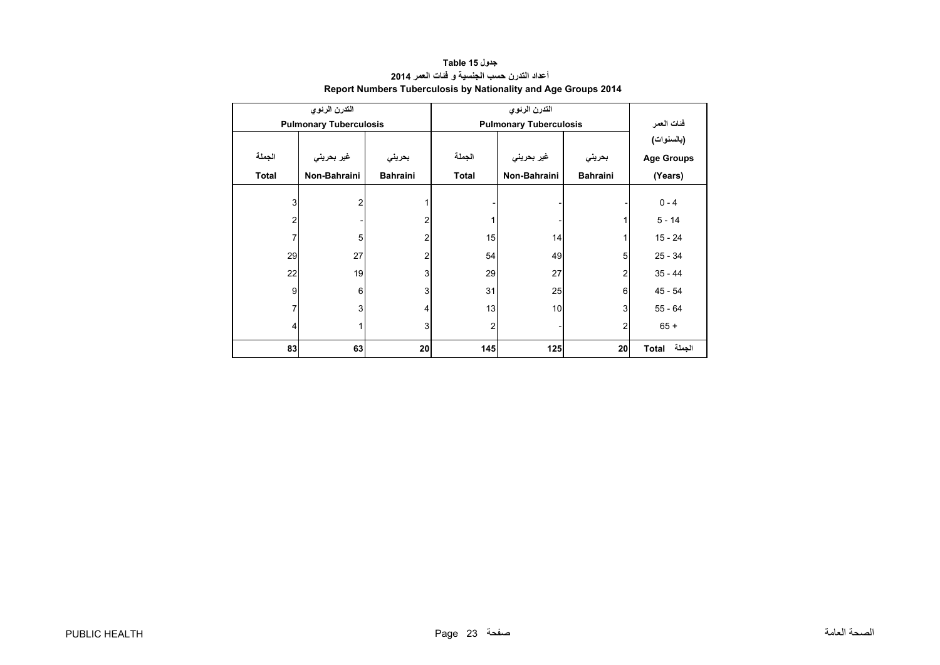<span id="page-23-0"></span>

|              | التدرن الرئوي                 |                 |                |                               |                 |                   |
|--------------|-------------------------------|-----------------|----------------|-------------------------------|-----------------|-------------------|
|              | <b>Pulmonary Tuberculosis</b> |                 |                | <b>Pulmonary Tuberculosis</b> |                 | فئات العمر        |
|              |                               |                 |                |                               |                 | (بالسنوات)        |
| الجملة       | غير بحريني                    | بحريني          | الجملة         | غير بحريني                    | بحريني          | <b>Age Groups</b> |
| <b>Total</b> | Non-Bahraini                  | <b>Bahraini</b> | <b>Total</b>   | Non-Bahraini                  | <b>Bahraini</b> | (Years)           |
|              |                               |                 |                |                               |                 |                   |
| 3            | $\overline{2}$                |                 |                |                               |                 | $0 - 4$           |
| 2            |                               | 2               |                |                               | 1               | $5 - 14$          |
| 7            | 5                             | 2               | 15             | 14                            | $\mathbf{1}$    | 15 - 24           |
| 29           | 27                            | 2               | 54             | 49                            | 5               | $25 - 34$         |
| 22           | 19                            | 3               | 29             | 27                            | 2               | $35 - 44$         |
| 9            | 6                             | 3               | 31             | 25                            | 6               | $45 - 54$         |
| 7            | 3                             | 4               | 13             | 10                            | 3               | $55 - 64$         |
| 4            | 1                             | 3               | $\overline{2}$ |                               | $\overline{2}$  | $65 +$            |
| 83           | 63                            | 20              | 145            | 125                           | 20              | الجملة<br>Total   |

## **جدول 15 Table أعداد التدرن حسب الجنسية <sup>و</sup> فئات العمر <sup>2014</sup> Report Numbers Tuberculosis by Nationality and Age Groups 2014**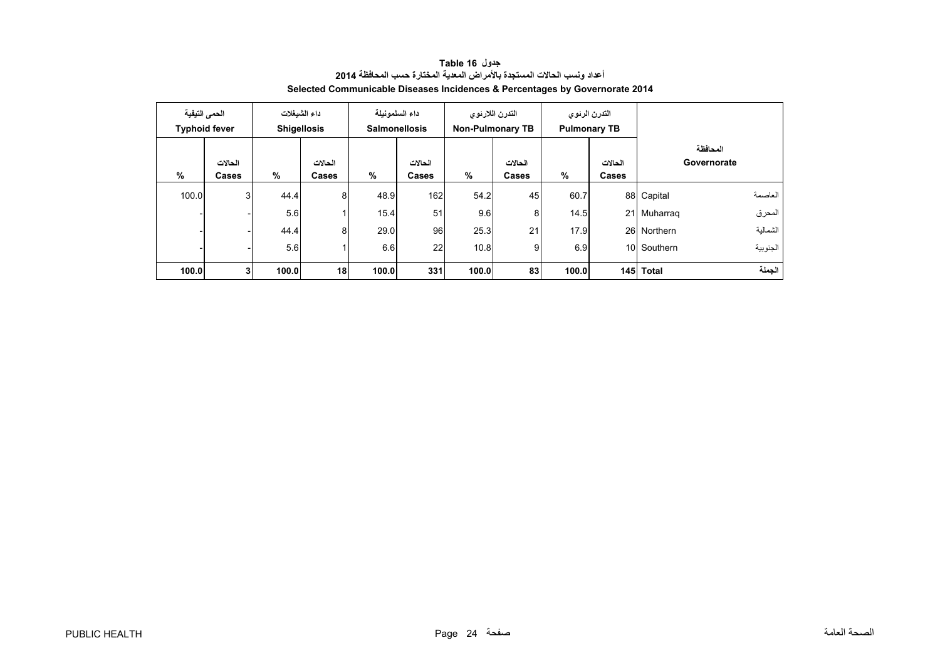<span id="page-24-0"></span>

|       | الحمى التيفية<br><b>Typhoid fever</b> |       | داء الشبغلات<br><b>Shigellosis</b> | داء السلمونيلة | <b>Salmonellosis</b> | <b>Non-Pulmonary TB</b> | التدرن اللارنوي  |       | التدرن الرئوى<br><b>Pulmonary TB</b> |             |                         |
|-------|---------------------------------------|-------|------------------------------------|----------------|----------------------|-------------------------|------------------|-------|--------------------------------------|-------------|-------------------------|
| %     | الحالات<br>Cases                      | %     | الحالات<br>Cases                   | %              | الحالات<br>Cases     | %                       | الحالات<br>Cases | %     | الحالات<br><b>Cases</b>              |             | المحافظة<br>Governorate |
| 100.0 | $\overline{3}$                        | 44.4  | 8                                  | 48.9           | 162                  | 54.2                    | 45               | 60.7  |                                      | 88 Capital  | العاصمة                 |
|       |                                       | 5.6   | 1                                  | 15.4           | 51                   | 9.6                     | 8                | 14.5  |                                      | 21 Muharrag | المحرق                  |
|       |                                       | 44.4  | 8                                  | 29.0           | 96                   | 25.3                    | 21               | 17.9  |                                      | 26 Northern | الشمالية                |
|       |                                       | 5.6   | 1                                  | 6.6            | 22                   | 10.8                    | 9                | 6.9   |                                      | 10 Southern | الجنوبية                |
| 100.0 | 3 <sup>1</sup>                        | 100.0 | 18                                 | 100.0          | 331                  | 100.0                   | 83               | 100.0 |                                      | 145 Total   | الحملة                  |

**جدول 16 Table أعداد ونسب الحاالت المستجدة باألمراض المعدية المختارة حسب المحافظة <sup>2014</sup> Selected Communicable Diseases Incidences & Percentages by Governorate 2014**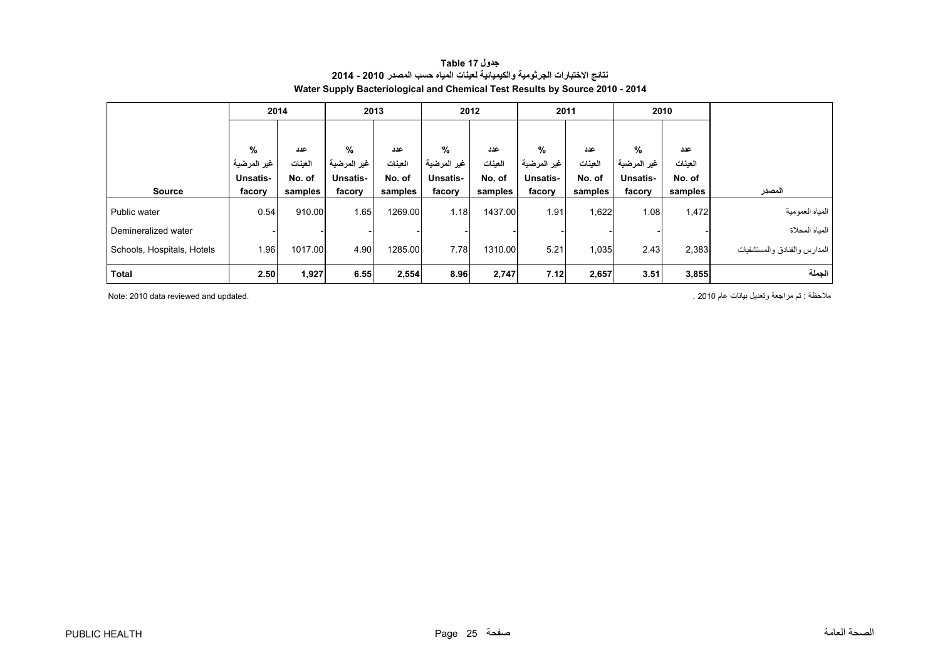<span id="page-25-0"></span>

|                            | 2014        |         | 2013            |         | 2012        |         | 2011            |         | 2010        |         |                              |
|----------------------------|-------------|---------|-----------------|---------|-------------|---------|-----------------|---------|-------------|---------|------------------------------|
|                            |             |         |                 |         |             |         |                 |         |             |         |                              |
|                            | %           | عدد     | %               | عدد     | %           | عدد     | %               | عدد     | %           | عدد     |                              |
|                            | غير المرضية | العينات | غير المرضية     | العينات | غير المرضية | العينات | غير المرضية     | العينات | غير المرضية | العينات |                              |
|                            | Unsatis-    | No. of  | <b>Unsatis-</b> | No. of  | Unsatis-    | No. of  | <b>Unsatis-</b> | No. of  | Unsatis-    | No. of  |                              |
| <b>Source</b>              | facory      | samples | facory          | samples | facory      | samples | facory          | samples | facory      | samples | المصدر                       |
| Public water               | 0.54        | 910.00  | 1.65            | 1269.00 | 1.18        | 1437.00 | 1.91            | 1,622   | 1.08        | 1,472   | المياه العمومية              |
| Demineralized water        |             |         |                 |         |             |         |                 |         |             |         | المياه المحلاة               |
| Schools, Hospitals, Hotels | 1.96        | 1017.00 | 4.90            | 1285.00 | 7.78        | 1310.00 | 5.21            | 1,035   | 2.43        | 2,383   | المدارس والفنادق والمستشفيات |
| Total                      | 2.50        | 1,927   | 6.55            | 2,554   | 8.96        | 2,747   | 7.12            | 2,657   | 3.51        | 3,855   | الجملة                       |

#### **جدول 17 Table نتائج االختبارات الجرثومية والكيميائية لعينات المياه حسب المصدر 2010 - 2014 Water Supply Bacteriological and Chemical Test Results by Source 2010 - 2014**

مالحظة : تم مراجعة وتعديل بيانات عام 2010 . .updated and reviewed data 2010 :Note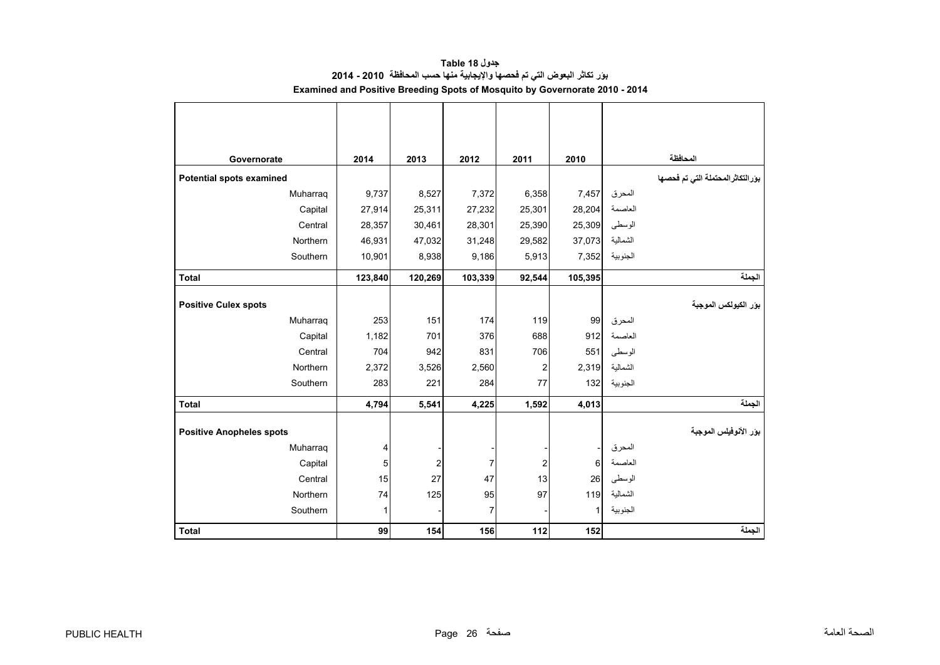<span id="page-26-0"></span>

| Governorate                     | 2014    | 2013           | 2012    | 2011   | 2010    |          | المحافظة                            |
|---------------------------------|---------|----------------|---------|--------|---------|----------|-------------------------------------|
| Potential spots examined        |         |                |         |        |         |          | بوَر التكاثر المحتملة التي تم فحصها |
| Muharraq                        | 9,737   | 8,527          | 7,372   | 6,358  | 7,457   | المحرق   |                                     |
| Capital                         | 27,914  | 25,311         | 27,232  | 25,301 | 28,204  | العاصمة  |                                     |
| Central                         | 28,357  | 30,461         | 28,301  | 25,390 | 25,309  | الوسطى   |                                     |
| Northern                        | 46,931  | 47,032         | 31,248  | 29,582 | 37,073  | الشمالية |                                     |
| Southern                        | 10,901  | 8,938          | 9,186   | 5,913  | 7,352   | الجنوبية |                                     |
| <b>Total</b>                    | 123,840 | 120,269        | 103,339 | 92,544 | 105,395 |          | الجملة                              |
|                                 |         |                |         |        |         |          |                                     |
| <b>Positive Culex spots</b>     |         |                |         |        |         |          | بور الكيولكس الموجبة                |
| Muharraq                        | 253     | 151            | 174     | 119    | 99      | المحرق   |                                     |
| Capital                         | 1,182   | 701            | 376     | 688    | 912     | العاصمة  |                                     |
| Central                         | 704     | 942            | 831     | 706    | 551     | الوسطى   |                                     |
| Northern                        | 2,372   | 3,526          | 2,560   | 2      | 2,319   | الشمالية |                                     |
| Southern                        | 283     | 221            | 284     | 77     | 132     | الجنوبية |                                     |
| <b>Total</b>                    | 4,794   | 5,541          | 4,225   | 1,592  | 4,013   |          | الجملة                              |
|                                 |         |                |         |        |         |          |                                     |
| <b>Positive Anopheles spots</b> |         |                |         |        |         |          | بؤر الأنوفيلس الموجبة               |
| Muharraq                        | 4       |                |         |        |         | المحرق   |                                     |
| Capital                         | 5       | $\overline{c}$ | 7       | 2      | 6       | العاصمة  |                                     |
| Central                         | 15      | 27             | 47      | 13     | 26      | الوسطى   |                                     |
| Northern                        | 74      | 125            | 95      | 97     | 119     | الشمالية |                                     |
| Southern                        | 1       |                | 7       |        | 1       | الجنوبية |                                     |
| <b>Total</b>                    | 99      | 154            | 156     | 112    | 152     |          | الجملة                              |

**جدول 18 Table بؤر تكاثر البعوض التي تم فحصھا واإليجابية منھا حسب المحافظة 2010 - 2014 Examined and Positive Breeding Spots of Mosquito by Governorate 2010 - 2014**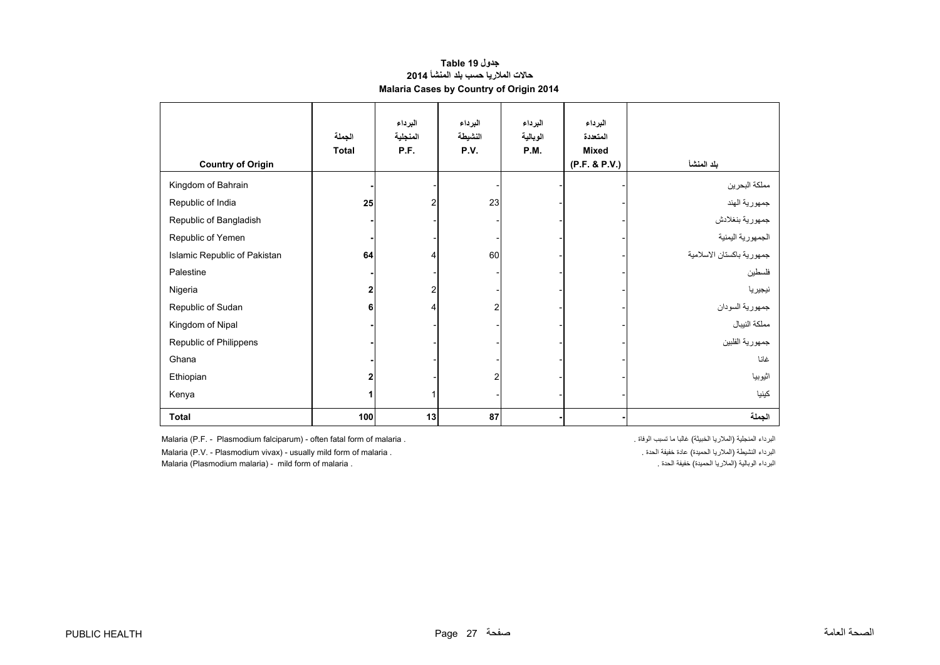#### **جدول 19 Table حاالت المالريا حسب بلد المنشأ <sup>2014</sup> Malaria Cases by Country of Origin 2014**

<span id="page-27-0"></span>

| <b>Country of Origin</b>     | الجملة<br><b>Total</b> | البرداء<br>المنجلية<br>P.F. | البرداء<br>النشيطة<br>P.V. | البرداء<br>الوبالية<br><b>P.M.</b> | البرداء<br>المتعددة<br><b>Mixed</b><br>(P.F. & P.V.) | بلد المنشأ                |
|------------------------------|------------------------|-----------------------------|----------------------------|------------------------------------|------------------------------------------------------|---------------------------|
| Kingdom of Bahrain           |                        |                             |                            |                                    |                                                      | مملكة البحرين             |
| Republic of India            | 25                     | 2                           | 23                         |                                    |                                                      | جمهورية الهند             |
| Republic of Bangladish       |                        |                             |                            |                                    |                                                      | جمهورية بنغلادش           |
| Republic of Yemen            |                        |                             |                            |                                    |                                                      | الجمهورية اليمنية         |
| Islamic Republic of Pakistan | 64                     | 4                           | 60                         |                                    |                                                      | جمهورية باكستان الاسلامية |
| Palestine                    |                        |                             |                            |                                    |                                                      | فلسطين                    |
| Nigeria                      | 2                      | 2                           |                            |                                    |                                                      | نيجيريا                   |
| Republic of Sudan            | 6                      | 4                           | $\overline{2}$             |                                    |                                                      | جمهورية السودان           |
| Kingdom of Nipal             |                        |                             |                            |                                    |                                                      | مملكة النيبال             |
| Republic of Philippens       |                        |                             |                            |                                    |                                                      | جمهورية الفلبين           |
| Ghana                        |                        |                             |                            |                                    |                                                      | غانا                      |
| Ethiopian                    | 2                      |                             | $\overline{2}$             |                                    |                                                      | اثيوبيا                   |
| Kenya                        |                        | 1                           |                            |                                    |                                                      | كينيا                     |
| <b>Total</b>                 | 100                    | 13                          | 87                         |                                    |                                                      | الجملة                    |

Malaria (P.F. - Plasmodium falciparum) - often fatal form of malaria . . الوفاة تسبب ما غالبا) الخبيثة المالريا (المنجلية البرداء

Malaria (P.V. - Plasmodium vivax) - usually mild form of malaria . . الحدة خفيفة عادة) الحميدة المالريا (النشيطة البرداء

Malaria (Plasmodium malaria) - mild form of malaria . . الحدة خفيفة) الحميدة المالريا (الوبالية البرداء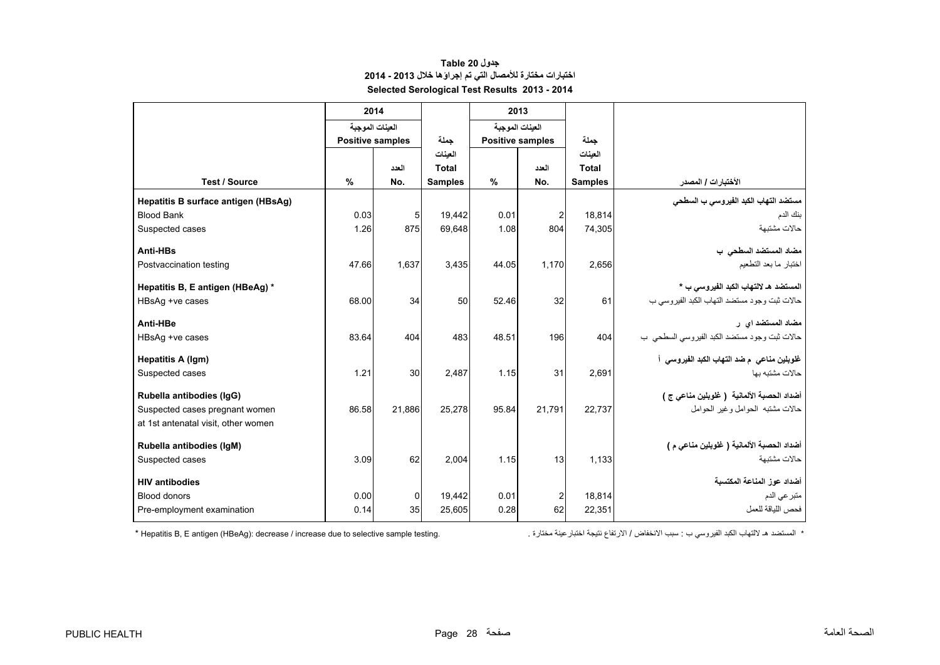## **جدول 20 Table اختبارات مختارة لألمصال التي تم إجراؤھا خالل 2013 - 2014 Selected Serological Test Results 2013 - 2014**

<span id="page-28-0"></span>

|                                     |                         | 2014            |                | 2013  |                         |                |                                              |
|-------------------------------------|-------------------------|-----------------|----------------|-------|-------------------------|----------------|----------------------------------------------|
|                                     |                         | العينات الموجبة |                |       | العينات الموجبة         |                |                                              |
|                                     | <b>Positive samples</b> |                 | جملة           |       | <b>Positive samples</b> | حملة           |                                              |
|                                     |                         |                 | العينات        |       |                         | العنات         |                                              |
|                                     |                         | العدد           | Total          |       | العدد                   | <b>Total</b>   |                                              |
| <b>Test / Source</b>                | $\%$                    | No.             | <b>Samples</b> | $\%$  | No.                     | <b>Samples</b> | الأختبارات / المصدر                          |
| Hepatitis B surface antigen (HBsAg) |                         |                 |                |       |                         |                | مستضد التهاب الكبد الفيروسي ب السطحي         |
| <b>Blood Bank</b>                   | 0.03                    | $\overline{5}$  | 19.442         | 0.01  | $\overline{c}$          | 18,814         | بنك الدم                                     |
| Suspected cases                     | 1.26                    | 875             | 69.648         | 1.08  | 804                     | 74,305         | حالات مشتبهة                                 |
| Anti-HBs                            |                         |                 |                |       |                         |                | مضاد المستضد السطحى ب                        |
| Postvaccination testing             | 47.66                   | 1.637           | 3,435          | 44.05 | 1,170                   | 2,656          | اختبار ما بعد التطعيم                        |
|                                     |                         |                 |                |       |                         |                |                                              |
| Hepatitis B, E antigen (HBeAg) *    |                         |                 |                |       |                         |                | المستضد هـ لالتهاب الكبد الفيروسي ب *        |
| HBsAg +ve cases                     | 68.00                   | 34              | 50             | 52.46 | 32                      | 61             | حالات ثبت وجود مستضد التهاب الكبد الفيروسي ب |
| Anti-HBe                            |                         |                 |                |       |                         |                | مضاد المستضد اي ر                            |
| HBsAg +ve cases                     | 83.64                   | 404             | 483            | 48.51 | 196                     | 404            | حالات ثبت وجود مستضد الكبد الفيروسي السطحي ب |
|                                     |                         |                 |                |       |                         |                |                                              |
| <b>Hepatitis A (Igm)</b>            |                         |                 |                |       |                         |                | غلوبلين مناعي  م ضد التهاب الكبد الفيروسي  أ |
| Suspected cases                     | 1.21                    | 30              | 2.487          | 1.15  | 31                      | 2.691          | حالات مشتبه بها                              |
| Rubella antibodies (IgG)            |                         |                 |                |       |                         |                | أضداد الحصبة الألمانية  ( غلوبلين مناعي ج )  |
| Suspected cases pregnant women      | 86.58                   | 21,886          | 25,278         | 95.84 | 21,791                  | 22,737         | حالات مشتبه الحوامل وغير الحوامل             |
| at 1st antenatal visit, other women |                         |                 |                |       |                         |                |                                              |
| Rubella antibodies (IqM)            |                         |                 |                |       |                         |                | أضداد الحصبة الألمانية ( غلوبلين مناعي م )   |
| Suspected cases                     | 3.09                    | 62              | 2.004          | 1.15  | 13                      | 1,133          | حالات مشتبهة                                 |
|                                     |                         |                 |                |       |                         |                |                                              |
| <b>HIV antibodies</b>               |                         |                 |                |       |                         |                | أضداد عوز المناعة المكتسبة                   |
| <b>Blood donors</b>                 | 0.00                    | $\overline{0}$  | 19,442         | 0.01  | $\overline{2}$          | 18.814         | متبر عي الدم                                 |
| Pre-employment examination          | 0.14                    | 35              | 25,605         | 0.28  | 62                      | 22,351         | فحص اللياقة للعمل                            |
|                                     |                         |                 |                |       |                         |                |                                              |

\* المستضد ھـ

\* Hepatitis B, E antigen (HBeAg): decrease / increase due to selective sample testing.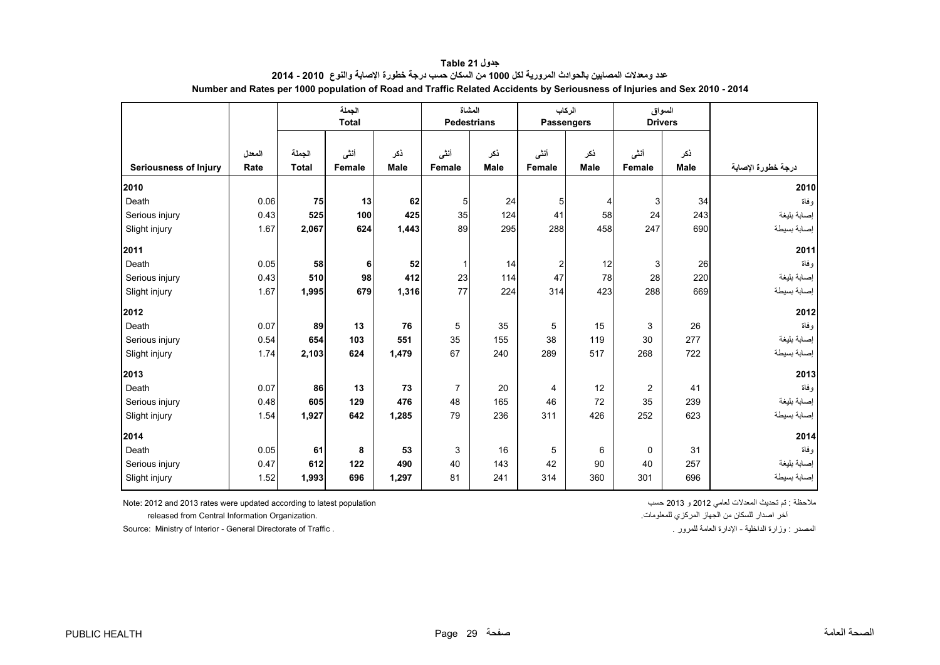<span id="page-29-0"></span>

|                              |                | الجملة<br><b>Total</b> |                |                    | المشاة<br><b>Pedestrians</b> |                    | الركاب<br><b>Passengers</b> |                    | السواق<br><b>Drivers</b> |                    |                    |
|------------------------------|----------------|------------------------|----------------|--------------------|------------------------------|--------------------|-----------------------------|--------------------|--------------------------|--------------------|--------------------|
| <b>Seriousness of Injury</b> | المعدل<br>Rate | الجملة<br><b>Total</b> | أننس<br>Female | نكر<br><b>Male</b> | أنشى<br>Female               | نكر<br><b>Male</b> | أنشى<br>Female              | نكر<br><b>Male</b> | أنشى<br>Female           | نكر<br><b>Male</b> | درجة خطورة الإصابة |
|                              |                |                        |                |                    |                              |                    |                             |                    |                          |                    |                    |
| 2010                         |                |                        |                |                    |                              |                    |                             |                    |                          |                    | 2010               |
| Death                        | 0.06           | 75                     | 13             | 62                 | 5 <sub>5</sub>               | 24                 | 5 <sub>5</sub>              | $\overline{4}$     | 3 <sup>1</sup>           | 34                 | و فاة              |
| Serious injury               | 0.43           | 525                    | 100            | 425                | 35                           | 124                | 41                          | 58                 | 24                       | 243                | إصابة بليغة        |
| Slight injury                | 1.67           | 2,067                  | 624            | 1,443              | 89                           | 295                | 288                         | 458                | 247                      | 690                | إصابة بسيطة        |
| 2011                         |                |                        |                |                    |                              |                    |                             |                    |                          |                    | 2011               |
| Death                        | 0.05           | 58                     | 6              | 52                 |                              | 14                 | $\overline{2}$              | 12                 | 3 <sup>1</sup>           | 26                 | وفاة               |
| Serious injury               | 0.43           | 510                    | 98             | 412                | 23                           | 114                | 47                          | 78                 | 28                       | 220                | إصابة بليغة        |
| Slight injury                | 1.67           | 1,995                  | 679            | 1,316              | 77                           | 224                | 314                         | 423                | 288                      | 669                | إصابة بسيطة        |
| 2012                         |                |                        |                |                    |                              |                    |                             |                    |                          |                    | 2012               |
| Death                        | 0.07           | 89                     | 13             | 76                 | 5                            | 35                 | 5                           | 15                 | 3                        | 26                 | و فاة              |
| Serious injury               | 0.54           | 654                    | 103            | 551                | 35                           | 155                | 38                          | 119                | 30                       | 277                | إصابة بليغة        |
| Slight injury                | 1.74           | 2,103                  | 624            | 1,479              | 67                           | 240                | 289                         | 517                | 268                      | 722                | إصابة بسيطة        |
| 2013                         |                |                        |                |                    |                              |                    |                             |                    |                          |                    | 2013               |
| Death                        | 0.07           | 86                     | 13             | 73                 | $\overline{7}$               | 20                 | 4                           | 12                 | 2                        | 41                 | و فاة              |
| Serious injury               | 0.48           | 605                    | 129            | 476                | 48                           | 165                | 46                          | 72                 | 35                       | 239                | إصابة بليغة        |
| Slight injury                | 1.54           | 1,927                  | 642            | 1,285              | 79                           | 236                | 311                         | 426                | 252                      | 623                | إصابة بسيطة        |
| 2014                         |                |                        |                |                    |                              |                    |                             |                    |                          |                    | 2014               |
| Death                        | 0.05           | 61                     | 8              | 53                 | 3                            | 16                 | 5                           | 6                  | $\Omega$                 | 31                 | و فاة              |
| Serious injury               | 0.47           | 612                    | 122            | 490                | 40                           | 143                | 42                          | 90                 | 40                       | 257                | إصابة بليغة        |
| Slight injury                | 1.52           | 1,993                  | 696            | 1,297              | 81                           | 241                | 314                         | 360                | 301                      | 696                | إصابة بسيطة        |

**جدول 21 Table عدد ومعدالت المصابين بالحوادث المرورية لكل <sup>1000</sup> من السكان حسب درجة خطورة اإلصابة والنوع 2010 - 2014 Number and Rates per 1000 population of Road and Traffic Related Accidents by Seriousness of Injuries and Sex 2010 - 2014**

ملاحظة : تم تحديث المعدلات لعامي 2012 و 2013 هسب 2012 معسب 2012 و 2013 هسب 2012 و 2013 هسب 2013 و 2013 هسب 201

آخر اصدار للسكان من الجھاز المركزي للمعلومات. .Organization Information Central from released

Source: Ministry of Interior - General Directorate of Traffic . . للمرور العامة اإلدارة - الداخلية وزارة : المصدر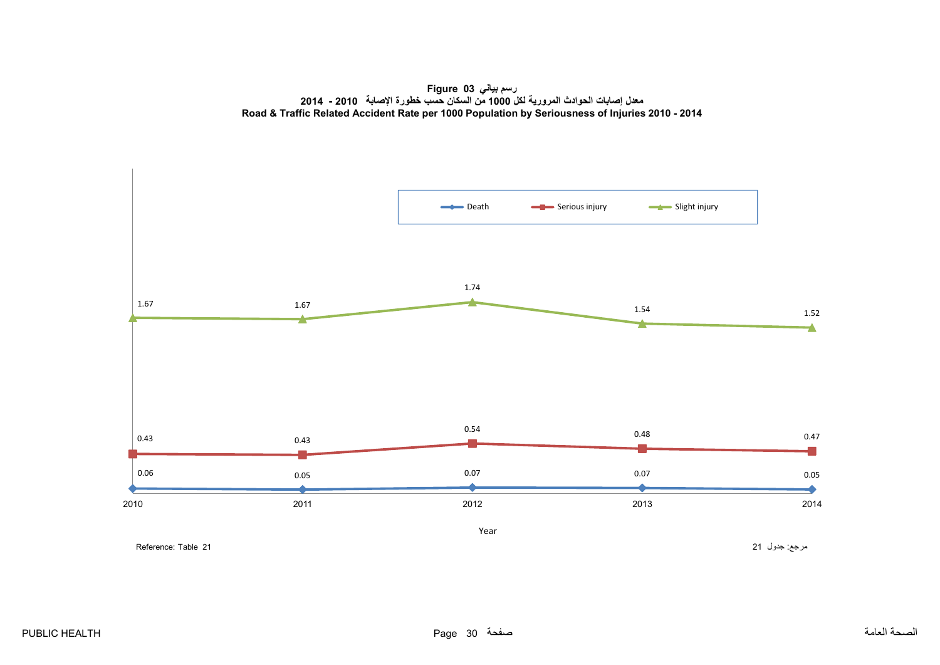**رسم بياني 03 Figure معدل إصابات الحوادث المرورية لكل <sup>1000</sup> من السكان حسب خطورة اإلصابة <sup>2010</sup> - <sup>2014</sup> Road & Traffic Related Accident Rate per 1000 Population by Seriousness of Injuries 2010 - 2014**

<span id="page-30-0"></span>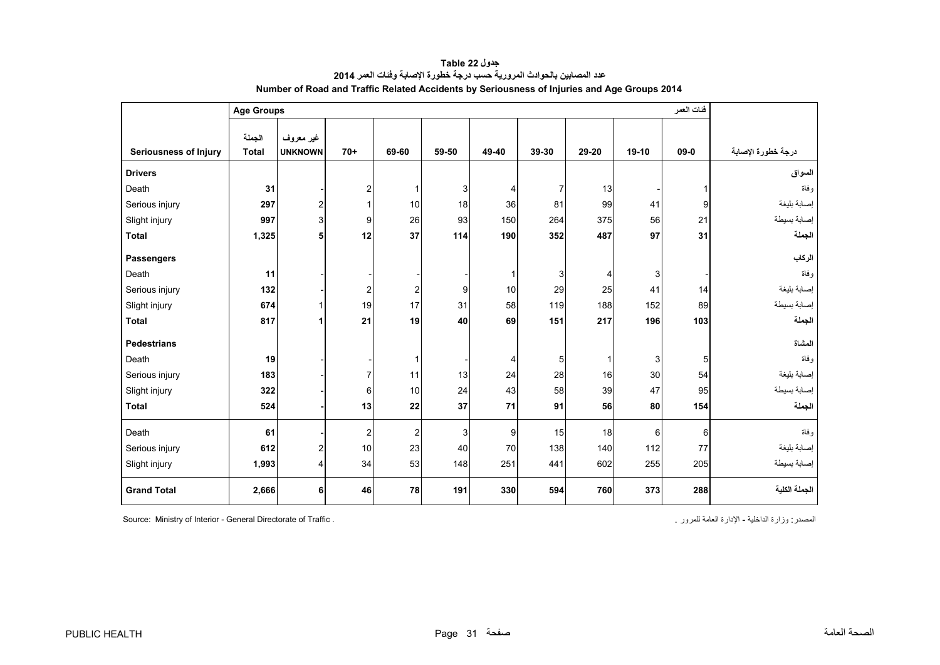<span id="page-31-0"></span>

|                              |                        | فئات العمر<br><b>Age Groups</b> |                |                |       |                |                |       |         |          |                    |
|------------------------------|------------------------|---------------------------------|----------------|----------------|-------|----------------|----------------|-------|---------|----------|--------------------|
| <b>Seriousness of Injury</b> | الجملة<br><b>Total</b> | غير معروف<br><b>UNKNOWN</b>     | $70+$          | 69-60          | 59-50 | 49-40          | 39-30          | 29-20 | $19-10$ | $09 - 0$ | درجة خطورة الإصابة |
| <b>Drivers</b>               |                        |                                 |                |                |       |                |                |       |         |          | السواق             |
| Death                        | 31                     |                                 | $\overline{2}$ |                | 3     | $\overline{4}$ | $\overline{7}$ | 13    |         |          | و فاة              |
| Serious injury               | 297                    | $\overline{\mathbf{c}}$         | 1              | 10             | 18    | 36             | 81             | 99    | 41      | 9        | إصابة بليغة        |
| Slight injury                | 997                    | 3                               | 9              | 26             | 93    | 150            | 264            | 375   | 56      | 21       | إصابة بسيطة        |
| <b>Total</b>                 | 1,325                  | 5                               | 12             | 37             | 114   | 190            | 352            | 487   | 97      | 31       | الجملة             |
| <b>Passengers</b>            |                        |                                 |                |                |       |                |                |       |         |          | الركاب             |
| Death                        | 11                     |                                 |                |                |       | $\mathbf{1}$   | $\mathsf 3$    | 4     | 3       |          | وفاة               |
| Serious injury               | 132                    |                                 | $\overline{2}$ | 2              | 9     | 10             | 29             | 25    | 41      | 14       | إصابة بليغة        |
| Slight injury                | 674                    | 1                               | 19             | 17             | 31    | 58             | 119            | 188   | 152     | 89       | إصابة بسيطة        |
| <b>Total</b>                 | 817                    | 1                               | 21             | 19             | 40    | 69             | 151            | 217   | 196     | 103      | الجملة             |
| <b>Pedestrians</b>           |                        |                                 |                |                |       |                |                |       |         |          | المشاة             |
| Death                        | 19                     |                                 |                | 1              |       | 4              | 5 <sup>1</sup> | 1     | 3       | 5        | وفاة               |
| Serious injury               | 183                    |                                 | $\overline{7}$ | 11             | 13    | 24             | 28             | 16    | 30      | 54       | إصابة بليغة        |
| Slight injury                | 322                    |                                 | 6              | 10             | 24    | 43             | 58             | 39    | 47      | 95       | إصابة بسيطة        |
| <b>Total</b>                 | 524                    |                                 | 13             | 22             | 37    | 71             | 91             | 56    | 80      | 154      | الجملة             |
| Death                        | 61                     |                                 | $\overline{2}$ | $\overline{2}$ | 3     | 9              | 15             | 18    | 6       | 6        | و فاة              |
| Serious injury               | 612                    | $\overline{\mathbf{c}}$         | 10             | 23             | 40    | 70             | 138            | 140   | 112     | 77       | إصابة بليغة        |
| Slight injury                | 1,993                  | 4                               | 34             | 53             | 148   | 251            | 441            | 602   | 255     | 205      | إصابة بسيطة        |
| <b>Grand Total</b>           | 2,666                  | 6                               | 46             | 78             | 191   | 330            | 594            | 760   | 373     | 288      | الجملة الكلية      |

**جدول 22 Table عدد المصابين بالحوادث المرورية حسب درجة خطورة اإلصابة وفئات العمر<sup>2014</sup> Number of Road and Traffic Related Accidents by Seriousness of Injuries and Age Groups 2014** 

Source: Ministry of Interior - General Directorate of Traffic . . للمرور العامة اإلدارة - الداخلية وزارة :المصدر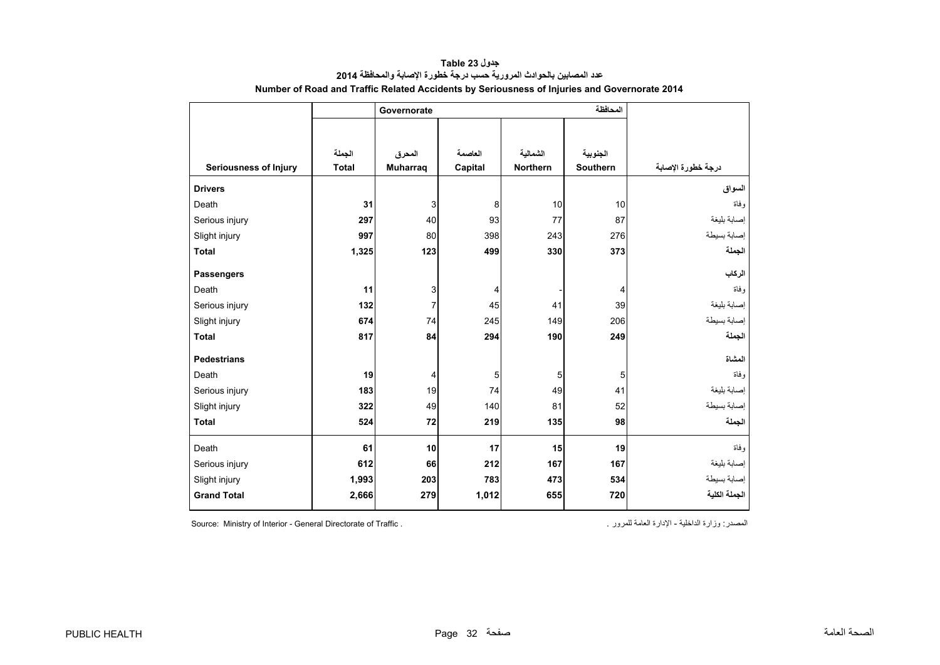<span id="page-32-0"></span>

|                              |              | Governorate     |         |                 |                 |                    |
|------------------------------|--------------|-----------------|---------|-----------------|-----------------|--------------------|
|                              |              |                 |         |                 |                 |                    |
|                              |              |                 |         |                 |                 |                    |
|                              | الجملة       | المحرق          | العاصمة | الشمالبة        | الجنوبية        |                    |
| <b>Seriousness of Injury</b> | <b>Total</b> | <b>Muharraq</b> | Capital | <b>Northern</b> | <b>Southern</b> | درجة خطورة الإصابة |
| <b>Drivers</b>               |              |                 |         |                 |                 | السواق             |
| Death                        | 31           | 3               | 8       | 10              | 10              | و فاة              |
| Serious injury               | 297          | 40              | 93      | 77              | 87              | إصابة بليغة        |
| Slight injury                | 997          | 80              | 398     | 243             | 276             | إصابة بسيطة        |
| <b>Total</b>                 | 1,325        | 123             | 499     | 330             | 373             | الجملة             |
| <b>Passengers</b>            |              |                 |         |                 |                 | الركاب             |
| Death                        | 11           | 3               | 4       |                 | 4               | و فاة              |
| Serious injury               | 132          | $\overline{7}$  | 45      | 41              | 39              | إصابة بليغة        |
| Slight injury                | 674          | 74              | 245     | 149             | 206             | إصابة بسيطة        |
| <b>Total</b>                 | 817          | 84              | 294     | 190             | 249             | الجملة             |
|                              |              |                 |         |                 |                 |                    |
| <b>Pedestrians</b>           |              |                 |         |                 |                 | المشاة             |
| Death                        | 19           | 4               | 5       | 5               | 5               | و فاة              |
| Serious injury               | 183          | 19              | 74      | 49              | 41              | إصابة بليغة        |
| Slight injury                | 322          | 49              | 140     | 81              | 52              | إصابة بسيطة        |
| <b>Total</b>                 | 524          | 72              | 219     | 135             | 98              | الجملة             |
| Death                        | 61           | 10              | 17      | 15              | 19              | و فاة              |
| Serious injury               | 612          | 66              | 212     | 167             | 167             | إصابة بليغة        |
| Slight injury                | 1,993        | 203             | 783     | 473             | 534             | إصابة بسيطة        |
| <b>Grand Total</b>           | 2,666        | 279             | 1,012   | 655             | 720             | الجملة الكلية      |

**جدول 23 Table عدد المصابين بالحوادث المرورية حسب درجة خطورة اإلصابة والمحافظة<sup>2014</sup> Number of Road and Traffic Related Accidents by Seriousness of Injuries and Governorate 2014** 

المصدر: وزارة الداخلية - الإدارة العامة للمرور .<br>Source: Ministry of Interior - General Directorate of Traffic .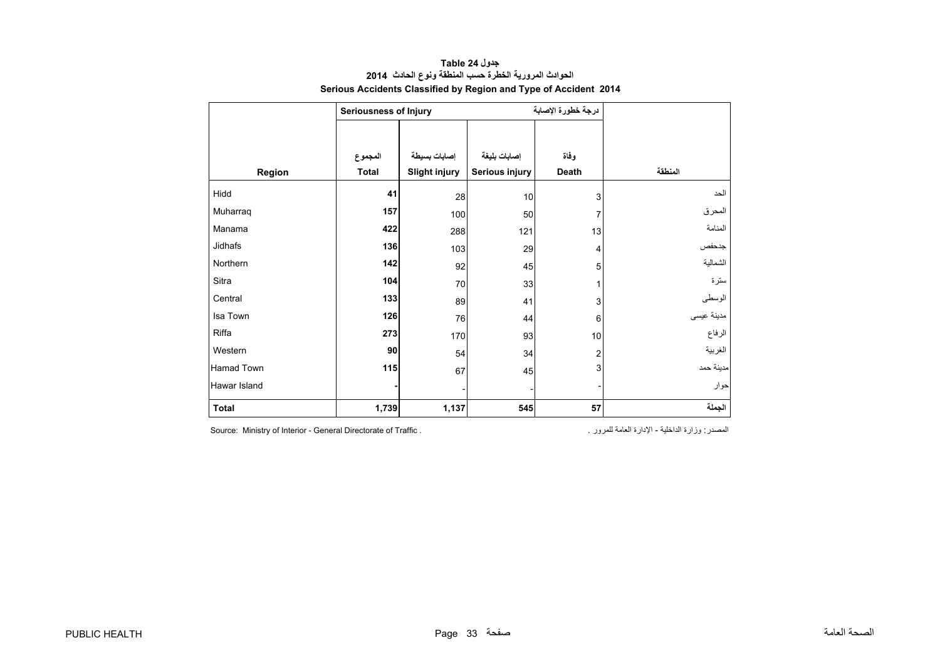<span id="page-33-0"></span>

|              | <b>Seriousness of Injury</b> |                      |                | درجة خطورة الإصابة |            |
|--------------|------------------------------|----------------------|----------------|--------------------|------------|
|              |                              |                      |                |                    |            |
|              | المجموع                      | إصابات بسيطة         | إصابات بليغة   | وفاة               |            |
| Region       | <b>Total</b>                 | <b>Slight injury</b> | Serious injury | <b>Death</b>       | المنطقة    |
| Hidd         | 41                           | 28                   | 10             | 3                  | الحد       |
| Muharraq     | 157                          | 100                  | 50             | 7                  | المحرق     |
| Manama       | 422                          | 288                  | 121            | 13                 | المنامة    |
| Jidhafs      | 136                          | 103                  | 29             | 4                  | جدحفص      |
| Northern     | 142                          | 92                   | 45             | 5                  | الشمالية   |
| Sitra        | 104                          | 70                   | 33             | 1                  | سترة       |
| Central      | 133                          | 89                   | 41             | 3                  | الوسطى     |
| Isa Town     | 126                          | 76                   | 44             | 6                  | مدينة عيسى |
| Riffa        | 273                          | 170                  | 93             | 10                 | الرفاع     |
| Western      | 90                           | 54                   | 34             | $\overline{2}$     | الغربية    |
| Hamad Town   | $115$                        | 67                   | 45             | 3                  | مدينة حمد  |
| Hawar Island |                              |                      |                |                    | حوار       |
| <b>Total</b> | 1,739                        | 1,137                | 545            | 57                 | الجملة     |

#### **جدول 24 Table الحوادث المرورية الخطرة حسب المنطقة ونوع الحادث <sup>2014</sup> Serious Accidents Classified by Region and Type of Accident 2014**

المصدر: وزارة الداخلية - الإدارة العامة للمرور . . . . . . Source: Ministry of Interior - General Directorate of Traffic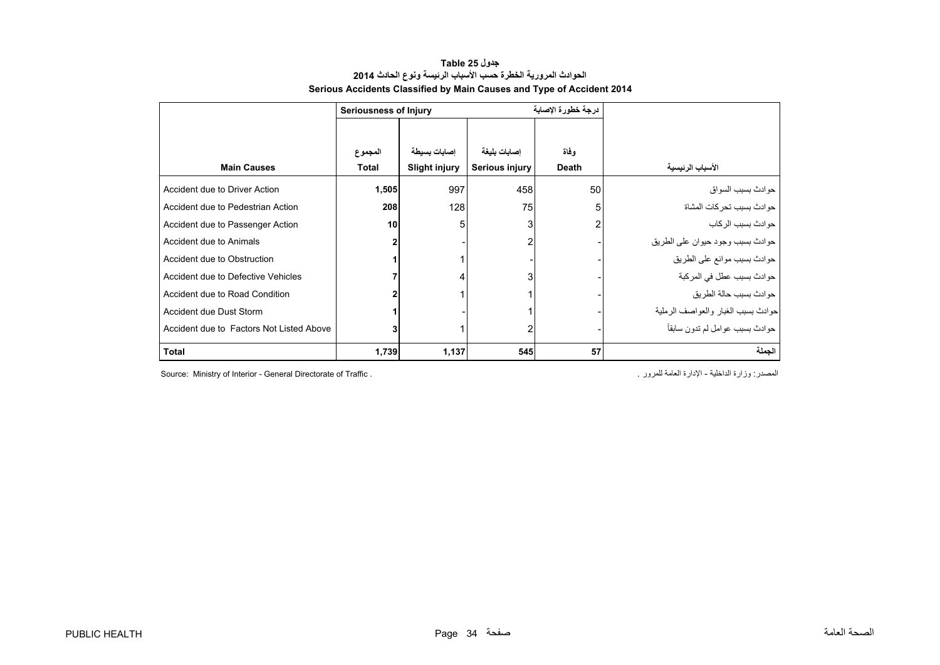#### **جدول 25 Table الحوادث المرورية الخطرة حسب األسباب الرئيسة ونوع الحادث <sup>2014</sup> Serious Accidents Classified by Main Causes and Type of Accident 2014**

<span id="page-34-0"></span>

|                                          | <b>Seriousness of Injury</b> |                      |                | درجة خطورة الإصابة |                                       |
|------------------------------------------|------------------------------|----------------------|----------------|--------------------|---------------------------------------|
|                                          |                              |                      |                |                    |                                       |
|                                          | المجموع                      | إصابات بسيطة         | إصابات بليغة   | وفاة               |                                       |
| <b>Main Causes</b>                       | Total                        | <b>Slight injury</b> | Serious injury | <b>Death</b>       | الأسباب الرئيسية                      |
| Accident due to Driver Action            | 1,505                        | 997                  | 458            | 50                 | حو ادث بسبب السو اق                   |
| Accident due to Pedestrian Action        | 208                          | 128                  | 75             | 5                  | حوادث بسبب تحركات المشاة              |
| Accident due to Passenger Action         | 10                           | 5                    | 3              | 2                  | حو ادٹ بسبب الر کاب                   |
| Accident due to Animals                  |                              |                      | 2              |                    | حوادث بسبب وجود حيوان على الطريق      |
| Accident due to Obstruction              |                              |                      |                |                    | حوادث بسبب موانع على الطريق           |
| Accident due to Defective Vehicles       |                              |                      | 3              |                    | حوادث بسبب عطل في المركبة             |
| Accident due to Road Condition           |                              |                      |                |                    | حو ادث بسبب حالة الطر بق              |
| Accident due Dust Storm                  |                              |                      |                |                    | حو ادث بسبب الغبار والعو اصف الر ملية |
| Accident due to Factors Not Listed Above |                              |                      | 2              |                    | حوادث بسبب عوامل لم تدون سابقاً       |
| <b>Total</b>                             | 1,739                        | 1,137                | 545            | 57                 | الجملة                                |

Source: Ministry of Interior - General Directorate of Traffic . . للمرور العامة اإلدارة - الداخلية وزارة :المصدر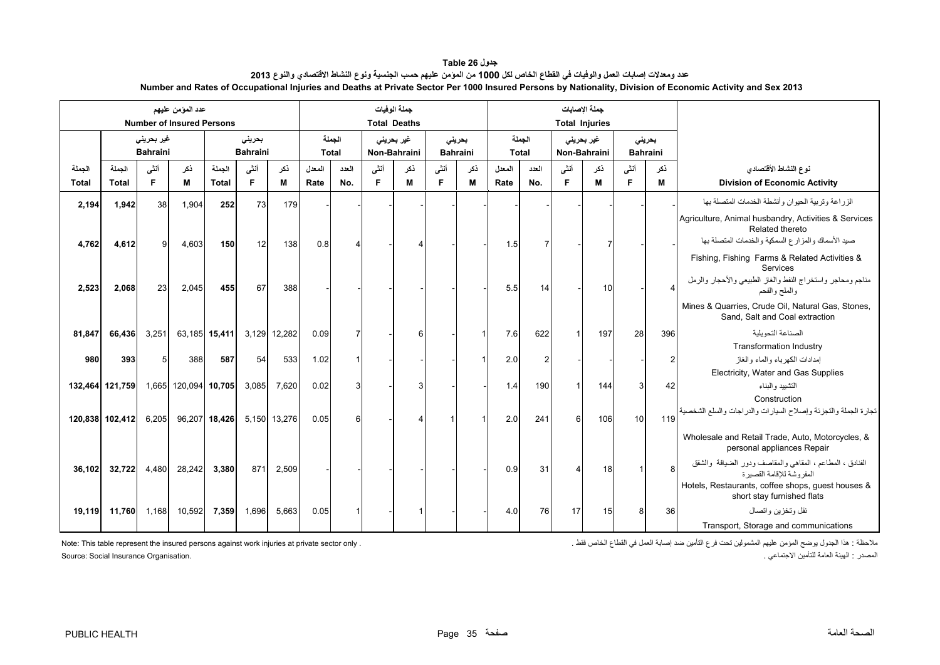| جدول Table 26                                                                                                                                              |
|------------------------------------------------------------------------------------------------------------------------------------------------------------|
| عدد ومعدلات إصابات العمل والوفيات في الفطاع الخاص لكل 1000 من الموّمن عليهم حسب الجنسية ونوع النشاط الاقتصادي والنوع 2013                                  |
| Number and Rates of Occupational Injuries and Deaths at Private Sector Per 1000 Insured Persons by Nationality, Division of Economic Activity and Sex 2013 |

<span id="page-35-0"></span>

|                        |                        |                                       | عدد الموّمن عليهم<br><b>Number of Insured Persons</b> |                        |                           |              |                |                        |            | جملة الوفيات<br><b>Total Deaths</b> |            |                           |                |                        |            | جملة الإصابات<br><b>Total Injuries</b> |                           |          |                                                                                                                                          |
|------------------------|------------------------|---------------------------------------|-------------------------------------------------------|------------------------|---------------------------|--------------|----------------|------------------------|------------|-------------------------------------|------------|---------------------------|----------------|------------------------|------------|----------------------------------------|---------------------------|----------|------------------------------------------------------------------------------------------------------------------------------------------|
|                        |                        | غیر بحرین <i>ی</i><br><b>Bahraini</b> |                                                       |                        | بحريني<br><b>Bahraini</b> |              |                | الجملة<br><b>Total</b> |            | غیر بحرینی<br>Non-Bahraini          |            | بحرينى<br><b>Bahraini</b> |                | الجملة<br><b>Total</b> |            | غیر بحرینی<br>Non-Bahraini             | بحريني<br><b>Bahraini</b> |          |                                                                                                                                          |
| الجملة<br><b>Total</b> | الحملة<br><b>Total</b> | أنشى<br>E                             | ذكر<br>M                                              | الحملة<br><b>Total</b> | أنشى<br>F                 | نكر<br>М     | المعدل<br>Rate | العدد<br>No.           | أنشى<br>F. | ذكر<br>м                            | أنشى<br>F. | ذكر<br>М                  | المعدل<br>Rate | العدد<br>No.           | أنشى<br>F. | ذكر<br>м                               | أنشى<br>F.                | ذكر<br>м | نوع النشاط الأقتصادي<br><b>Division of Economic Activity</b>                                                                             |
| 2,194                  | 1,942                  | 38                                    | 1,904                                                 | 252                    | 73                        | 179          |                |                        |            |                                     |            |                           |                |                        |            |                                        |                           |          | الزر اعة وتربية الحيوان وأنشطة الخدمات المتصلة بها                                                                                       |
| 4,762                  | 4,612                  | 9                                     | 4,603                                                 | 150                    | 12                        | 138          | 0.8            | Δ                      |            |                                     |            |                           | 1.5            | $\overline{7}$         |            | 7                                      |                           |          | Agriculture, Animal husbandry, Activities & Services<br>Related thereto<br>صيد الأسماك والمزارع السمكية والخدمات المتصلة بها             |
| 2,523                  | 2,068                  | 23                                    | 2,045                                                 | 455                    | 67                        | 388          |                |                        |            |                                     |            |                           | 5.5            | 14                     |            | 10                                     |                           |          | Fishing, Fishing Farms & Related Activities &<br>Services<br>مناجم ومحاجر واستخراج النفط والغاز الطبيعي والأحجار والرمل<br>والملح والفحم |
|                        |                        |                                       |                                                       |                        |                           |              |                |                        |            |                                     |            |                           |                |                        |            |                                        |                           |          | Mines & Quarries, Crude Oil, Natural Gas, Stones,<br>Sand, Salt and Coal extraction                                                      |
| 81,847                 | 66,436                 | 3,251                                 |                                                       | 63,185 15,411          | 3,129                     | 12,282       | 0.09           |                        |            | ิค                                  |            |                           | 7.6            | 622                    |            | 197                                    | 28                        | 396      | الصناعة التحويلية                                                                                                                        |
|                        |                        |                                       |                                                       |                        |                           |              |                |                        |            |                                     |            |                           |                |                        |            |                                        |                           |          | <b>Transformation Industry</b>                                                                                                           |
| 980                    | 393                    | 5                                     | 388                                                   | 587                    | 54                        | 533          | 1.02           |                        |            |                                     |            |                           | 2.0            | $\overline{2}$         |            |                                        |                           |          | إمدادات الكهر باء و الماء و الغاز<br>Electricity, Water and Gas Supplies                                                                 |
|                        | 132,464 121,759        |                                       | 1,665 120,094 10,705                                  |                        | 3,085                     | 7,620        | 0.02           |                        |            |                                     |            |                           | 1.4            | 190                    |            | 144                                    | 3                         | 42       | التشييد والبناء<br>Construction                                                                                                          |
|                        | 120,838 102,412        | 6,205                                 |                                                       | 96,207 18,426          |                           | 5,150 13,276 | 0.05           | 6                      |            |                                     |            |                           | 2.0            | 241                    | 6          | 106                                    | 10                        | 119      | تجارة الجملة والتجزئة وإصلاح السيارات والدراجات والسلع الشخصية                                                                           |
|                        |                        |                                       |                                                       |                        |                           |              |                |                        |            |                                     |            |                           |                |                        |            |                                        |                           |          | Wholesale and Retail Trade, Auto, Motorcycles, &<br>personal appliances Repair                                                           |
| 36,102                 | 32,722                 | 4,480                                 | 28,242                                                | 3,380                  | 871                       | 2,509        |                |                        |            |                                     |            |                           | 0.9            | 31                     |            | 18                                     |                           |          | الفنادق ، المطاعم ، المقاهي والمقاصف ودور الضيافة والشقق<br>المفر وشة للاقامة القصبر ة                                                   |
|                        |                        |                                       |                                                       |                        |                           |              |                |                        |            |                                     |            |                           |                |                        |            |                                        |                           |          | Hotels, Restaurants, coffee shops, guest houses &<br>short stay furnished flats                                                          |
| 19,119                 | 11,760                 | 1,168                                 | 10,592                                                | 7,359                  | 1,696                     | 5,663        | 0.05           |                        |            |                                     |            |                           | 4.0            | 76                     | 17         | 15                                     | 8                         | 36       | نقل وتخزين واتصال                                                                                                                        |
|                        |                        |                                       |                                                       |                        |                           |              |                |                        |            |                                     |            |                           |                |                        |            |                                        |                           |          | Transport, Storage and communications                                                                                                    |

ملاحظة : هذا الجدول يوضح المؤمن عليهم المشمولين تحت فرع التأمين ضد إصابة العمل في القطاع الخاص فقط .

Note: This table represent the insured persons against work injuries at private sector only . المصدر : الهيئة العامة للتأمين الاجتماعي . .<br>المصدر : الهيئة العامة للتأمين الاجتماعي .